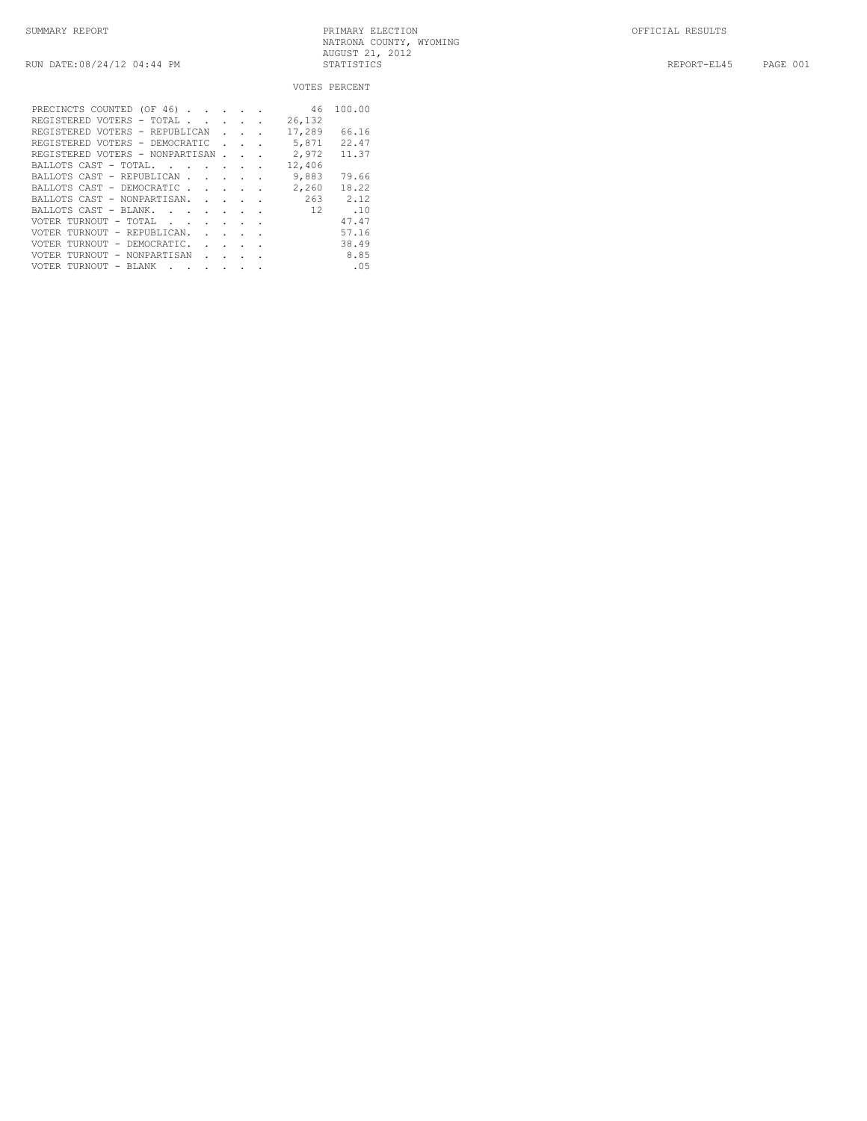|                                                                                                   |                             |        |        | VOTES PERCENT |
|---------------------------------------------------------------------------------------------------|-----------------------------|--------|--------|---------------|
| PRECINCTS COUNTED (OF 46)                                                                         |                             |        | 46     | 100.00        |
| REGISTERED VOTERS - TOTAL<br>the company of the company of                                        |                             |        | 26,132 |               |
| REGISTERED VOTERS - REPUBLICAN                                                                    | <b>Contract Contract</b>    |        | 17,289 | 66.16         |
| REGISTERED VOTERS - DEMOCRATIC                                                                    |                             |        | 5,871  | 22.47         |
|                                                                                                   |                             | $\sim$ |        |               |
| REGISTERED VOTERS - NONPARTISAN.                                                                  |                             |        | 2,972  | 11.37         |
| BALLOTS CAST - TOTAL.<br>$\mathbf{r}$ , $\mathbf{r}$ , $\mathbf{r}$ , $\mathbf{r}$ , $\mathbf{r}$ |                             |        | 12,406 |               |
| BALLOTS CAST - REPUBLICAN                                                                         |                             |        | 9,883  | 79.66         |
| BALLOTS CAST - DEMOCRATIC                                                                         | $\sim$ $\sim$ $\sim$ $\sim$ |        | 2,260  | 18.22         |
| BALLOTS CAST - NONPARTISAN.<br>$\mathbf{r}$                                                       |                             |        |        | $263$ $2.12$  |
| BALLOTS CAST - BLANK.                                                                             |                             |        | 12     | .10           |
| VOTER TURNOUT - TOTAL<br>$\sim$ $\sim$                                                            |                             |        |        | 47.47         |
| VOTER TURNOUT - REPUBLICAN.<br>$\mathbf{L} = \mathbf{L}$                                          | $\ddot{\phantom{a}}$        |        |        | 57.16         |
| TURNOUT - DEMOCRATIC.<br>VOTER<br><b>Contract Contract</b>                                        |                             |        |        | 38.49         |
| TURNOUT - NONPARTISAN<br>VOTER<br>$\mathbf{r}$                                                    |                             |        |        | 8.85          |
| VOTER TURNOUT<br>$-$ BLANK<br>$\ddot{\phantom{a}}$<br>$\bullet$                                   | $\cdot$                     |        |        | .05           |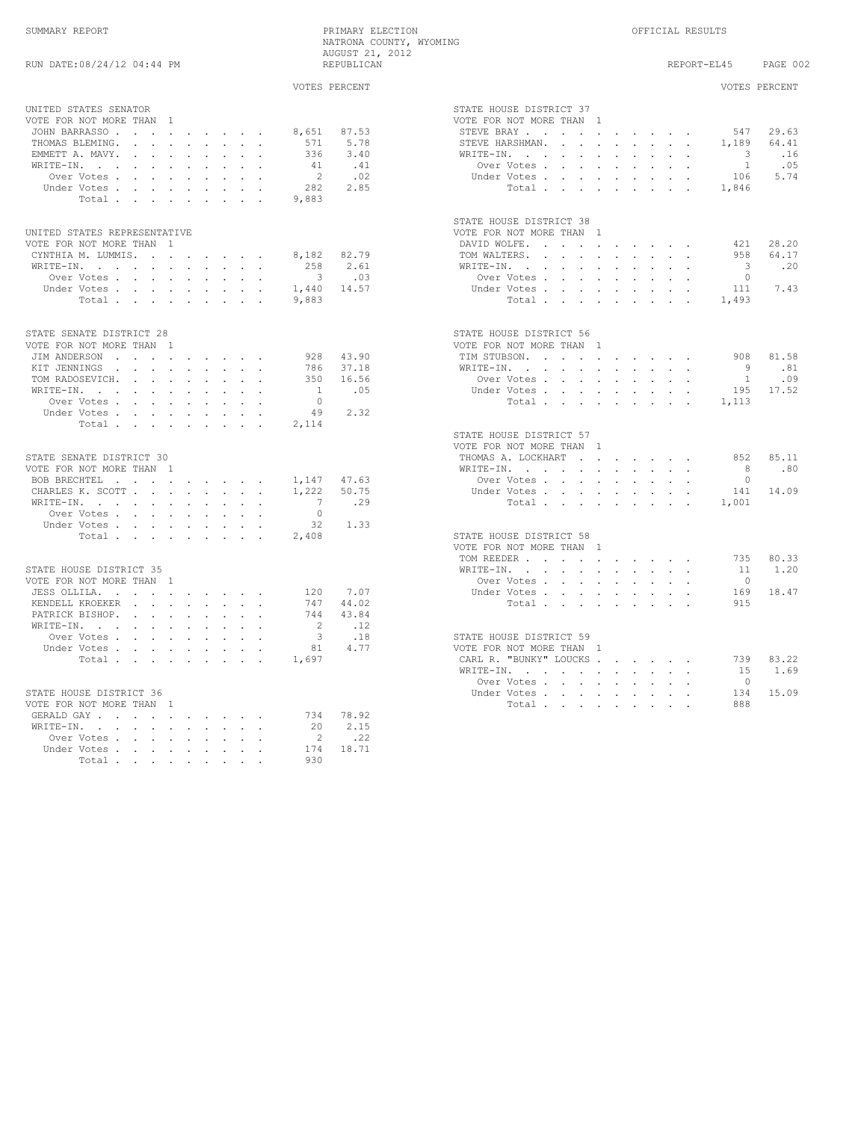| SUMMARY REPORT             | PRIMARY ELECTION        | OFFICIAL RESULTS        |
|----------------------------|-------------------------|-------------------------|
|                            | NATRONA COUNTY, WYOMING |                         |
|                            | AUGUST 21, 2012         |                         |
| RUN DATE:08/24/12 04:44 PM | REPUBLICAN              | PAGE 002<br>REPORT-EL45 |

| UNITED STATES SENATOR<br>STATE HOUSE DISTRICT 37<br>VOTE FOR NOT MORE THAN 1<br>VOTE FOR NOT MORE THAN 1<br>8,651 87.53<br>29.63<br>JOHN BARRASSO<br>STEVE BRAY 547<br>5.78<br>1,189<br>THOMAS BLEMING.<br>571<br>STEVE HARSHMAN.<br>64.41<br>.16<br>EMMETT A. MAVY.<br>336<br>3.40<br>WRITE-IN.<br>$\overline{\phantom{a}}$<br>41 .41<br>.05<br>WRITE-IN.<br>Over Votes, , , , , , , , ,<br>$\overline{1}$<br>$\sim$ 2<br>.02<br>5.74<br>Over Votes<br>Under Votes<br>106<br>Total1,846<br>282 2.85<br>Under Votes<br>Total<br>9,883<br>STATE HOUSE DISTRICT 38<br>UNITED STATES REPRESENTATIVE<br>VOTE FOR NOT MORE THAN 1<br>VOTE FOR NOT MORE THAN 1<br>DAVID WOLFE, , , , , , , , , ,<br>421<br>28.20<br>CYNTHIA M. LUMMIS.<br>8,182 82.79<br>TOM WALTERS.<br>64.17<br>958<br>258 2.61<br>$\overline{\phantom{a}}$<br>.20<br>WRITE-IN.<br>WRITE-IN.<br>$3 \qquad .03$<br>Over Votes<br>$\overline{0}$<br>Over Votes<br>1,440 14.57<br>7.43<br>Under Votes<br>Under Votes<br>111<br>Total 1,493<br>Total<br>9,883<br>STATE SENATE DISTRICT 28<br>STATE HOUSE DISTRICT 56<br>VOTE FOR NOT MORE THAN 1<br>VOTE FOR NOT MORE THAN 1<br>JIM ANDERSON<br>928 43.90<br>TIM STUBSON.<br>908 81.58<br>.81<br>KIT JENNINGS<br>786 37.18<br>WRITE-IN.<br>$\overline{9}$<br>TOM RADOSEVICH.<br>Over Votes, , , , , , , , ,<br>$-1$<br>.09<br>350 16.56<br>17.52<br>$\mathtt{WRITE-IN.} \qquad \qquad \ldots \qquad \qquad \ldots \qquad \qquad \ldots \qquad \ldots \qquad \ldots$<br>$\overline{1}$<br>.05<br>Under Votes<br>195<br>Over Votes<br>$\overline{0}$<br>Total 1,113<br>49 2.32<br>Under Votes<br>Total<br>2,114<br>STATE HOUSE DISTRICT 57<br>VOTE FOR NOT MORE THAN 1<br>85.11<br>STATE SENATE DISTRICT 30<br>THOMAS A. LOCKHART<br>8.52<br>WRITE-IN.<br>8.80<br>VOTE FOR NOT MORE THAN 1<br>$\bigcirc$<br>BOB BRECHTEL<br>1,147 47.63<br>Over Votes<br>141 14.09<br>CHARLES K. SCOTT<br>1,222 50.75<br>Under Votes.<br>WRITE-IN.<br>$\overline{7}$<br>.29<br>1,001<br>Total<br>Over Votes<br>$\overline{0}$<br>32 1.33<br>Under Votes<br>STATE HOUSE DISTRICT 58<br>Total<br>2,408<br>VOTE FOR NOT MORE THAN 1<br>80.33<br>TOM REEDER<br>735<br>STATE HOUSE DISTRICT 35<br>WRITE-IN.<br>11 1.20<br>VOTE FOR NOT MORE THAN 1<br>Over Votes<br>$\overline{0}$<br>7.07<br>169<br>18.47<br>JESS OLLILA.<br>Under Votes<br>120<br>KENDELL KROEKER<br>747 44.02<br>Total<br>915<br>PATRICK BISHOP.<br>744<br>43.84<br>$\ldots$<br>WRITE-IN.<br>$\overline{2}$<br>Over Votes<br>$\overline{\mathbf{3}}$<br>.18<br>STATE HOUSE DISTRICT 59<br>81 4.77<br>Under Votes<br>VOTE FOR NOT MORE THAN 1<br>CARL R. "BUNKY" LOUCKS<br>83.22<br>Total,<br>1,697<br>739<br>1.69<br>WRITE-IN.<br>15<br>Over Votes, , , , , , , , ,<br>$\cap$<br>STATE HOUSE DISTRICT 36<br>Under Votes<br>134 15.09<br>888<br>VOTE FOR NOT MORE THAN 1<br>Total<br>GERALD GAY<br>734 78.92<br>20 2.15<br>WRITE-IN.<br>2 .22<br>Over Votes, , , , , , , , ,<br>174 18.71<br>Under Votes<br>Total<br>930 | VVIDJ FERUENI | VUIBO IBNUBNI |
|-----------------------------------------------------------------------------------------------------------------------------------------------------------------------------------------------------------------------------------------------------------------------------------------------------------------------------------------------------------------------------------------------------------------------------------------------------------------------------------------------------------------------------------------------------------------------------------------------------------------------------------------------------------------------------------------------------------------------------------------------------------------------------------------------------------------------------------------------------------------------------------------------------------------------------------------------------------------------------------------------------------------------------------------------------------------------------------------------------------------------------------------------------------------------------------------------------------------------------------------------------------------------------------------------------------------------------------------------------------------------------------------------------------------------------------------------------------------------------------------------------------------------------------------------------------------------------------------------------------------------------------------------------------------------------------------------------------------------------------------------------------------------------------------------------------------------------------------------------------------------------------------------------------------------------------------------------------------------------------------------------------------------------------------------------------------------------------------------------------------------------------------------------------------------------------------------------------------------------------------------------------------------------------------------------------------------------------------------------------------------------------------------------------------------------------------------------------------------------------------------------------------------------------------------------------------------------------------------------------------------------------------------------------------------------------------------------------------------------------------------------------------------------------------------------------------------------------------------------------------------------------------------------------------------------------------------------------------------------|---------------|---------------|
|                                                                                                                                                                                                                                                                                                                                                                                                                                                                                                                                                                                                                                                                                                                                                                                                                                                                                                                                                                                                                                                                                                                                                                                                                                                                                                                                                                                                                                                                                                                                                                                                                                                                                                                                                                                                                                                                                                                                                                                                                                                                                                                                                                                                                                                                                                                                                                                                                                                                                                                                                                                                                                                                                                                                                                                                                                                                                                                                                                             |               |               |
|                                                                                                                                                                                                                                                                                                                                                                                                                                                                                                                                                                                                                                                                                                                                                                                                                                                                                                                                                                                                                                                                                                                                                                                                                                                                                                                                                                                                                                                                                                                                                                                                                                                                                                                                                                                                                                                                                                                                                                                                                                                                                                                                                                                                                                                                                                                                                                                                                                                                                                                                                                                                                                                                                                                                                                                                                                                                                                                                                                             |               |               |
|                                                                                                                                                                                                                                                                                                                                                                                                                                                                                                                                                                                                                                                                                                                                                                                                                                                                                                                                                                                                                                                                                                                                                                                                                                                                                                                                                                                                                                                                                                                                                                                                                                                                                                                                                                                                                                                                                                                                                                                                                                                                                                                                                                                                                                                                                                                                                                                                                                                                                                                                                                                                                                                                                                                                                                                                                                                                                                                                                                             |               |               |
|                                                                                                                                                                                                                                                                                                                                                                                                                                                                                                                                                                                                                                                                                                                                                                                                                                                                                                                                                                                                                                                                                                                                                                                                                                                                                                                                                                                                                                                                                                                                                                                                                                                                                                                                                                                                                                                                                                                                                                                                                                                                                                                                                                                                                                                                                                                                                                                                                                                                                                                                                                                                                                                                                                                                                                                                                                                                                                                                                                             |               |               |
|                                                                                                                                                                                                                                                                                                                                                                                                                                                                                                                                                                                                                                                                                                                                                                                                                                                                                                                                                                                                                                                                                                                                                                                                                                                                                                                                                                                                                                                                                                                                                                                                                                                                                                                                                                                                                                                                                                                                                                                                                                                                                                                                                                                                                                                                                                                                                                                                                                                                                                                                                                                                                                                                                                                                                                                                                                                                                                                                                                             |               |               |
|                                                                                                                                                                                                                                                                                                                                                                                                                                                                                                                                                                                                                                                                                                                                                                                                                                                                                                                                                                                                                                                                                                                                                                                                                                                                                                                                                                                                                                                                                                                                                                                                                                                                                                                                                                                                                                                                                                                                                                                                                                                                                                                                                                                                                                                                                                                                                                                                                                                                                                                                                                                                                                                                                                                                                                                                                                                                                                                                                                             |               |               |
|                                                                                                                                                                                                                                                                                                                                                                                                                                                                                                                                                                                                                                                                                                                                                                                                                                                                                                                                                                                                                                                                                                                                                                                                                                                                                                                                                                                                                                                                                                                                                                                                                                                                                                                                                                                                                                                                                                                                                                                                                                                                                                                                                                                                                                                                                                                                                                                                                                                                                                                                                                                                                                                                                                                                                                                                                                                                                                                                                                             |               |               |
|                                                                                                                                                                                                                                                                                                                                                                                                                                                                                                                                                                                                                                                                                                                                                                                                                                                                                                                                                                                                                                                                                                                                                                                                                                                                                                                                                                                                                                                                                                                                                                                                                                                                                                                                                                                                                                                                                                                                                                                                                                                                                                                                                                                                                                                                                                                                                                                                                                                                                                                                                                                                                                                                                                                                                                                                                                                                                                                                                                             |               |               |
|                                                                                                                                                                                                                                                                                                                                                                                                                                                                                                                                                                                                                                                                                                                                                                                                                                                                                                                                                                                                                                                                                                                                                                                                                                                                                                                                                                                                                                                                                                                                                                                                                                                                                                                                                                                                                                                                                                                                                                                                                                                                                                                                                                                                                                                                                                                                                                                                                                                                                                                                                                                                                                                                                                                                                                                                                                                                                                                                                                             |               |               |
|                                                                                                                                                                                                                                                                                                                                                                                                                                                                                                                                                                                                                                                                                                                                                                                                                                                                                                                                                                                                                                                                                                                                                                                                                                                                                                                                                                                                                                                                                                                                                                                                                                                                                                                                                                                                                                                                                                                                                                                                                                                                                                                                                                                                                                                                                                                                                                                                                                                                                                                                                                                                                                                                                                                                                                                                                                                                                                                                                                             |               |               |
|                                                                                                                                                                                                                                                                                                                                                                                                                                                                                                                                                                                                                                                                                                                                                                                                                                                                                                                                                                                                                                                                                                                                                                                                                                                                                                                                                                                                                                                                                                                                                                                                                                                                                                                                                                                                                                                                                                                                                                                                                                                                                                                                                                                                                                                                                                                                                                                                                                                                                                                                                                                                                                                                                                                                                                                                                                                                                                                                                                             |               |               |
|                                                                                                                                                                                                                                                                                                                                                                                                                                                                                                                                                                                                                                                                                                                                                                                                                                                                                                                                                                                                                                                                                                                                                                                                                                                                                                                                                                                                                                                                                                                                                                                                                                                                                                                                                                                                                                                                                                                                                                                                                                                                                                                                                                                                                                                                                                                                                                                                                                                                                                                                                                                                                                                                                                                                                                                                                                                                                                                                                                             |               |               |
|                                                                                                                                                                                                                                                                                                                                                                                                                                                                                                                                                                                                                                                                                                                                                                                                                                                                                                                                                                                                                                                                                                                                                                                                                                                                                                                                                                                                                                                                                                                                                                                                                                                                                                                                                                                                                                                                                                                                                                                                                                                                                                                                                                                                                                                                                                                                                                                                                                                                                                                                                                                                                                                                                                                                                                                                                                                                                                                                                                             |               |               |
|                                                                                                                                                                                                                                                                                                                                                                                                                                                                                                                                                                                                                                                                                                                                                                                                                                                                                                                                                                                                                                                                                                                                                                                                                                                                                                                                                                                                                                                                                                                                                                                                                                                                                                                                                                                                                                                                                                                                                                                                                                                                                                                                                                                                                                                                                                                                                                                                                                                                                                                                                                                                                                                                                                                                                                                                                                                                                                                                                                             |               |               |
|                                                                                                                                                                                                                                                                                                                                                                                                                                                                                                                                                                                                                                                                                                                                                                                                                                                                                                                                                                                                                                                                                                                                                                                                                                                                                                                                                                                                                                                                                                                                                                                                                                                                                                                                                                                                                                                                                                                                                                                                                                                                                                                                                                                                                                                                                                                                                                                                                                                                                                                                                                                                                                                                                                                                                                                                                                                                                                                                                                             |               |               |
|                                                                                                                                                                                                                                                                                                                                                                                                                                                                                                                                                                                                                                                                                                                                                                                                                                                                                                                                                                                                                                                                                                                                                                                                                                                                                                                                                                                                                                                                                                                                                                                                                                                                                                                                                                                                                                                                                                                                                                                                                                                                                                                                                                                                                                                                                                                                                                                                                                                                                                                                                                                                                                                                                                                                                                                                                                                                                                                                                                             |               |               |
|                                                                                                                                                                                                                                                                                                                                                                                                                                                                                                                                                                                                                                                                                                                                                                                                                                                                                                                                                                                                                                                                                                                                                                                                                                                                                                                                                                                                                                                                                                                                                                                                                                                                                                                                                                                                                                                                                                                                                                                                                                                                                                                                                                                                                                                                                                                                                                                                                                                                                                                                                                                                                                                                                                                                                                                                                                                                                                                                                                             |               |               |
|                                                                                                                                                                                                                                                                                                                                                                                                                                                                                                                                                                                                                                                                                                                                                                                                                                                                                                                                                                                                                                                                                                                                                                                                                                                                                                                                                                                                                                                                                                                                                                                                                                                                                                                                                                                                                                                                                                                                                                                                                                                                                                                                                                                                                                                                                                                                                                                                                                                                                                                                                                                                                                                                                                                                                                                                                                                                                                                                                                             |               |               |
|                                                                                                                                                                                                                                                                                                                                                                                                                                                                                                                                                                                                                                                                                                                                                                                                                                                                                                                                                                                                                                                                                                                                                                                                                                                                                                                                                                                                                                                                                                                                                                                                                                                                                                                                                                                                                                                                                                                                                                                                                                                                                                                                                                                                                                                                                                                                                                                                                                                                                                                                                                                                                                                                                                                                                                                                                                                                                                                                                                             |               |               |
|                                                                                                                                                                                                                                                                                                                                                                                                                                                                                                                                                                                                                                                                                                                                                                                                                                                                                                                                                                                                                                                                                                                                                                                                                                                                                                                                                                                                                                                                                                                                                                                                                                                                                                                                                                                                                                                                                                                                                                                                                                                                                                                                                                                                                                                                                                                                                                                                                                                                                                                                                                                                                                                                                                                                                                                                                                                                                                                                                                             |               |               |
|                                                                                                                                                                                                                                                                                                                                                                                                                                                                                                                                                                                                                                                                                                                                                                                                                                                                                                                                                                                                                                                                                                                                                                                                                                                                                                                                                                                                                                                                                                                                                                                                                                                                                                                                                                                                                                                                                                                                                                                                                                                                                                                                                                                                                                                                                                                                                                                                                                                                                                                                                                                                                                                                                                                                                                                                                                                                                                                                                                             |               |               |
|                                                                                                                                                                                                                                                                                                                                                                                                                                                                                                                                                                                                                                                                                                                                                                                                                                                                                                                                                                                                                                                                                                                                                                                                                                                                                                                                                                                                                                                                                                                                                                                                                                                                                                                                                                                                                                                                                                                                                                                                                                                                                                                                                                                                                                                                                                                                                                                                                                                                                                                                                                                                                                                                                                                                                                                                                                                                                                                                                                             |               |               |
|                                                                                                                                                                                                                                                                                                                                                                                                                                                                                                                                                                                                                                                                                                                                                                                                                                                                                                                                                                                                                                                                                                                                                                                                                                                                                                                                                                                                                                                                                                                                                                                                                                                                                                                                                                                                                                                                                                                                                                                                                                                                                                                                                                                                                                                                                                                                                                                                                                                                                                                                                                                                                                                                                                                                                                                                                                                                                                                                                                             |               |               |
|                                                                                                                                                                                                                                                                                                                                                                                                                                                                                                                                                                                                                                                                                                                                                                                                                                                                                                                                                                                                                                                                                                                                                                                                                                                                                                                                                                                                                                                                                                                                                                                                                                                                                                                                                                                                                                                                                                                                                                                                                                                                                                                                                                                                                                                                                                                                                                                                                                                                                                                                                                                                                                                                                                                                                                                                                                                                                                                                                                             |               |               |
|                                                                                                                                                                                                                                                                                                                                                                                                                                                                                                                                                                                                                                                                                                                                                                                                                                                                                                                                                                                                                                                                                                                                                                                                                                                                                                                                                                                                                                                                                                                                                                                                                                                                                                                                                                                                                                                                                                                                                                                                                                                                                                                                                                                                                                                                                                                                                                                                                                                                                                                                                                                                                                                                                                                                                                                                                                                                                                                                                                             |               |               |
|                                                                                                                                                                                                                                                                                                                                                                                                                                                                                                                                                                                                                                                                                                                                                                                                                                                                                                                                                                                                                                                                                                                                                                                                                                                                                                                                                                                                                                                                                                                                                                                                                                                                                                                                                                                                                                                                                                                                                                                                                                                                                                                                                                                                                                                                                                                                                                                                                                                                                                                                                                                                                                                                                                                                                                                                                                                                                                                                                                             |               |               |
|                                                                                                                                                                                                                                                                                                                                                                                                                                                                                                                                                                                                                                                                                                                                                                                                                                                                                                                                                                                                                                                                                                                                                                                                                                                                                                                                                                                                                                                                                                                                                                                                                                                                                                                                                                                                                                                                                                                                                                                                                                                                                                                                                                                                                                                                                                                                                                                                                                                                                                                                                                                                                                                                                                                                                                                                                                                                                                                                                                             |               |               |
|                                                                                                                                                                                                                                                                                                                                                                                                                                                                                                                                                                                                                                                                                                                                                                                                                                                                                                                                                                                                                                                                                                                                                                                                                                                                                                                                                                                                                                                                                                                                                                                                                                                                                                                                                                                                                                                                                                                                                                                                                                                                                                                                                                                                                                                                                                                                                                                                                                                                                                                                                                                                                                                                                                                                                                                                                                                                                                                                                                             |               |               |
|                                                                                                                                                                                                                                                                                                                                                                                                                                                                                                                                                                                                                                                                                                                                                                                                                                                                                                                                                                                                                                                                                                                                                                                                                                                                                                                                                                                                                                                                                                                                                                                                                                                                                                                                                                                                                                                                                                                                                                                                                                                                                                                                                                                                                                                                                                                                                                                                                                                                                                                                                                                                                                                                                                                                                                                                                                                                                                                                                                             |               |               |
|                                                                                                                                                                                                                                                                                                                                                                                                                                                                                                                                                                                                                                                                                                                                                                                                                                                                                                                                                                                                                                                                                                                                                                                                                                                                                                                                                                                                                                                                                                                                                                                                                                                                                                                                                                                                                                                                                                                                                                                                                                                                                                                                                                                                                                                                                                                                                                                                                                                                                                                                                                                                                                                                                                                                                                                                                                                                                                                                                                             |               |               |
|                                                                                                                                                                                                                                                                                                                                                                                                                                                                                                                                                                                                                                                                                                                                                                                                                                                                                                                                                                                                                                                                                                                                                                                                                                                                                                                                                                                                                                                                                                                                                                                                                                                                                                                                                                                                                                                                                                                                                                                                                                                                                                                                                                                                                                                                                                                                                                                                                                                                                                                                                                                                                                                                                                                                                                                                                                                                                                                                                                             |               |               |
|                                                                                                                                                                                                                                                                                                                                                                                                                                                                                                                                                                                                                                                                                                                                                                                                                                                                                                                                                                                                                                                                                                                                                                                                                                                                                                                                                                                                                                                                                                                                                                                                                                                                                                                                                                                                                                                                                                                                                                                                                                                                                                                                                                                                                                                                                                                                                                                                                                                                                                                                                                                                                                                                                                                                                                                                                                                                                                                                                                             |               |               |
|                                                                                                                                                                                                                                                                                                                                                                                                                                                                                                                                                                                                                                                                                                                                                                                                                                                                                                                                                                                                                                                                                                                                                                                                                                                                                                                                                                                                                                                                                                                                                                                                                                                                                                                                                                                                                                                                                                                                                                                                                                                                                                                                                                                                                                                                                                                                                                                                                                                                                                                                                                                                                                                                                                                                                                                                                                                                                                                                                                             |               |               |
|                                                                                                                                                                                                                                                                                                                                                                                                                                                                                                                                                                                                                                                                                                                                                                                                                                                                                                                                                                                                                                                                                                                                                                                                                                                                                                                                                                                                                                                                                                                                                                                                                                                                                                                                                                                                                                                                                                                                                                                                                                                                                                                                                                                                                                                                                                                                                                                                                                                                                                                                                                                                                                                                                                                                                                                                                                                                                                                                                                             |               |               |
|                                                                                                                                                                                                                                                                                                                                                                                                                                                                                                                                                                                                                                                                                                                                                                                                                                                                                                                                                                                                                                                                                                                                                                                                                                                                                                                                                                                                                                                                                                                                                                                                                                                                                                                                                                                                                                                                                                                                                                                                                                                                                                                                                                                                                                                                                                                                                                                                                                                                                                                                                                                                                                                                                                                                                                                                                                                                                                                                                                             |               |               |
|                                                                                                                                                                                                                                                                                                                                                                                                                                                                                                                                                                                                                                                                                                                                                                                                                                                                                                                                                                                                                                                                                                                                                                                                                                                                                                                                                                                                                                                                                                                                                                                                                                                                                                                                                                                                                                                                                                                                                                                                                                                                                                                                                                                                                                                                                                                                                                                                                                                                                                                                                                                                                                                                                                                                                                                                                                                                                                                                                                             |               |               |
|                                                                                                                                                                                                                                                                                                                                                                                                                                                                                                                                                                                                                                                                                                                                                                                                                                                                                                                                                                                                                                                                                                                                                                                                                                                                                                                                                                                                                                                                                                                                                                                                                                                                                                                                                                                                                                                                                                                                                                                                                                                                                                                                                                                                                                                                                                                                                                                                                                                                                                                                                                                                                                                                                                                                                                                                                                                                                                                                                                             |               |               |
|                                                                                                                                                                                                                                                                                                                                                                                                                                                                                                                                                                                                                                                                                                                                                                                                                                                                                                                                                                                                                                                                                                                                                                                                                                                                                                                                                                                                                                                                                                                                                                                                                                                                                                                                                                                                                                                                                                                                                                                                                                                                                                                                                                                                                                                                                                                                                                                                                                                                                                                                                                                                                                                                                                                                                                                                                                                                                                                                                                             |               |               |
|                                                                                                                                                                                                                                                                                                                                                                                                                                                                                                                                                                                                                                                                                                                                                                                                                                                                                                                                                                                                                                                                                                                                                                                                                                                                                                                                                                                                                                                                                                                                                                                                                                                                                                                                                                                                                                                                                                                                                                                                                                                                                                                                                                                                                                                                                                                                                                                                                                                                                                                                                                                                                                                                                                                                                                                                                                                                                                                                                                             |               |               |
|                                                                                                                                                                                                                                                                                                                                                                                                                                                                                                                                                                                                                                                                                                                                                                                                                                                                                                                                                                                                                                                                                                                                                                                                                                                                                                                                                                                                                                                                                                                                                                                                                                                                                                                                                                                                                                                                                                                                                                                                                                                                                                                                                                                                                                                                                                                                                                                                                                                                                                                                                                                                                                                                                                                                                                                                                                                                                                                                                                             |               |               |
|                                                                                                                                                                                                                                                                                                                                                                                                                                                                                                                                                                                                                                                                                                                                                                                                                                                                                                                                                                                                                                                                                                                                                                                                                                                                                                                                                                                                                                                                                                                                                                                                                                                                                                                                                                                                                                                                                                                                                                                                                                                                                                                                                                                                                                                                                                                                                                                                                                                                                                                                                                                                                                                                                                                                                                                                                                                                                                                                                                             |               |               |
|                                                                                                                                                                                                                                                                                                                                                                                                                                                                                                                                                                                                                                                                                                                                                                                                                                                                                                                                                                                                                                                                                                                                                                                                                                                                                                                                                                                                                                                                                                                                                                                                                                                                                                                                                                                                                                                                                                                                                                                                                                                                                                                                                                                                                                                                                                                                                                                                                                                                                                                                                                                                                                                                                                                                                                                                                                                                                                                                                                             |               |               |
|                                                                                                                                                                                                                                                                                                                                                                                                                                                                                                                                                                                                                                                                                                                                                                                                                                                                                                                                                                                                                                                                                                                                                                                                                                                                                                                                                                                                                                                                                                                                                                                                                                                                                                                                                                                                                                                                                                                                                                                                                                                                                                                                                                                                                                                                                                                                                                                                                                                                                                                                                                                                                                                                                                                                                                                                                                                                                                                                                                             |               |               |
|                                                                                                                                                                                                                                                                                                                                                                                                                                                                                                                                                                                                                                                                                                                                                                                                                                                                                                                                                                                                                                                                                                                                                                                                                                                                                                                                                                                                                                                                                                                                                                                                                                                                                                                                                                                                                                                                                                                                                                                                                                                                                                                                                                                                                                                                                                                                                                                                                                                                                                                                                                                                                                                                                                                                                                                                                                                                                                                                                                             |               |               |
|                                                                                                                                                                                                                                                                                                                                                                                                                                                                                                                                                                                                                                                                                                                                                                                                                                                                                                                                                                                                                                                                                                                                                                                                                                                                                                                                                                                                                                                                                                                                                                                                                                                                                                                                                                                                                                                                                                                                                                                                                                                                                                                                                                                                                                                                                                                                                                                                                                                                                                                                                                                                                                                                                                                                                                                                                                                                                                                                                                             |               |               |
|                                                                                                                                                                                                                                                                                                                                                                                                                                                                                                                                                                                                                                                                                                                                                                                                                                                                                                                                                                                                                                                                                                                                                                                                                                                                                                                                                                                                                                                                                                                                                                                                                                                                                                                                                                                                                                                                                                                                                                                                                                                                                                                                                                                                                                                                                                                                                                                                                                                                                                                                                                                                                                                                                                                                                                                                                                                                                                                                                                             |               |               |
|                                                                                                                                                                                                                                                                                                                                                                                                                                                                                                                                                                                                                                                                                                                                                                                                                                                                                                                                                                                                                                                                                                                                                                                                                                                                                                                                                                                                                                                                                                                                                                                                                                                                                                                                                                                                                                                                                                                                                                                                                                                                                                                                                                                                                                                                                                                                                                                                                                                                                                                                                                                                                                                                                                                                                                                                                                                                                                                                                                             |               |               |
|                                                                                                                                                                                                                                                                                                                                                                                                                                                                                                                                                                                                                                                                                                                                                                                                                                                                                                                                                                                                                                                                                                                                                                                                                                                                                                                                                                                                                                                                                                                                                                                                                                                                                                                                                                                                                                                                                                                                                                                                                                                                                                                                                                                                                                                                                                                                                                                                                                                                                                                                                                                                                                                                                                                                                                                                                                                                                                                                                                             |               |               |
|                                                                                                                                                                                                                                                                                                                                                                                                                                                                                                                                                                                                                                                                                                                                                                                                                                                                                                                                                                                                                                                                                                                                                                                                                                                                                                                                                                                                                                                                                                                                                                                                                                                                                                                                                                                                                                                                                                                                                                                                                                                                                                                                                                                                                                                                                                                                                                                                                                                                                                                                                                                                                                                                                                                                                                                                                                                                                                                                                                             |               |               |
|                                                                                                                                                                                                                                                                                                                                                                                                                                                                                                                                                                                                                                                                                                                                                                                                                                                                                                                                                                                                                                                                                                                                                                                                                                                                                                                                                                                                                                                                                                                                                                                                                                                                                                                                                                                                                                                                                                                                                                                                                                                                                                                                                                                                                                                                                                                                                                                                                                                                                                                                                                                                                                                                                                                                                                                                                                                                                                                                                                             |               |               |
|                                                                                                                                                                                                                                                                                                                                                                                                                                                                                                                                                                                                                                                                                                                                                                                                                                                                                                                                                                                                                                                                                                                                                                                                                                                                                                                                                                                                                                                                                                                                                                                                                                                                                                                                                                                                                                                                                                                                                                                                                                                                                                                                                                                                                                                                                                                                                                                                                                                                                                                                                                                                                                                                                                                                                                                                                                                                                                                                                                             |               |               |
|                                                                                                                                                                                                                                                                                                                                                                                                                                                                                                                                                                                                                                                                                                                                                                                                                                                                                                                                                                                                                                                                                                                                                                                                                                                                                                                                                                                                                                                                                                                                                                                                                                                                                                                                                                                                                                                                                                                                                                                                                                                                                                                                                                                                                                                                                                                                                                                                                                                                                                                                                                                                                                                                                                                                                                                                                                                                                                                                                                             |               |               |
|                                                                                                                                                                                                                                                                                                                                                                                                                                                                                                                                                                                                                                                                                                                                                                                                                                                                                                                                                                                                                                                                                                                                                                                                                                                                                                                                                                                                                                                                                                                                                                                                                                                                                                                                                                                                                                                                                                                                                                                                                                                                                                                                                                                                                                                                                                                                                                                                                                                                                                                                                                                                                                                                                                                                                                                                                                                                                                                                                                             |               |               |
|                                                                                                                                                                                                                                                                                                                                                                                                                                                                                                                                                                                                                                                                                                                                                                                                                                                                                                                                                                                                                                                                                                                                                                                                                                                                                                                                                                                                                                                                                                                                                                                                                                                                                                                                                                                                                                                                                                                                                                                                                                                                                                                                                                                                                                                                                                                                                                                                                                                                                                                                                                                                                                                                                                                                                                                                                                                                                                                                                                             |               |               |
|                                                                                                                                                                                                                                                                                                                                                                                                                                                                                                                                                                                                                                                                                                                                                                                                                                                                                                                                                                                                                                                                                                                                                                                                                                                                                                                                                                                                                                                                                                                                                                                                                                                                                                                                                                                                                                                                                                                                                                                                                                                                                                                                                                                                                                                                                                                                                                                                                                                                                                                                                                                                                                                                                                                                                                                                                                                                                                                                                                             |               |               |
|                                                                                                                                                                                                                                                                                                                                                                                                                                                                                                                                                                                                                                                                                                                                                                                                                                                                                                                                                                                                                                                                                                                                                                                                                                                                                                                                                                                                                                                                                                                                                                                                                                                                                                                                                                                                                                                                                                                                                                                                                                                                                                                                                                                                                                                                                                                                                                                                                                                                                                                                                                                                                                                                                                                                                                                                                                                                                                                                                                             |               |               |
|                                                                                                                                                                                                                                                                                                                                                                                                                                                                                                                                                                                                                                                                                                                                                                                                                                                                                                                                                                                                                                                                                                                                                                                                                                                                                                                                                                                                                                                                                                                                                                                                                                                                                                                                                                                                                                                                                                                                                                                                                                                                                                                                                                                                                                                                                                                                                                                                                                                                                                                                                                                                                                                                                                                                                                                                                                                                                                                                                                             |               |               |
|                                                                                                                                                                                                                                                                                                                                                                                                                                                                                                                                                                                                                                                                                                                                                                                                                                                                                                                                                                                                                                                                                                                                                                                                                                                                                                                                                                                                                                                                                                                                                                                                                                                                                                                                                                                                                                                                                                                                                                                                                                                                                                                                                                                                                                                                                                                                                                                                                                                                                                                                                                                                                                                                                                                                                                                                                                                                                                                                                                             |               |               |
|                                                                                                                                                                                                                                                                                                                                                                                                                                                                                                                                                                                                                                                                                                                                                                                                                                                                                                                                                                                                                                                                                                                                                                                                                                                                                                                                                                                                                                                                                                                                                                                                                                                                                                                                                                                                                                                                                                                                                                                                                                                                                                                                                                                                                                                                                                                                                                                                                                                                                                                                                                                                                                                                                                                                                                                                                                                                                                                                                                             |               |               |
|                                                                                                                                                                                                                                                                                                                                                                                                                                                                                                                                                                                                                                                                                                                                                                                                                                                                                                                                                                                                                                                                                                                                                                                                                                                                                                                                                                                                                                                                                                                                                                                                                                                                                                                                                                                                                                                                                                                                                                                                                                                                                                                                                                                                                                                                                                                                                                                                                                                                                                                                                                                                                                                                                                                                                                                                                                                                                                                                                                             |               |               |
|                                                                                                                                                                                                                                                                                                                                                                                                                                                                                                                                                                                                                                                                                                                                                                                                                                                                                                                                                                                                                                                                                                                                                                                                                                                                                                                                                                                                                                                                                                                                                                                                                                                                                                                                                                                                                                                                                                                                                                                                                                                                                                                                                                                                                                                                                                                                                                                                                                                                                                                                                                                                                                                                                                                                                                                                                                                                                                                                                                             |               |               |
|                                                                                                                                                                                                                                                                                                                                                                                                                                                                                                                                                                                                                                                                                                                                                                                                                                                                                                                                                                                                                                                                                                                                                                                                                                                                                                                                                                                                                                                                                                                                                                                                                                                                                                                                                                                                                                                                                                                                                                                                                                                                                                                                                                                                                                                                                                                                                                                                                                                                                                                                                                                                                                                                                                                                                                                                                                                                                                                                                                             |               |               |
|                                                                                                                                                                                                                                                                                                                                                                                                                                                                                                                                                                                                                                                                                                                                                                                                                                                                                                                                                                                                                                                                                                                                                                                                                                                                                                                                                                                                                                                                                                                                                                                                                                                                                                                                                                                                                                                                                                                                                                                                                                                                                                                                                                                                                                                                                                                                                                                                                                                                                                                                                                                                                                                                                                                                                                                                                                                                                                                                                                             |               |               |

| STATE HOUSE DISTRICT 37   |              |                             |                           |                          |                                |                             |                                                                                         |                             |                            |                                                                                                                                   |                                                                          |                                                       |
|---------------------------|--------------|-----------------------------|---------------------------|--------------------------|--------------------------------|-----------------------------|-----------------------------------------------------------------------------------------|-----------------------------|----------------------------|-----------------------------------------------------------------------------------------------------------------------------------|--------------------------------------------------------------------------|-------------------------------------------------------|
| VOTE FOR NOT MORE THAN 1  |              |                             |                           |                          |                                |                             |                                                                                         |                             |                            |                                                                                                                                   |                                                                          |                                                       |
| STEVE BRAY                |              |                             |                           |                          |                                |                             |                                                                                         |                             |                            |                                                                                                                                   |                                                                          |                                                       |
|                           |              |                             |                           |                          | $\sim 10^{-11}$                |                             |                                                                                         |                             |                            | $\mathcal{A}^{\mathcal{A}}$ , and $\mathcal{A}^{\mathcal{A}}$ , and $\mathcal{A}^{\mathcal{A}}$ , and $\mathcal{A}^{\mathcal{A}}$ | $547$ 29.63<br>1,189 64.41                                               |                                                       |
| STEVE HARSHMAN. .         |              |                             |                           | $\sim 10^{-11}$          | $\sim$ $\sim$                  | $\sim$                      | $\mathcal{L}^{\pm}$                                                                     | $\mathcal{L}^{\pm}$         | $\sim$                     | $\sim 10^{-11}$                                                                                                                   |                                                                          |                                                       |
| WRITE-IN.                 |              |                             | $\sim$                    | $\mathcal{L}^{\pm}$      | $\sim$ $\sim$                  | $\sim$                      | $\mathbf{L}^{\mathrm{max}}$                                                             | $\mathcal{L}_{\mathcal{A}}$ | $\sim$                     | $\sim 10^{-11}$                                                                                                                   | $\overline{\mathbf{3}}$                                                  | .16                                                   |
| Over Votes                |              |                             |                           | $\ddot{\phantom{0}}$     | $\ddot{\phantom{0}}$           | $\mathcal{L}^{\pm}$         |                                                                                         |                             |                            | $\mathcal{L}^{\text{max}}$                                                                                                        |                                                                          | $\begin{array}{cc} 1 & .05 \\ 106 & 5.74 \end{array}$ |
| Under Votes .             |              |                             | $\mathbf{L}^{\text{max}}$ | $\sim$                   | $\mathcal{L}^{\pm}$            | $\sim$                      | $\bullet$ .                                                                             | $\mathcal{L}^{\pm}$         |                            | <b>Contract</b>                                                                                                                   |                                                                          |                                                       |
|                           | Total.       |                             | $\sim$                    | $\sim 10^{-11}$          | $\sim$                         | $\sim$                      | $\sim$                                                                                  | $\sim$                      |                            | $\sim$ $\sim$ $\sim$                                                                                                              | 1,846                                                                    |                                                       |
|                           |              |                             |                           |                          |                                |                             |                                                                                         |                             |                            |                                                                                                                                   |                                                                          |                                                       |
| STATE HOUSE DISTRICT 38   |              |                             |                           |                          |                                |                             |                                                                                         |                             |                            |                                                                                                                                   |                                                                          |                                                       |
| VOTE FOR NOT MORE THAN 1  |              |                             |                           |                          |                                |                             |                                                                                         |                             |                            |                                                                                                                                   |                                                                          |                                                       |
| DAVID WOLFE.              |              |                             |                           |                          | $\sim 10^{-11}$                |                             |                                                                                         |                             |                            |                                                                                                                                   |                                                                          |                                                       |
| TOM WALTERS.              |              | $\sim$                      | $\sim$                    | $\sim$                   | $\sim$                         | $\sim$                      |                                                                                         |                             |                            |                                                                                                                                   |                                                                          |                                                       |
| WRITE-IN. .               |              | $\sim$                      | $\sim$                    | $\sim$                   | $\sim$                         | $\sim$                      |                                                                                         |                             |                            | $\sim$                                                                                                                            | 3 <sup>7</sup>                                                           | .20                                                   |
|                           |              |                             |                           | $\ddot{\phantom{a}}$     | $\mathcal{L}^{\pm}$            | $\mathcal{L}_{\mathcal{A}}$ | $\mathcal{L}^{\pm}$                                                                     | $\mathcal{L}^{\pm}$         | $\sim$                     | $\sim$                                                                                                                            | $\overline{0}$                                                           |                                                       |
| Over Votes<br>Under Votes |              |                             |                           | $\sim$                   | $\ddot{\phantom{0}}$           | $\sim$                      |                                                                                         | $\mathbf{r}$                | $\mathbf{r}$               |                                                                                                                                   |                                                                          | $111$ 7.43                                            |
|                           | Total        |                             |                           |                          |                                |                             |                                                                                         |                             |                            |                                                                                                                                   | 1,493                                                                    |                                                       |
|                           |              |                             |                           |                          | $\mathcal{L}^{\pm}$            | $\sim$                      | $\sim$                                                                                  | $\ddot{\phantom{0}}$        | $\sim$                     | $\sim$ $\sim$                                                                                                                     |                                                                          |                                                       |
| STATE HOUSE DISTRICT 56   |              |                             |                           |                          |                                |                             |                                                                                         |                             |                            |                                                                                                                                   |                                                                          |                                                       |
| VOTE FOR NOT MORE THAN 1  |              |                             |                           |                          |                                |                             |                                                                                         |                             |                            |                                                                                                                                   |                                                                          |                                                       |
|                           |              |                             |                           |                          |                                |                             |                                                                                         |                             |                            |                                                                                                                                   |                                                                          | 908 81.58                                             |
| TIM STUBSON.              |              |                             |                           |                          | $\sim 10^{-1}$                 | $\sim$                      | $\sim 10^{-11}$                                                                         |                             |                            | <b>Contract Contract</b>                                                                                                          |                                                                          |                                                       |
| WRITE-IN. .               |              | $\mathcal{L}^{\mathcal{L}}$ | $\mathcal{L}^{\pm}$       | $\sim$ $-$               | $\sim$                         | $\sim$                      | $\sim$                                                                                  | $\mathcal{L}^{\pm}$         |                            | <b>Carl Carl</b>                                                                                                                  | $\begin{array}{c} 9 \\ 1 \end{array}$                                    |                                                       |
| Over Votes .              |              |                             | $\sim$                    | $\sim$                   | $\ddot{\phantom{0}}$           | $\sim$                      | $\ddot{\phantom{0}}$                                                                    |                             |                            |                                                                                                                                   |                                                                          |                                                       |
| Under Votes.              |              |                             | $\sim$                    | $\ddot{\phantom{0}}$     | $\ddot{\phantom{0}}$           | $\sim$                      | $\mathcal{L}^{\pm}$                                                                     | $\mathcal{L}^{\pm}$         | $\ddot{\phantom{0}}$       |                                                                                                                                   |                                                                          |                                                       |
|                           | Total        |                             |                           | $\sim$                   | $\sim 10^{-11}$                | $\sim$                      | $\sim$                                                                                  | $\sim$                      | $\sim$                     | $\sim$                                                                                                                            | 1,113                                                                    |                                                       |
|                           |              |                             |                           |                          |                                |                             |                                                                                         |                             |                            |                                                                                                                                   |                                                                          |                                                       |
| STATE HOUSE DISTRICT 57   |              |                             |                           |                          |                                |                             |                                                                                         |                             |                            |                                                                                                                                   |                                                                          |                                                       |
| VOTE FOR NOT MORE THAN 1  |              |                             |                           |                          |                                |                             |                                                                                         |                             |                            |                                                                                                                                   |                                                                          |                                                       |
| THOMAS A. LOCKHART        |              |                             |                           |                          |                                |                             | $\mathcal{A}^{\mathcal{A}}$ , $\mathcal{A}^{\mathcal{A}}$ , $\mathcal{A}^{\mathcal{A}}$ |                             |                            |                                                                                                                                   | . . 852 85.11                                                            |                                                       |
| WRITE-IN.                 |              |                             |                           | $\sim$                   | $\sim$                         |                             |                                                                                         |                             |                            |                                                                                                                                   | $\frac{8}{0}$                                                            | .80                                                   |
| Over Votes.               |              |                             | $\sim$                    | $\mathcal{L}^{\pm}$      | $\mathcal{L}^{\pm}$            | $\mathcal{L}^{\pm}$         | $\ddot{\phantom{0}}$                                                                    |                             | $\mathcal{L}^{\pm}$        |                                                                                                                                   | $\overline{0}$                                                           |                                                       |
| Under Votes.              |              |                             | $\sim$                    | $\sim$                   | $\mathcal{L}^{\pm}$            | $\sim$                      | $\mathbf{r} = \mathbf{r}$                                                               | $\ddot{\phantom{0}}$        | $\mathcal{L}^{\text{max}}$ |                                                                                                                                   |                                                                          | 141 14.09                                             |
|                           | Total.       |                             |                           | <b>Sales Controllers</b> |                                | $\sim$                      | $\sim$ $\sim$                                                                           | $\sim$                      |                            | <b>Service</b>                                                                                                                    | 1,001                                                                    |                                                       |
|                           |              |                             |                           |                          |                                |                             |                                                                                         |                             |                            |                                                                                                                                   |                                                                          |                                                       |
| STATE HOUSE DISTRICT 58   |              |                             |                           |                          |                                |                             |                                                                                         |                             |                            |                                                                                                                                   |                                                                          |                                                       |
| VOTE FOR NOT MORE THAN 1  |              |                             |                           |                          |                                |                             |                                                                                         |                             |                            |                                                                                                                                   |                                                                          |                                                       |
|                           |              |                             |                           |                          |                                |                             |                                                                                         |                             |                            |                                                                                                                                   |                                                                          |                                                       |
| TOM REEDER                |              |                             |                           |                          | $\sim$ $-$                     |                             |                                                                                         |                             |                            |                                                                                                                                   |                                                                          |                                                       |
| WRITE-IN. .               |              | $\ddot{\phantom{a}}$        | $\ddot{\phantom{a}}$      | $\sim$                   | $\ddot{\phantom{0}}$           |                             |                                                                                         |                             |                            |                                                                                                                                   |                                                                          | 1.20                                                  |
| Over Votes .              |              |                             | $\sim$                    | $\sim$                   | $\mathcal{L}^{\pm}$            | $\sim$                      | $\mathcal{L}^{\mathcal{L}}$                                                             |                             |                            |                                                                                                                                   | $\overline{0}$                                                           |                                                       |
| Under Votes               |              |                             |                           | $\sim 10$                | $\sim$                         | $\sim$                      | $\mathcal{L}^{\text{max}}$                                                              | $\ddot{\phantom{a}}$        |                            | <b>Contract</b>                                                                                                                   |                                                                          | 169 18.47                                             |
|                           | Total        |                             |                           |                          |                                |                             |                                                                                         |                             |                            |                                                                                                                                   | 915                                                                      |                                                       |
|                           |              |                             |                           |                          |                                |                             |                                                                                         |                             |                            |                                                                                                                                   |                                                                          |                                                       |
| STATE HOUSE DISTRICT 59   |              |                             |                           |                          |                                |                             |                                                                                         |                             |                            |                                                                                                                                   |                                                                          |                                                       |
| VOTE FOR NOT MORE THAN 1  |              |                             |                           |                          |                                |                             |                                                                                         |                             |                            |                                                                                                                                   |                                                                          |                                                       |
| CARL R. "BUNKY" LOUCKS.   |              |                             |                           |                          |                                | $\sim$                      |                                                                                         |                             |                            |                                                                                                                                   |                                                                          |                                                       |
| WRITE-IN.                 |              |                             |                           |                          | $\mathcal{L}^{\text{max}}$ and | $\sim$                      | $\ddot{\phantom{0}}$                                                                    |                             |                            |                                                                                                                                   | $\begin{array}{ccc} 739 & & 83.22 \\ 15 & & 1.69 \\ 0 & & & \end{array}$ |                                                       |
|                           | Over Votes . |                             | $\sim$                    | <b>Carl Carl</b>         |                                | $\Delta \sim 10$            | $\mathcal{L}^{\text{max}}$                                                              |                             |                            | $\begin{array}{ccc} 1 & 1 & 1 \\ 1 & 1 & 1 \end{array}$                                                                           |                                                                          |                                                       |
| Under Votes .             |              |                             | $\sim$                    | $\sim$                   | $\sim$                         | $\sim 10^{-11}$             |                                                                                         |                             |                            |                                                                                                                                   |                                                                          | $134$ 15.09                                           |
|                           | Total.       |                             | $\sim 100$                | $\sim$                   | $\sim$                         |                             | $\bullet$ .                                                                             |                             |                            | $\begin{array}{ccc} 1 & 1 & 1 \\ 1 & 1 & 1 \\ 1 & 1 & 1 \end{array}$                                                              | 888                                                                      |                                                       |
|                           |              |                             |                           |                          |                                |                             |                                                                                         |                             |                            |                                                                                                                                   |                                                                          |                                                       |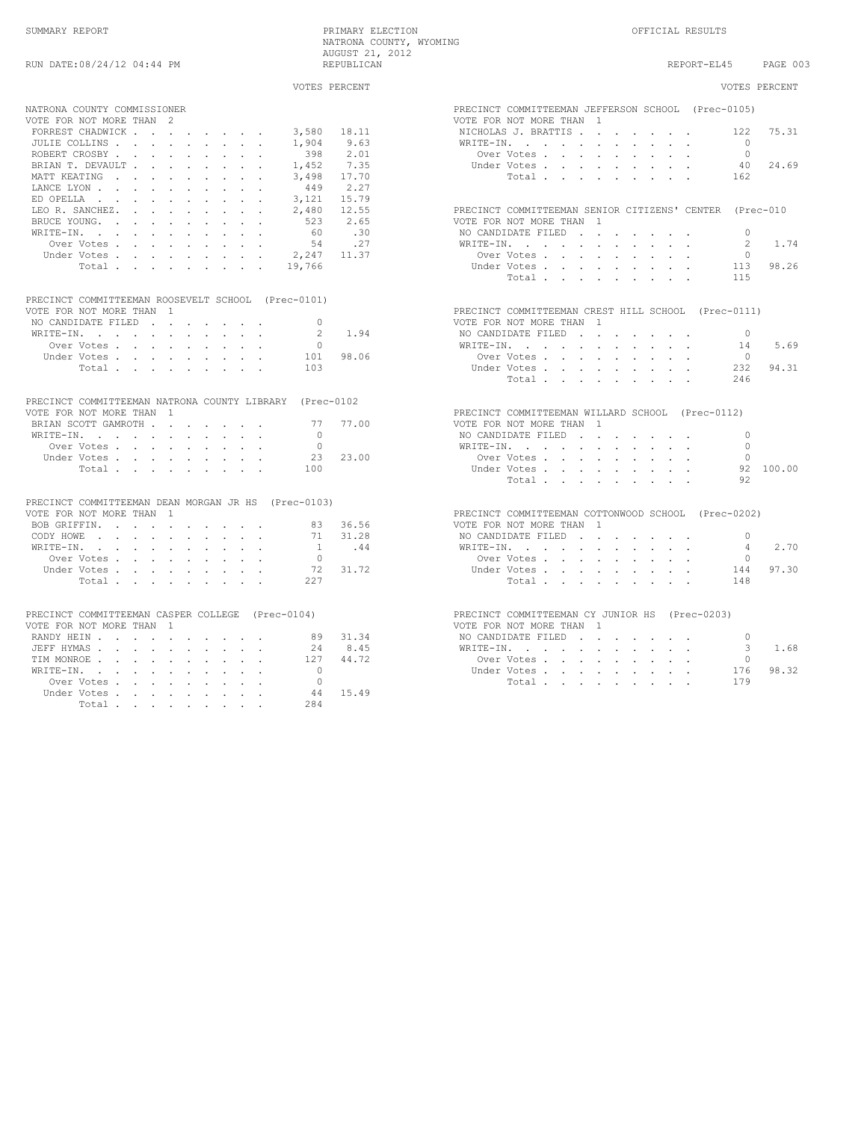|                                                                                 | VOTES PERCENT | VOTES PERCENT                                                                                                                                                                                                                                                                                                                                                                                                                                                                                                                                                                                                                                                                  |
|---------------------------------------------------------------------------------|---------------|--------------------------------------------------------------------------------------------------------------------------------------------------------------------------------------------------------------------------------------------------------------------------------------------------------------------------------------------------------------------------------------------------------------------------------------------------------------------------------------------------------------------------------------------------------------------------------------------------------------------------------------------------------------------------------|
| NATRONA COUNTY COMMISSIONER                                                     |               | PRECINCT COMMITTEEMAN JEFFERSON SCHOOL (Prec-0105)                                                                                                                                                                                                                                                                                                                                                                                                                                                                                                                                                                                                                             |
| VOTE FOR NOT MORE THAN 2                                                        |               | VOTE FOR NOT MORE THAN 1                                                                                                                                                                                                                                                                                                                                                                                                                                                                                                                                                                                                                                                       |
| FORREST CHADWICK<br>3,580                                                       | 18.11         | NICHOLAS J. BRATTIS<br>75.31<br>122                                                                                                                                                                                                                                                                                                                                                                                                                                                                                                                                                                                                                                            |
| JULIE COLLINS<br>1,904                                                          | 9.63          | WRITE-IN, , , , , , , , , ,<br>$\bigcirc$                                                                                                                                                                                                                                                                                                                                                                                                                                                                                                                                                                                                                                      |
| ROBERT CROSBY<br>398                                                            | 2.01          | $\Omega$<br>Over Votes                                                                                                                                                                                                                                                                                                                                                                                                                                                                                                                                                                                                                                                         |
| BRIAN T. DEVAULT<br>1,452                                                       | 7.35          | Under Votes<br>40<br>24.69                                                                                                                                                                                                                                                                                                                                                                                                                                                                                                                                                                                                                                                     |
| MATT KEATING<br>3,498                                                           | 17.70         | Total<br>162                                                                                                                                                                                                                                                                                                                                                                                                                                                                                                                                                                                                                                                                   |
| 449<br>LANCE LYON                                                               | 2.27          |                                                                                                                                                                                                                                                                                                                                                                                                                                                                                                                                                                                                                                                                                |
| ED OPELLA<br>3,121                                                              | 15.79         |                                                                                                                                                                                                                                                                                                                                                                                                                                                                                                                                                                                                                                                                                |
| LEO R. SANCHEZ.<br>2,480                                                        | 12.55         | PRECINCT COMMITTEEMAN SENIOR CITIZENS' CENTER (Prec-010                                                                                                                                                                                                                                                                                                                                                                                                                                                                                                                                                                                                                        |
| BRUCE YOUNG.<br>523                                                             | 2.65          | VOTE FOR NOT MORE THAN 1                                                                                                                                                                                                                                                                                                                                                                                                                                                                                                                                                                                                                                                       |
| 60<br>WRITE-IN.                                                                 | .30           | NO CANDIDATE FILED<br>$\bigcap$                                                                                                                                                                                                                                                                                                                                                                                                                                                                                                                                                                                                                                                |
| Over Votes.<br>54                                                               | .27           | WRITE-IN, , , , , , , , , ,<br>$\mathfrak{D}$<br>1.74                                                                                                                                                                                                                                                                                                                                                                                                                                                                                                                                                                                                                          |
| Under Votes,                                                                    | 11.37         | Over Votes, , , , , , , , ,<br>$\Omega$                                                                                                                                                                                                                                                                                                                                                                                                                                                                                                                                                                                                                                        |
| 2,247                                                                           |               | 98.26                                                                                                                                                                                                                                                                                                                                                                                                                                                                                                                                                                                                                                                                          |
| Total<br>19,766                                                                 |               | Under Votes<br>113                                                                                                                                                                                                                                                                                                                                                                                                                                                                                                                                                                                                                                                             |
|                                                                                 |               | Total<br>115                                                                                                                                                                                                                                                                                                                                                                                                                                                                                                                                                                                                                                                                   |
| PRECINCT COMMITTEEMAN ROOSEVELT SCHOOL (Prec-0101)                              |               |                                                                                                                                                                                                                                                                                                                                                                                                                                                                                                                                                                                                                                                                                |
| VOTE FOR NOT MORE THAN 1                                                        |               | PRECINCT COMMITTEEMAN CREST HILL SCHOOL (Prec-0111)                                                                                                                                                                                                                                                                                                                                                                                                                                                                                                                                                                                                                            |
| NO CANDIDATE FILED<br>$\Omega$                                                  |               | VOTE FOR NOT MORE THAN 1                                                                                                                                                                                                                                                                                                                                                                                                                                                                                                                                                                                                                                                       |
| WRITE-IN.<br>$\mathfrak{D}$                                                     | 1.94          | NO CANDIDATE FILED<br>$\Omega$                                                                                                                                                                                                                                                                                                                                                                                                                                                                                                                                                                                                                                                 |
| Over Votes.<br>$\Omega$                                                         |               | WRITE-IN, , , , , , , , , ,<br>5.69<br>14                                                                                                                                                                                                                                                                                                                                                                                                                                                                                                                                                                                                                                      |
| Under Votes, , , , , , , , ,<br>101                                             | 98.06         | Over Votes, and a constant of the constant of the constant of the constant of the constant of the constant of the constant of the constant of the constant of the constant of the constant of the constant of the constant of<br>$\bigcap$                                                                                                                                                                                                                                                                                                                                                                                                                                     |
| Total<br>103                                                                    |               | 94.31<br>Under Votes<br>232                                                                                                                                                                                                                                                                                                                                                                                                                                                                                                                                                                                                                                                    |
|                                                                                 |               | Total<br>246                                                                                                                                                                                                                                                                                                                                                                                                                                                                                                                                                                                                                                                                   |
|                                                                                 |               |                                                                                                                                                                                                                                                                                                                                                                                                                                                                                                                                                                                                                                                                                |
| PRECINCT COMMITTEEMAN NATRONA COUNTY LIBRARY (Prec-0102                         |               |                                                                                                                                                                                                                                                                                                                                                                                                                                                                                                                                                                                                                                                                                |
| VOTE FOR NOT MORE THAN 1                                                        |               | PRECINCT COMMITTEEMAN WILLARD SCHOOL (Prec-0112)                                                                                                                                                                                                                                                                                                                                                                                                                                                                                                                                                                                                                               |
| BRIAN SCOTT GAMROTH<br>77                                                       | 77.00         | VOTE FOR NOT MORE THAN 1                                                                                                                                                                                                                                                                                                                                                                                                                                                                                                                                                                                                                                                       |
| WRITE-IN.<br>$\cap$                                                             |               | NO CANDIDATE FILED<br>$\bigcap$                                                                                                                                                                                                                                                                                                                                                                                                                                                                                                                                                                                                                                                |
| Over Votes<br>$\bigcirc$                                                        |               | $\Omega$<br>$\mathtt{WRTTE-IN.} \qquad \qquad \centerdot \qquad \centerdot \qquad \centerdot \qquad \centerdot \qquad \centerdot \qquad \centerdot \qquad \centerdot \qquad \centerdot \qquad \centerdot \qquad \centerdot \qquad \centerdot \qquad \centerdot \qquad \centerdot \qquad \centerdot \qquad \centerdot \qquad \centerdot \qquad \centerdot \qquad \centerdot \qquad \centerdot \qquad \centerdot \qquad \centerdot \qquad \centerdot \qquad \centerdot \qquad \centerdot \qquad \centerdot \qquad \centerdot \qquad \centerdot \qquad \centerdot \qquad \centerdot \qquad \centerdot \qquad \centerdot \qquad \centerdot \qquad \centerdot \qquad \centerdot \q$ |
| Under Votes<br>23                                                               | 23.00         | Over Votes<br>$\bigcap$                                                                                                                                                                                                                                                                                                                                                                                                                                                                                                                                                                                                                                                        |
| Total<br>100                                                                    |               | 92 100.00<br>Under Votes                                                                                                                                                                                                                                                                                                                                                                                                                                                                                                                                                                                                                                                       |
|                                                                                 |               | 92<br>Total                                                                                                                                                                                                                                                                                                                                                                                                                                                                                                                                                                                                                                                                    |
|                                                                                 |               |                                                                                                                                                                                                                                                                                                                                                                                                                                                                                                                                                                                                                                                                                |
| PRECINCT COMMITTEEMAN DEAN MORGAN JR HS (Prec-0103)<br>VOTE FOR NOT MORE THAN 1 |               |                                                                                                                                                                                                                                                                                                                                                                                                                                                                                                                                                                                                                                                                                |
|                                                                                 | 83 36.56      | PRECINCT COMMITTEEMAN COTTONWOOD SCHOOL (Prec-0202)                                                                                                                                                                                                                                                                                                                                                                                                                                                                                                                                                                                                                            |
| BOB GRIFFIN, , , , , , , , , ,                                                  |               | VOTE FOR NOT MORE THAN 1                                                                                                                                                                                                                                                                                                                                                                                                                                                                                                                                                                                                                                                       |
| CODY HOWE                                                                       | 71 31.28      | NO CANDIDATE FILED<br>$\Omega$                                                                                                                                                                                                                                                                                                                                                                                                                                                                                                                                                                                                                                                 |
| WRITE-IN.<br>$\overline{1}$                                                     | .44           | 2.70<br>WRITE-IN.<br>4                                                                                                                                                                                                                                                                                                                                                                                                                                                                                                                                                                                                                                                         |
| $\Omega$<br>Over Votes                                                          |               | Over Votes<br>$\Omega$                                                                                                                                                                                                                                                                                                                                                                                                                                                                                                                                                                                                                                                         |
| 72<br>Under Votes,                                                              | 31.72         | 97.30<br>Under Votes, , , , , , , , ,<br>144                                                                                                                                                                                                                                                                                                                                                                                                                                                                                                                                                                                                                                   |
| 227<br>Total                                                                    |               | Total.<br>148                                                                                                                                                                                                                                                                                                                                                                                                                                                                                                                                                                                                                                                                  |
|                                                                                 |               |                                                                                                                                                                                                                                                                                                                                                                                                                                                                                                                                                                                                                                                                                |
| PRECINCT COMMITTEEMAN CASPER COLLEGE (Prec-0104)                                |               | PRECINCT COMMITTEEMAN CY JUNIOR HS (Prec-0203)                                                                                                                                                                                                                                                                                                                                                                                                                                                                                                                                                                                                                                 |
|                                                                                 |               | VOTE FOR NOT MORE THAN 1                                                                                                                                                                                                                                                                                                                                                                                                                                                                                                                                                                                                                                                       |
| VOTE FOR NOT MORE THAN 1                                                        |               |                                                                                                                                                                                                                                                                                                                                                                                                                                                                                                                                                                                                                                                                                |
| RANDY HEIN<br>89                                                                | 31.34         | NO CANDIDATE FILED<br>$\Omega$                                                                                                                                                                                                                                                                                                                                                                                                                                                                                                                                                                                                                                                 |
| JEFF HYMAS<br>2.4                                                               | 8.45          | WRITE-IN.<br>3<br>1.68                                                                                                                                                                                                                                                                                                                                                                                                                                                                                                                                                                                                                                                         |
| TIM MONROE<br>127                                                               | 44.72         | Over Votes<br>$\mathbf{0}$                                                                                                                                                                                                                                                                                                                                                                                                                                                                                                                                                                                                                                                     |
| WRITE-IN.<br>$\bigcap$                                                          |               | 98.32<br>Under Votes<br>176                                                                                                                                                                                                                                                                                                                                                                                                                                                                                                                                                                                                                                                    |
| Over Votes<br>$\bigcap$                                                         |               | Total<br>179                                                                                                                                                                                                                                                                                                                                                                                                                                                                                                                                                                                                                                                                   |
| Under Votes<br>44                                                               | 15.49         |                                                                                                                                                                                                                                                                                                                                                                                                                                                                                                                                                                                                                                                                                |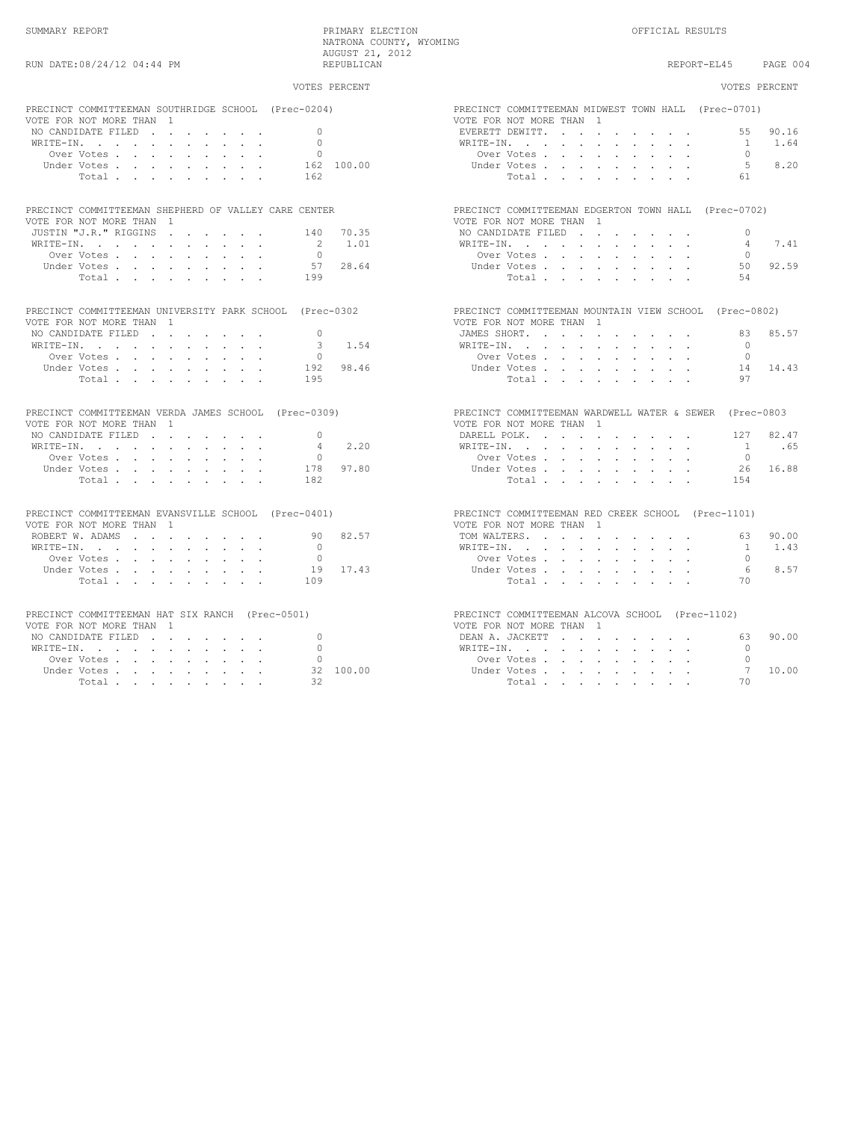| VOTES PERCENT                                           | VOTES PERCENT                                           |
|---------------------------------------------------------|---------------------------------------------------------|
| PRECINCT COMMITTEEMAN SOUTHRIDGE SCHOOL (Prec-0204)     | PRECINCT COMMITTEEMAN MIDWEST TOWN HALL (Prec-0701)     |
| VOTE FOR NOT MORE THAN 1                                | VOTE FOR NOT MORE THAN 1                                |
| $\cap$                                                  | EVERETT DEWITT.                                         |
| NO CANDIDATE FILED                                      | 55 90.16                                                |
| $\cap$<br>WRITE-IN.                                     | 1.64<br>WRITE-IN.<br>$\sim$ 1                           |
| $\circ$                                                 | Over Votes                                              |
| Over Votes                                              | $\bigcap$                                               |
| 162 100.00<br>Under Votes                               | $5 -$<br>8.20<br>Under Votes                            |
| 162                                                     | Total.                                                  |
| Total.                                                  | 61                                                      |
| PRECINCT COMMITTEEMAN SHEPHERD OF VALLEY CARE CENTER    | PRECINCT COMMITTEEMAN EDGERTON TOWN HALL (Prec-0702)    |
| VOTE FOR NOT MORE THAN 1                                | VOTE FOR NOT MORE THAN 1                                |
| JUSTIN "J.R." RIGGINS                                   | NO CANDIDATE FILED                                      |
| 140 70.35                                               | $\Omega$                                                |
| $2^{1}$                                                 | 7.41                                                    |
| 1.01                                                    | WRITE-IN.                                               |
| WRITE-IN.                                               | $4 \quad$                                               |
| Over Votes.                                             | Over Votes                                              |
| $\Omega$                                                | $\cap$                                                  |
| 57 28.64                                                | 50 92.59                                                |
| Under Votes                                             | Under Votes                                             |
| 199                                                     | Total                                                   |
| Total                                                   | 54                                                      |
| PRECINCT COMMITTEEMAN UNIVERSITY PARK SCHOOL (Prec-0302 | PRECINCT COMMITTEEMAN MOUNTAIN VIEW SCHOOL (Prec-0802)  |
| VOTE FOR NOT MORE THAN 1                                | VOTE FOR NOT MORE THAN 1                                |
| NO CANDIDATE FILED                                      | JAMES SHORT.                                            |
| $\cap$                                                  | 83 85.57                                                |
| 1.54<br>3<br>WRITE-IN.                                  | $\cap$<br>WRITE-IN.                                     |
| $\circ$                                                 | Over Votes, , , , , , , , ,                             |
| Over Votes                                              | $\Omega$                                                |
| 98.46<br>Under Votes<br>192                             | 14 14.43<br>Under Votes                                 |
| 195                                                     | 97                                                      |
| Total                                                   | Total                                                   |
|                                                         |                                                         |
| PRECINCT COMMITTEEMAN VERDA JAMES SCHOOL (Prec-0309)    | PRECINCT COMMITTEEMAN WARDWELL WATER & SEWER (Prec-0803 |
| VOTE FOR NOT MORE THAN 1                                | VOTE FOR NOT MORE THAN 1                                |
| NO CANDIDATE FILED<br>$\Omega$                          | DARELL POLK.<br>82.47<br>127                            |
| 2.20                                                    | .65                                                     |
| WRITE-IN.                                               | WRITE-IN.                                               |
| 4                                                       | $\sim$ 1                                                |
| $\Omega$                                                | Over Votes                                              |
| Over Votes                                              | $\Omega$                                                |
| 97.80<br>Under Votes<br>178                             | 26 16.88<br>Under Votes                                 |
| Total                                                   | Total, , , , , , , ,                                    |
| 182                                                     | 1.54                                                    |
|                                                         |                                                         |
| PRECINCT COMMITTEEMAN EVANSVILLE SCHOOL (Prec-0401)     | PRECINCT COMMITTEEMAN RED CREEK SCHOOL (Prec-1101)      |
| VOTE FOR NOT MORE THAN 1                                | VOTE FOR NOT MORE THAN 1                                |
| 90 82.57                                                | TOM WALTERS.                                            |
| ROBERT W. ADAMS                                         | 63 90.00                                                |
| $\Omega$<br>WRITE-IN.                                   | 1.43<br>WRITE-IN, , , , , , , , , , ,<br>$\sim$         |
| $\Omega$                                                | Over Votes                                              |
| Over Votes                                              | $\Omega$                                                |
| 19 17.43<br>Under Votes                                 | 6<br>8.57<br>Under Votes                                |
| 109                                                     | 70                                                      |
| Total.                                                  | Total.                                                  |
| PRECINCT COMMITTEEMAN HAT SIX RANCH (Prec-0501)         | PRECINCT COMMITTEEMAN ALCOVA SCHOOL (Prec-1102)         |
| VOTE FOR NOT MORE THAN 1                                | VOTE FOR NOT MORE THAN 1                                |
| $\Omega$<br>NO CANDIDATE FILED                          | 90.00<br>63.                                            |
| WRITE-IN.                                               | WRITE-IN.                                               |
| $\Omega$                                                | $\bigcap$                                               |
| $\Omega$                                                | Over Votes                                              |
| Over Votes                                              | $\bigcap$                                               |
| 32 100.00<br>Under Votes                                | 7<br>Under Votes, , , , , , , , ,<br>10.00              |
| 32                                                      | 70                                                      |
| Total                                                   | Total                                                   |
|                                                         |                                                         |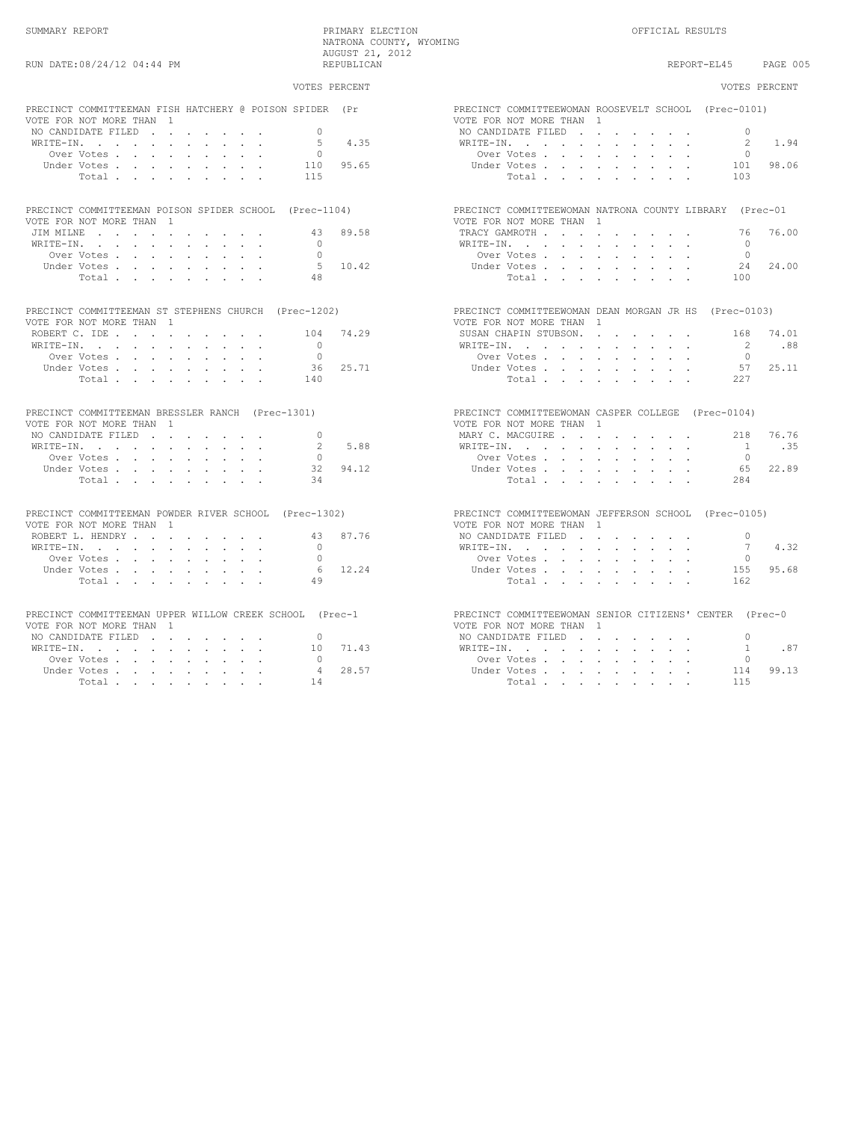## VOTES PERCENT VOTES PERCENT PRECINCT COMMITTEEMAN FISH HATCHERY @ POISON SPIDER (Pr PRECINCT COMMITTEEWOMAN ROOSEVELT SCHOOL (Prec-0101)<br>VOTE FOR NOT MORE THAN 1 VOTE FOR NOT MORE THAN 1 VOTE FOR NOT MORE THAN 1 NO CANDIDATE FILED . . . . . . . 0 NO CANDIDATE FILED . . . . . . . 0 WRITE-IN. . . . . . . . . . . 5 4.35 WRITE-IN. . . . . . . . . . . 2 1.94 Over Votes . . . . . . . . . 0 Over Votes . . . . . . . . . 0 Under Votes . . . . . . . . . 110 95.65 Under Votes . . . . . . . . . 101 98.06 Total . . . . . . . . . 115 Total . . . . . . . . . 103 PRECINCT COMMITTEEMAN POISON SPIDER SCHOOL (Prec-1104) PRECINCT COMMITTEEWOMAN NATRONA COUNTY LIBRARY (Prec-01 FOR NOT MORE THAN 1 VOTE FOR NOT MORE THAN 1<br>
VOTE FOR NOT MORE THAN 1<br>
VOTE FOR NOT MORE THAN 1<br>
VOTE FOR NOT MORE THAN JIM MILNE . . . . . . . . . . 43 89.58 TRACY GAMROTH . . . . . . . . . 76 76.00 WRITE-IN. . . . . . . . . . . 0 WRITE-IN. . . . . . . . . . . 0 Over Votes . . . . . . . . . 0 Over Votes . . . . . . . . . 0 Under Votes . . . . . . . . . 5 10.42 Under Votes . . . . . . . . . 24 24.00 Total . . . . . . . . . 48 Total . . . . . . . . . 100 PRECINCT COMMITTEEMAN ST STEPHENS CHURCH (Prec-1202) PRECINCT COMMITTEEWOMAN DEAN MORGAN JR HS (Prec-0103) VOTE FOR NOT MORE THAN 1<br>
VOTE FOR NOT MORE THAN 1<br>
ROBERT C. IDE . . . . . . . . . . . 104 74.29 SUSAN CHAPIN STUBSON. ROBERT C. IDE . . . . . . . . . 104 74.29 SUSAN CHAPIN STUBSON. . . . . . . 168 74.01 WRITE-IN. . . . . . . . . . . 0 WRITE-IN. . . . . . . . . . . 2 .88 Over Votes . . . . . . . . . 0 Over Votes . . . . . . . . . 0 Under Votes . . . . . . . . . 36 25.71 Under Votes . . . . . . . . . 57 25.11 Total . . . . . . . . . 140 Total . . . . . . . . . 227 PRECINCT COMMITTEEMAN BRESSLER RANCH (Prec-1301) PRECINCT COMMITTEEWOMAN CASPER COLLEGE (Prec-0104)<br>
PRECINCT COMMITTEEMAN 1 VOTE FOR NOT MORE THAN 1 VOTE FOR NOT MORE THAN 1 NO CANDIDATE FILED . . . . . . . 0 MARY C. MACGUIRE . . . . . . . . 218 76.76 WRITE-IN. . . . . . . . . . . 2 5.88 WRITE-IN. . . . . . . . . . . 1 .35 Over Votes . . . . . . . . . 0 Over Votes . . . . . . . . . 0 Under Votes . . . . . . . . . 32 94.12 Under Votes . . . . . . . . . 65 22.89 Total . . . . . . . . . 34 Total . . . . . . . . . 284 PRECINCT COMMITTEEMAN POWDER RIVER SCHOOL (Prec-1302) PRECINCT COMMITTEEWOMAN JEFFERSON SCHOOL (Prec-0105)<br>VOTE FOR NOT MORE THAN 1 VOTE FOR NOT MORE THAN 1 <br>
VOTE FOR NOT MORE THAN 1<br>
ROBERT L. HENDRY . . . . . . . . . . 43 87.76 NO CANDIDATE FILED . . ROBERT L. HENDRY . . . . . . . . 43 87.76 NO CANDIDATE FILED . . . . . . . 0 WRITE-IN. . . . . . . . . . . 0 WRITE-IN. . . . . . . . . . . 7 4.32 Over Votes . . . . . . . . . 0 Over Votes . . . . . . . . . 0 Under Votes . . . . . . . . . 6 12.24 Under Votes . . . . . . . . . 155 95.68 Total . . . . . . . . . 49 Total . . . . . . . . . 162 PRECINCT COMMITTEEMAN UPPER WILLOW CREEK SCHOOL (Prec-1 PRECINCT COMMITTEEWOMAN SENIOR CITIZENS' CENTER (Prec-0<br>VOTE FOR NOT MORE THAN 1 VOTE FOR NOT MORE THAN 1<br>NO CANDIDATE FILED 1. NO CANDIDATE FILED . . . . . . . 0 NO CANDIDATE FILED . . . . . . . 0 WRITE-IN. . . . . . . . . . . 10 71.43 WRITE-IN. . . . . . . . . . . 1 .87 Over Votes . . . . . . . . . 0 Over Votes . . . . . . . . . 0 Under Votes . . . . . . . . . 4 28.57 Under Votes . . . . . . . . . 114 99.13 Total . . . . . . . . . 14 Total . . . . . . . . . 115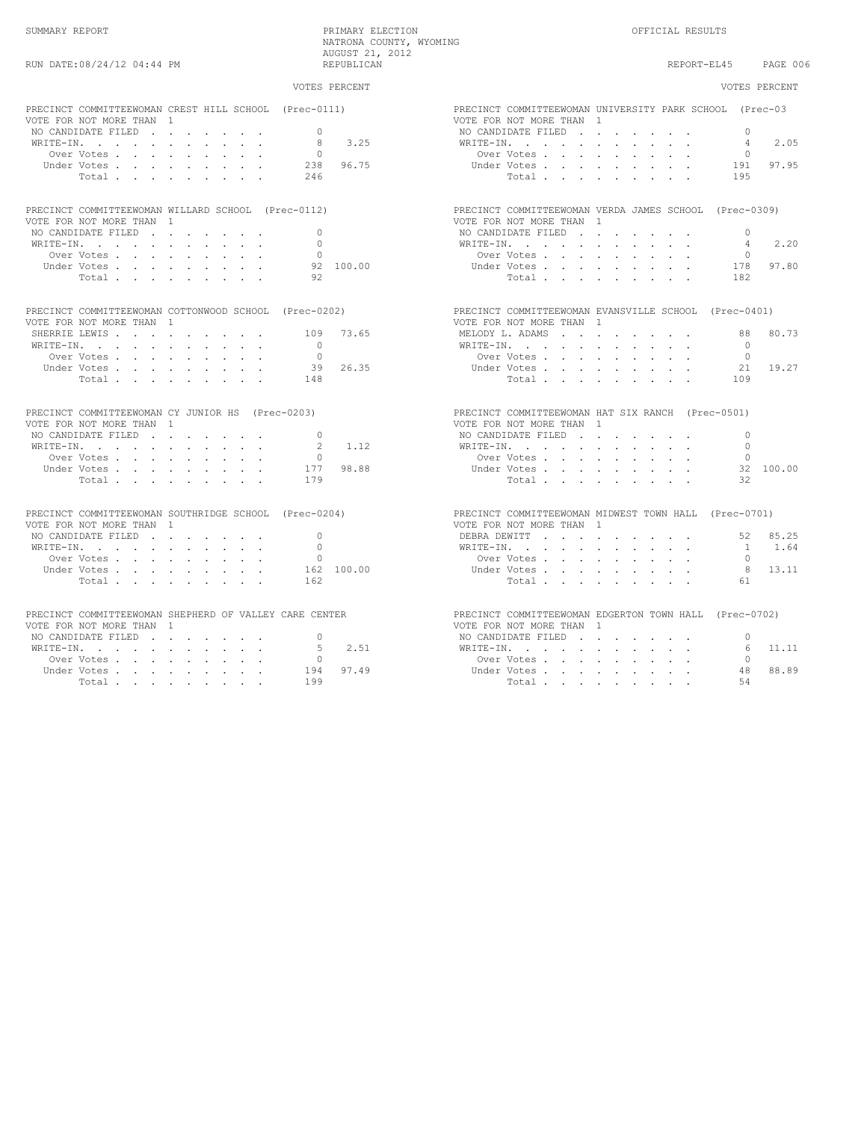| PRECINCT COMMITTEEWOMAN CREST HILL SCHOOL (Prec-0111)<br>PRECINCT COMMITTEEWOMAN UNIVERSITY PARK SCHOOL (Prec-03<br>VOTE FOR NOT MORE THAN 1<br>VOTE FOR NOT MORE THAN 1<br>NO CANDIDATE FILED<br>$\Omega$<br>NO CANDIDATE FILED<br>3.25<br>WRITE-IN.<br>-8<br>$\mathtt{WRTTE}\text{-}\mathtt{IN},\quad\text{.}\quad\text{.}\quad\text{.}\quad\text{.}\quad\text{.}\quad\text{.}\quad\text{.}\quad\text{.}\quad\text{.}\quad\text{.}\quad\text{.}\quad\text{.}$<br>Over Votes<br>$\overline{0}$<br>Over Votes<br>96.75<br>238<br>Under Votes<br>Under Votes, , , , , , , , ,<br>Total.<br>246<br>Total,<br>PRECINCT COMMITTEEWOMAN WILLARD SCHOOL (Prec-0112)<br>PRECINCT COMMITTEEWOMAN VERDA JAMES SCHOOL (Prec-0309)<br>VOTE FOR NOT MORE THAN 1<br>VOTE FOR NOT MORE THAN 1<br>NO CANDIDATE FILED<br>$\bigcirc$<br>NO CANDIDATE FILED<br>WRITE-IN.<br>$\Omega$<br>WRITE-IN.<br>Over Votes<br>$\bigcap$<br>Over Votes<br>Under Votes<br>92 100.00<br>Under Votes<br>92<br>Total<br>Total<br>PRECINCT COMMITTEEWOMAN COTTONWOOD SCHOOL (Prec-0202)<br>PRECINCT COMMITTEEWOMAN EVANSVILLE SCHOOL (Prec-0401)<br>VOTE FOR NOT MORE THAN 1<br>VOTE FOR NOT MORE THAN 1<br>73.65<br>MELODY L. ADAMS 88<br>SHERRIE LEWIS<br>109<br>WRITE-IN.<br>$\bigcirc$<br>WRITE-IN, , , , , , , , , , ,<br>Over Votes<br>$\bigcirc$<br>Over Votes<br>39 26.35<br>Under Votes, , , , , , , , ,<br>Under Votes, , , , , , , , ,<br>Total<br>148<br>Total.<br>PRECINCT COMMITTEEWOMAN CY JUNIOR HS (Prec-0203)<br>PRECINCT COMMITTEEWOMAN HAT SIX RANCH (Prec-0501)<br>VOTE FOR NOT MORE THAN 1<br>VOTE FOR NOT MORE THAN 1<br>NO CANDIDATE FILED<br>NO CANDIDATE FILED<br>$\circ$<br>WRITE-IN.<br>2<br>1.12<br>WRITE-IN.<br>$\Omega$<br>Over Votes<br>Over Votes<br>98.88<br>Under Votes, , , , , , , , ,<br>177<br>Under Votes<br>Total<br>Total.<br>179<br>PRECINCT COMMITTEEWOMAN SOUTHRIDGE SCHOOL (Prec-0204)<br>PRECINCT COMMITTEEWOMAN MIDWEST TOWN HALL (Prec-0701)<br>VOTE FOR NOT MORE THAN 1<br>VOTE FOR NOT MORE THAN 1<br>NO CANDIDATE FILED<br>$\Omega$<br>DEBRADEWITT<br>WRITE-IN.<br>$\bigcirc$<br>WRITE-IN.<br>Over Votes<br>$\bigcirc$<br>Over Votes<br>162 100.00<br>Under Votes<br>Under Votes<br>Total $\cdots$ $\cdots$ $\cdots$<br>162<br>Total |                |           |
|-------------------------------------------------------------------------------------------------------------------------------------------------------------------------------------------------------------------------------------------------------------------------------------------------------------------------------------------------------------------------------------------------------------------------------------------------------------------------------------------------------------------------------------------------------------------------------------------------------------------------------------------------------------------------------------------------------------------------------------------------------------------------------------------------------------------------------------------------------------------------------------------------------------------------------------------------------------------------------------------------------------------------------------------------------------------------------------------------------------------------------------------------------------------------------------------------------------------------------------------------------------------------------------------------------------------------------------------------------------------------------------------------------------------------------------------------------------------------------------------------------------------------------------------------------------------------------------------------------------------------------------------------------------------------------------------------------------------------------------------------------------------------------------------------------------------------------------------------------------------------------------------------------------------------------------------------------------------------------------------------------------------------------------------------------------------------------------------------------------------------------------------------------------------------------------------------------------------------------------------------------|----------------|-----------|
|                                                                                                                                                                                                                                                                                                                                                                                                                                                                                                                                                                                                                                                                                                                                                                                                                                                                                                                                                                                                                                                                                                                                                                                                                                                                                                                                                                                                                                                                                                                                                                                                                                                                                                                                                                                                                                                                                                                                                                                                                                                                                                                                                                                                                                                       | $\bigcap$      |           |
|                                                                                                                                                                                                                                                                                                                                                                                                                                                                                                                                                                                                                                                                                                                                                                                                                                                                                                                                                                                                                                                                                                                                                                                                                                                                                                                                                                                                                                                                                                                                                                                                                                                                                                                                                                                                                                                                                                                                                                                                                                                                                                                                                                                                                                                       | $\overline{4}$ | 2.05      |
|                                                                                                                                                                                                                                                                                                                                                                                                                                                                                                                                                                                                                                                                                                                                                                                                                                                                                                                                                                                                                                                                                                                                                                                                                                                                                                                                                                                                                                                                                                                                                                                                                                                                                                                                                                                                                                                                                                                                                                                                                                                                                                                                                                                                                                                       | $\Omega$       |           |
|                                                                                                                                                                                                                                                                                                                                                                                                                                                                                                                                                                                                                                                                                                                                                                                                                                                                                                                                                                                                                                                                                                                                                                                                                                                                                                                                                                                                                                                                                                                                                                                                                                                                                                                                                                                                                                                                                                                                                                                                                                                                                                                                                                                                                                                       | 191<br>195     | 97.95     |
|                                                                                                                                                                                                                                                                                                                                                                                                                                                                                                                                                                                                                                                                                                                                                                                                                                                                                                                                                                                                                                                                                                                                                                                                                                                                                                                                                                                                                                                                                                                                                                                                                                                                                                                                                                                                                                                                                                                                                                                                                                                                                                                                                                                                                                                       |                |           |
|                                                                                                                                                                                                                                                                                                                                                                                                                                                                                                                                                                                                                                                                                                                                                                                                                                                                                                                                                                                                                                                                                                                                                                                                                                                                                                                                                                                                                                                                                                                                                                                                                                                                                                                                                                                                                                                                                                                                                                                                                                                                                                                                                                                                                                                       | $\Omega$       |           |
|                                                                                                                                                                                                                                                                                                                                                                                                                                                                                                                                                                                                                                                                                                                                                                                                                                                                                                                                                                                                                                                                                                                                                                                                                                                                                                                                                                                                                                                                                                                                                                                                                                                                                                                                                                                                                                                                                                                                                                                                                                                                                                                                                                                                                                                       | $\overline{4}$ | 2.20      |
|                                                                                                                                                                                                                                                                                                                                                                                                                                                                                                                                                                                                                                                                                                                                                                                                                                                                                                                                                                                                                                                                                                                                                                                                                                                                                                                                                                                                                                                                                                                                                                                                                                                                                                                                                                                                                                                                                                                                                                                                                                                                                                                                                                                                                                                       | $\cap$         |           |
|                                                                                                                                                                                                                                                                                                                                                                                                                                                                                                                                                                                                                                                                                                                                                                                                                                                                                                                                                                                                                                                                                                                                                                                                                                                                                                                                                                                                                                                                                                                                                                                                                                                                                                                                                                                                                                                                                                                                                                                                                                                                                                                                                                                                                                                       | 178 97.80      |           |
|                                                                                                                                                                                                                                                                                                                                                                                                                                                                                                                                                                                                                                                                                                                                                                                                                                                                                                                                                                                                                                                                                                                                                                                                                                                                                                                                                                                                                                                                                                                                                                                                                                                                                                                                                                                                                                                                                                                                                                                                                                                                                                                                                                                                                                                       | 182            |           |
|                                                                                                                                                                                                                                                                                                                                                                                                                                                                                                                                                                                                                                                                                                                                                                                                                                                                                                                                                                                                                                                                                                                                                                                                                                                                                                                                                                                                                                                                                                                                                                                                                                                                                                                                                                                                                                                                                                                                                                                                                                                                                                                                                                                                                                                       |                |           |
|                                                                                                                                                                                                                                                                                                                                                                                                                                                                                                                                                                                                                                                                                                                                                                                                                                                                                                                                                                                                                                                                                                                                                                                                                                                                                                                                                                                                                                                                                                                                                                                                                                                                                                                                                                                                                                                                                                                                                                                                                                                                                                                                                                                                                                                       |                | 80.73     |
|                                                                                                                                                                                                                                                                                                                                                                                                                                                                                                                                                                                                                                                                                                                                                                                                                                                                                                                                                                                                                                                                                                                                                                                                                                                                                                                                                                                                                                                                                                                                                                                                                                                                                                                                                                                                                                                                                                                                                                                                                                                                                                                                                                                                                                                       | $\Omega$       |           |
|                                                                                                                                                                                                                                                                                                                                                                                                                                                                                                                                                                                                                                                                                                                                                                                                                                                                                                                                                                                                                                                                                                                                                                                                                                                                                                                                                                                                                                                                                                                                                                                                                                                                                                                                                                                                                                                                                                                                                                                                                                                                                                                                                                                                                                                       | $\Omega$       |           |
|                                                                                                                                                                                                                                                                                                                                                                                                                                                                                                                                                                                                                                                                                                                                                                                                                                                                                                                                                                                                                                                                                                                                                                                                                                                                                                                                                                                                                                                                                                                                                                                                                                                                                                                                                                                                                                                                                                                                                                                                                                                                                                                                                                                                                                                       | 21             | 19.27     |
|                                                                                                                                                                                                                                                                                                                                                                                                                                                                                                                                                                                                                                                                                                                                                                                                                                                                                                                                                                                                                                                                                                                                                                                                                                                                                                                                                                                                                                                                                                                                                                                                                                                                                                                                                                                                                                                                                                                                                                                                                                                                                                                                                                                                                                                       | 109            |           |
|                                                                                                                                                                                                                                                                                                                                                                                                                                                                                                                                                                                                                                                                                                                                                                                                                                                                                                                                                                                                                                                                                                                                                                                                                                                                                                                                                                                                                                                                                                                                                                                                                                                                                                                                                                                                                                                                                                                                                                                                                                                                                                                                                                                                                                                       |                |           |
|                                                                                                                                                                                                                                                                                                                                                                                                                                                                                                                                                                                                                                                                                                                                                                                                                                                                                                                                                                                                                                                                                                                                                                                                                                                                                                                                                                                                                                                                                                                                                                                                                                                                                                                                                                                                                                                                                                                                                                                                                                                                                                                                                                                                                                                       | $\Omega$       |           |
|                                                                                                                                                                                                                                                                                                                                                                                                                                                                                                                                                                                                                                                                                                                                                                                                                                                                                                                                                                                                                                                                                                                                                                                                                                                                                                                                                                                                                                                                                                                                                                                                                                                                                                                                                                                                                                                                                                                                                                                                                                                                                                                                                                                                                                                       | $\bigcap$      |           |
|                                                                                                                                                                                                                                                                                                                                                                                                                                                                                                                                                                                                                                                                                                                                                                                                                                                                                                                                                                                                                                                                                                                                                                                                                                                                                                                                                                                                                                                                                                                                                                                                                                                                                                                                                                                                                                                                                                                                                                                                                                                                                                                                                                                                                                                       | $\cap$         |           |
|                                                                                                                                                                                                                                                                                                                                                                                                                                                                                                                                                                                                                                                                                                                                                                                                                                                                                                                                                                                                                                                                                                                                                                                                                                                                                                                                                                                                                                                                                                                                                                                                                                                                                                                                                                                                                                                                                                                                                                                                                                                                                                                                                                                                                                                       |                | 32 100.00 |
|                                                                                                                                                                                                                                                                                                                                                                                                                                                                                                                                                                                                                                                                                                                                                                                                                                                                                                                                                                                                                                                                                                                                                                                                                                                                                                                                                                                                                                                                                                                                                                                                                                                                                                                                                                                                                                                                                                                                                                                                                                                                                                                                                                                                                                                       | 32             |           |
|                                                                                                                                                                                                                                                                                                                                                                                                                                                                                                                                                                                                                                                                                                                                                                                                                                                                                                                                                                                                                                                                                                                                                                                                                                                                                                                                                                                                                                                                                                                                                                                                                                                                                                                                                                                                                                                                                                                                                                                                                                                                                                                                                                                                                                                       |                |           |
|                                                                                                                                                                                                                                                                                                                                                                                                                                                                                                                                                                                                                                                                                                                                                                                                                                                                                                                                                                                                                                                                                                                                                                                                                                                                                                                                                                                                                                                                                                                                                                                                                                                                                                                                                                                                                                                                                                                                                                                                                                                                                                                                                                                                                                                       |                | 52 85.25  |
|                                                                                                                                                                                                                                                                                                                                                                                                                                                                                                                                                                                                                                                                                                                                                                                                                                                                                                                                                                                                                                                                                                                                                                                                                                                                                                                                                                                                                                                                                                                                                                                                                                                                                                                                                                                                                                                                                                                                                                                                                                                                                                                                                                                                                                                       | 1 1.64         |           |
|                                                                                                                                                                                                                                                                                                                                                                                                                                                                                                                                                                                                                                                                                                                                                                                                                                                                                                                                                                                                                                                                                                                                                                                                                                                                                                                                                                                                                                                                                                                                                                                                                                                                                                                                                                                                                                                                                                                                                                                                                                                                                                                                                                                                                                                       | $\bigcap$      |           |
|                                                                                                                                                                                                                                                                                                                                                                                                                                                                                                                                                                                                                                                                                                                                                                                                                                                                                                                                                                                                                                                                                                                                                                                                                                                                                                                                                                                                                                                                                                                                                                                                                                                                                                                                                                                                                                                                                                                                                                                                                                                                                                                                                                                                                                                       |                | 8 13.11   |
|                                                                                                                                                                                                                                                                                                                                                                                                                                                                                                                                                                                                                                                                                                                                                                                                                                                                                                                                                                                                                                                                                                                                                                                                                                                                                                                                                                                                                                                                                                                                                                                                                                                                                                                                                                                                                                                                                                                                                                                                                                                                                                                                                                                                                                                       | 61             |           |
| PRECINCT COMMITTEEWOMAN SHEPHERD OF VALLEY CARE CENTER<br>PRECINCT COMMITTEEWOMAN EDGERTON TOWN HALL (Prec-0702)<br>VOTE FOR NOT MORE THAN 1<br>VOTE FOR NOT MORE THAN 1                                                                                                                                                                                                                                                                                                                                                                                                                                                                                                                                                                                                                                                                                                                                                                                                                                                                                                                                                                                                                                                                                                                                                                                                                                                                                                                                                                                                                                                                                                                                                                                                                                                                                                                                                                                                                                                                                                                                                                                                                                                                              |                |           |
| NO CANDIDATE FILED<br>$\overline{0}$<br>NO CANDIDATE FILED                                                                                                                                                                                                                                                                                                                                                                                                                                                                                                                                                                                                                                                                                                                                                                                                                                                                                                                                                                                                                                                                                                                                                                                                                                                                                                                                                                                                                                                                                                                                                                                                                                                                                                                                                                                                                                                                                                                                                                                                                                                                                                                                                                                            | $\Omega$       |           |
| 2.51<br>WRITE-IN.<br>-5<br>WRITE-IN.                                                                                                                                                                                                                                                                                                                                                                                                                                                                                                                                                                                                                                                                                                                                                                                                                                                                                                                                                                                                                                                                                                                                                                                                                                                                                                                                                                                                                                                                                                                                                                                                                                                                                                                                                                                                                                                                                                                                                                                                                                                                                                                                                                                                                  | 6              | 11.11     |
| Over Votes<br>$\Omega$<br>Over Votes, , , , , , , , ,                                                                                                                                                                                                                                                                                                                                                                                                                                                                                                                                                                                                                                                                                                                                                                                                                                                                                                                                                                                                                                                                                                                                                                                                                                                                                                                                                                                                                                                                                                                                                                                                                                                                                                                                                                                                                                                                                                                                                                                                                                                                                                                                                                                                 | $\cap$         |           |
| 97.49<br>Under Votes<br>Under Votes<br>194                                                                                                                                                                                                                                                                                                                                                                                                                                                                                                                                                                                                                                                                                                                                                                                                                                                                                                                                                                                                                                                                                                                                                                                                                                                                                                                                                                                                                                                                                                                                                                                                                                                                                                                                                                                                                                                                                                                                                                                                                                                                                                                                                                                                            |                | 48 88.89  |
| 199<br>Total<br>Total                                                                                                                                                                                                                                                                                                                                                                                                                                                                                                                                                                                                                                                                                                                                                                                                                                                                                                                                                                                                                                                                                                                                                                                                                                                                                                                                                                                                                                                                                                                                                                                                                                                                                                                                                                                                                                                                                                                                                                                                                                                                                                                                                                                                                                 | 54             |           |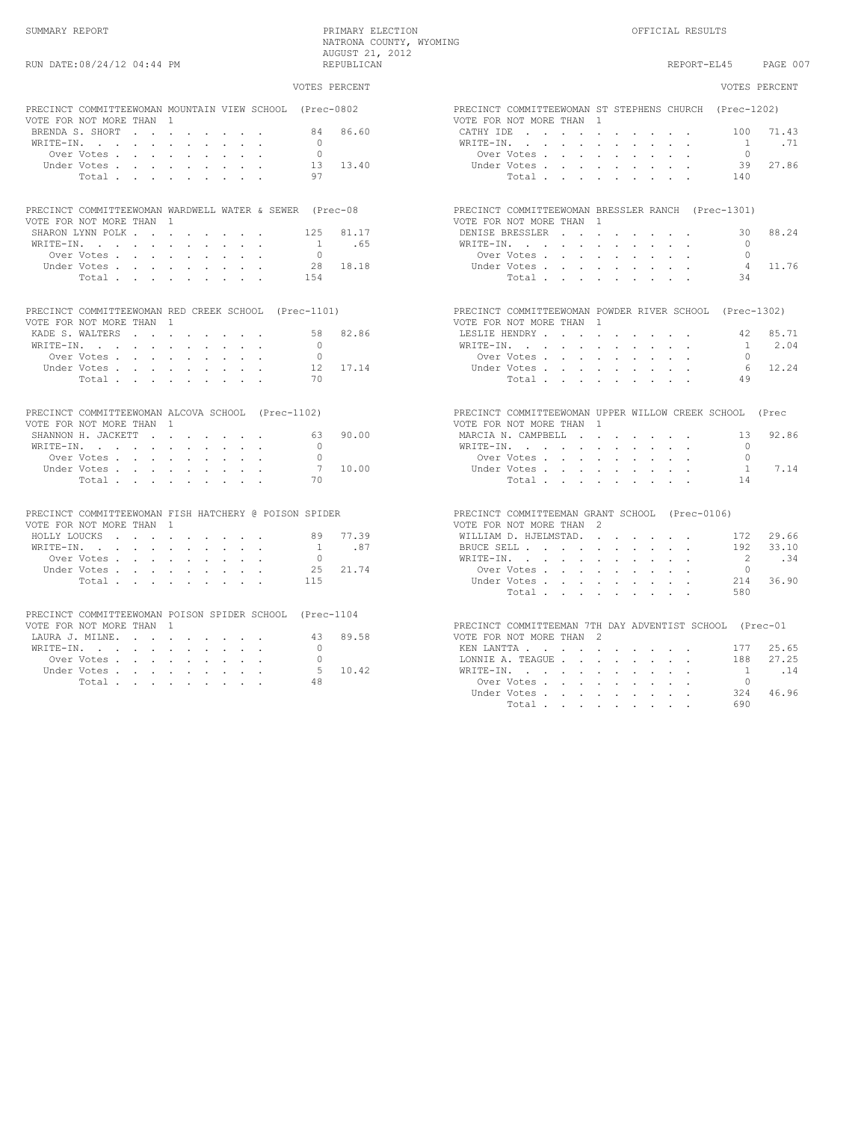### VOTES PERCENT VOTES PERCENT PRECINCT COMMITTEEWOMAN MOUNTAIN VIEW SCHOOL (Prec-0802 PRECINCT COMMITTEEWOMAN ST STEPHENS CHURCH (Prec-1202)<br>VOTE FOR NOT MORE THAN 1 VOTE FOR NOT MORE THAN 1<br>BRENDA S. SHORT . . . . . . . . . . . . 84 86.60 BRENDA S. SHORT . . . . . . . . 84 86.60 CATHY IDE . . . . . . . . . . 100 71.43 WRITE-IN. . . . . . . . . . . 0 WRITE-IN. . . . . . . . . . . 1 .71 Over Votes . . . . . . . . . 0 Over Votes . . . . . . . . . 0 Under Votes . . . . . . . . . 13 13.40 Under Votes . . . . . . . . . 39 27.86 Total . . . . . . . . . 97 Total . . . . . . . . . 140 PRECINCT COMMITTEEWOMAN WARDWELL WATER & SEWER (Prec-08 PRECINCT COMMITTEEWOMAN BRESSLER RANCH (Prec-1301)<br>VOTE FOR NOT MORE THAN 1 VOTE FOR NOT MORE THAN 1 VOTE FOR NOT MORE THAN 1 SHARON LYNN POLK . . . . . . . . 125 81.17 DENISE BRESSLER . . . . . . . . 30 88.24 WRITE-IN. . . . . . . . . . . 1 .65 WRITE-IN. . . . . . . . . . . 0 Over Votes . . . . . . . . . 0 Over Votes . . . . . . . . . 0 Under Votes . . . . . . . . . 28 18.18 Under Votes . . . . . . . . . 4 11.76 Total . . . . . . . . . 154 Total . . . . . . . . . 34 PRECINCT COMMITTEEWOMAN RED CREEK SCHOOL (Prec-1101) PRECINCT COMMITTEEWOMAN POWDER RIVER SCHOOL (Prec-1302) VOTE FOR NOT MORE THAN 1 VOTE FOR NOT MORE THAN 1 KADE S. WALTERS . . . . . . . . 58 82.86 LESLIE HENDRY . . . . . . . . . 42 85.71 WRITE-IN. . . . . . . . . . . 0 WRITE-IN. . . . . . . . . . . 1 2.04 Over Votes . . . . . . . . . 0 Over Votes . . . . . . . . . 0 Under Votes . . . . . . . . . 12 17.14 Under Votes . . . . . . . . . 6 12.24 Total . . . . . . . . . 70 Total . . . . . . . . . 49 PRECINCT COMMITTEEWOMAN ALCOVA SCHOOL (Prec-1102) PRECINCT COMMITTEEWOMAN UPPER WILLOW CREEK SCHOOL (Prec VOTE FOR NOT MORE THAN 1 VOTE FOR NOT MORE THAN 1 SHANNON H. JACKETT . . . . . . . 63 90.00 MARCIA N. CAMPBELL . . . . . . . . 13 92.86<br>WRITE-IN. . . . . . . . . . . 0 WRITE-IN. . . . . . . . . . . 0 WRITE-IN. . . . . . . . . . . 0 Over Votes . . . . . . . . . 0 Over Votes . . . . . . . . . 0 Under Votes . . . . . . . . . 7 10.00 Under Votes . . . . . . . . . 1 7.14 Total . . . . . . . . . 70 Total . . . . . . . . . 14 PRECINCT COMMITTEEWOMAN FISH HATCHERY @ POISON SPIDER PRECINCT COMMITTEEMAN GRANT SCHOOL (Prec-0106)<br>PRECINCT FOR NOT MORE THAN 1 VOTE FOR NOT MORE THAN 1 VOTE FOR NOT MORE THAN 2 HOLLY LOUCKS . . . . . . . . . 89 77.39 WILLIAM D. HJELMSTAD. . . . . . . 172 29.66 WRITE-IN. . . . . . . . . . . 1 .87 BRUCE SELL . . . . . . . . . . 192 33.10 Over Votes . . . . . . . . . 0 WRITE-IN. . . . . . . . . . . 2 .34 Under Votes . . . . . . . . . 25 21.74 Over Votes . . . . . . . . . 0 Total . . . . . . . . . 115 Under Votes . . . . . . . . . 214 36.90 Total . . . . . . . . . 580 PRECINCT COMMITTEEWOMAN POISON SPIDER SCHOOL (Prec-1104 PRECINCT COMMITTEEMAN 7TH DAY ADVENTIST SCHOOL (Prec-01 43 89.58 VOTE FOR NOT MORE THAN 2 LAURA J. MILNE. . . . . . . . . . . 43 89.58 VOTE FOR NOT MORE THAN WRITE–IN. . . . . . . . . . . . . . . . . 0 WRITE-IN. . . . . . . . . . . 0 KEN LANTTA . . . . . . . . . . 177 25.65 Over Votes . . . . . . . . . 0 LONNIE A. TEAGUE . . . . . . . . 188 27.25 Under Votes . . . . . . . . . 5 10.42 WRITE-IN. . . . . . . . . . . 1 .14 Total . . . . . . . . . 48 Over Votes . . . . . . . . . 0 Under Votes . . . . . . . . . 324 46.96 Total . . . . . . . . . 690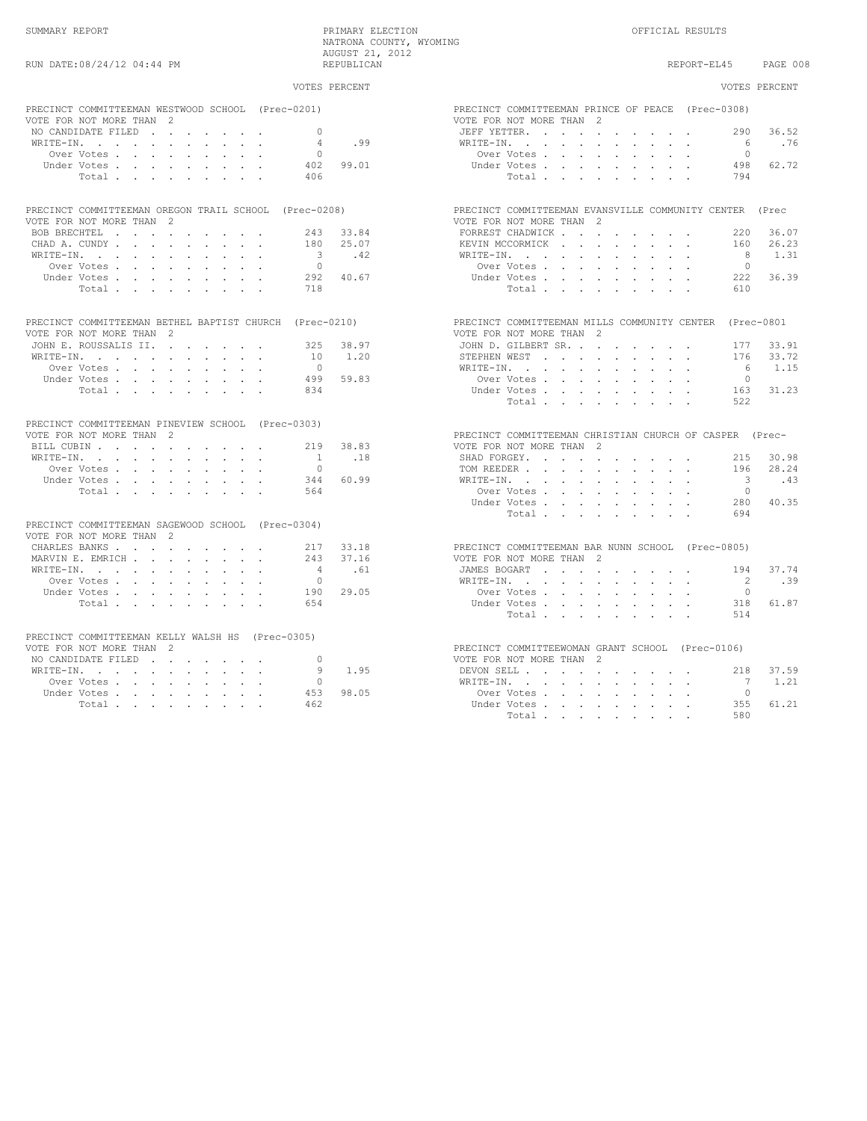SUMMARY REPORT PRIMARY ELECTION OFFICIAL RESULTS NATRONA COUNTY, WYOMING AUGUST 21, 2012

REPORT-EL45 PAGE 008

| RUN DATE: 08/24/12 04:44 PM                                                       |                | REPUBLICAN   | PAGE 00<br>REPORT-EL45                                                              |  |
|-----------------------------------------------------------------------------------|----------------|--------------|-------------------------------------------------------------------------------------|--|
|                                                                                   | VOTES PERCENT  |              | VOTES PERCENT                                                                       |  |
| PRECINCT COMMITTEEMAN WESTWOOD SCHOOL (Prec-0201)                                 |                |              | PRECINCT COMMITTEEMAN PRINCE OF PEACE (Prec-0308)                                   |  |
| VOTE FOR NOT MORE THAN 2                                                          |                |              | VOTE FOR NOT MORE THAN 2                                                            |  |
| NO CANDIDATE FILED                                                                | $\overline{0}$ |              | 36.52<br>JEFF YETTER.<br>290                                                        |  |
| WRITE-IN, , , , , , , , , ,                                                       | $\overline{4}$ | .99          | WRITE-IN.<br>$6\overline{6}$<br>.76                                                 |  |
| Over Votes.                                                                       | $\bigcap$      |              | $\Omega$<br>Over Votes, , , , , , , , ,                                             |  |
| Under Votes                                                                       | 402            | 99.01        | Under Votes, , , , , , , , ,<br>498 62.72                                           |  |
| Total                                                                             | 406            |              | 794<br>Total.                                                                       |  |
|                                                                                   |                |              |                                                                                     |  |
| PRECINCT COMMITTEEMAN OREGON TRAIL SCHOOL (Prec-0208)<br>VOTE FOR NOT MORE THAN 2 |                |              | PRECINCT COMMITTEEMAN EVANSVILLE COMMUNITY CENTER (Prec<br>VOTE FOR NOT MORE THAN 2 |  |
| BOB BRECHTEL                                                                      |                | 243 33.84    | FORREST CHADWICK<br>36.07<br>220                                                    |  |
|                                                                                   |                |              | KEVIN MCCORMICK                                                                     |  |
| CHAD A. CUNDY                                                                     |                | 180 25.07    | 160 26.23<br>1.31                                                                   |  |
| WRITE-IN.                                                                         |                | $3 \cdot 42$ | 8<br>WRITE-IN.                                                                      |  |
| Over Votes                                                                        | $\bigcirc$     |              | $\bigcirc$<br>Over Votes, , , , , , , , ,                                           |  |
| Under Votes                                                                       |                | 292 40.67    | 222 36.39<br>Under Votes                                                            |  |
| Total.                                                                            | 718            |              | Total.<br>610                                                                       |  |
| PRECINCT COMMITTEEMAN BETHEL BAPTIST CHURCH (Prec-0210)                           |                |              | PRECINCT COMMITTEEMAN MILLS COMMUNITY CENTER (Prec-0801                             |  |
| VOTE FOR NOT MORE THAN 2                                                          |                |              | VOTE FOR NOT MORE THAN 2                                                            |  |
| JOHN E. ROUSSALIS II.                                                             |                | 325 38.97    | JOHN D. GILBERT SR.<br>177 33.91                                                    |  |
| WRITE-IN, , , , , , , , , , ,                                                     |                | 10 1.20      | STEPHEN WEST<br>176 33.72                                                           |  |
| Over Votes, , , , , , , , ,                                                       | $\bigcirc$     |              | 6<br>1.15<br>WRITE-IN.                                                              |  |
| Under Votes, , , , , , , , ,                                                      |                | 499 59.83    | Over Votes,<br>$\overline{0}$                                                       |  |
| Total, , , , , , , ,                                                              | 834            |              | 163 31.23<br>Under Votes                                                            |  |
|                                                                                   |                |              | Total<br>522                                                                        |  |
| PRECINCT COMMITTEEMAN PINEVIEW SCHOOL (Prec-0303)                                 |                |              |                                                                                     |  |
| VOTE FOR NOT MORE THAN 2                                                          |                |              | PRECINCT COMMITTEEMAN CHRISTIAN CHURCH OF CASPER (Prec-                             |  |
| BILL CUBIN                                                                        | 2.19           | 38.83        | VOTE FOR NOT MORE THAN 2                                                            |  |
| WRITE-IN, , , , , , , , , ,                                                       | $\overline{1}$ | .18          | SHAD FORGEY.<br>215 30.98                                                           |  |
| Over Votes                                                                        | $\bigcirc$     |              | 196 28.24<br>TOM REEDER                                                             |  |
| Under Votes                                                                       | 344            | 60.99        | 3 43<br>WRITE-IN.                                                                   |  |
|                                                                                   | 564            |              | $\bigcirc$                                                                          |  |
| Total                                                                             |                |              | Over Votes<br>280 40.35                                                             |  |
|                                                                                   |                |              | Under Votes                                                                         |  |
| PRECINCT COMMITTEEMAN SAGEWOOD SCHOOL (Prec-0304)                                 |                |              | 694<br>Total                                                                        |  |
| VOTE FOR NOT MORE THAN 2                                                          |                |              |                                                                                     |  |
| CHARLES BANKS                                                                     | 217 33.18      |              | PRECINCT COMMITTEEMAN BAR NUNN SCHOOL (Prec-0805)                                   |  |
| MARVIN E. EMRICH                                                                  |                | 243 37.16    | VOTE FOR NOT MORE THAN 2                                                            |  |
| WRITE-IN.                                                                         | $\overline{4}$ |              | 37.74<br>JAMES BOGART<br>194                                                        |  |
|                                                                                   | $\bigcirc$     | .61          | $\overline{2}$                                                                      |  |
| Over Votes                                                                        |                |              | .39<br>WRITE-IN.                                                                    |  |
| Under Votes                                                                       |                | 190 29.05    | Over Votes, , , , , , , , ,<br>$\overline{0}$                                       |  |
| Total                                                                             | 654            |              | 318<br>61.87<br>Under Votes, , , , , , , , ,<br>514                                 |  |
|                                                                                   |                |              | Total                                                                               |  |
| PRECINCT COMMITTEEMAN KELLY WALSH HS (Prec-0305)<br>VOTE FOR NOT MORE THAN 2      |                |              | PRECINCT COMMITTEEWOMAN GRANT SCHOOL (Prec-0106)                                    |  |
| NO CANDIDATE FILED                                                                | $\Omega$       |              | VOTE FOR NOT MORE THAN 2                                                            |  |
|                                                                                   | 9              | 1.95         | 37.59<br>218                                                                        |  |
| WRITE-IN.                                                                         |                |              | DEVON SELL                                                                          |  |
| Over Votes                                                                        | $\circ$        |              | WRITE-IN.<br>$\overline{7}$<br>1.21                                                 |  |
| Under Votes                                                                       | 453            | 98.05        | Over Votes<br>$\bigcap$                                                             |  |
| Total                                                                             | 462            |              | 61.21<br>Under Votes<br>355                                                         |  |
|                                                                                   |                |              | 580<br>Total .                                                                      |  |

| PRECINCT COMMITTEEMAN PRINCE OF PEACE (Prec-0308)       |               |                      |                             |                                   |                             |                          |                      |                                                                                                 |                      |                                                                                                                                   |                         |           |
|---------------------------------------------------------|---------------|----------------------|-----------------------------|-----------------------------------|-----------------------------|--------------------------|----------------------|-------------------------------------------------------------------------------------------------|----------------------|-----------------------------------------------------------------------------------------------------------------------------------|-------------------------|-----------|
| VOTE FOR NOT MORE THAN 2                                |               |                      |                             |                                   |                             |                          |                      |                                                                                                 |                      |                                                                                                                                   |                         |           |
| JEFF YETTER.                                            |               |                      | $\mathcal{L}$               | <b>Contract Contract Contract</b> |                             |                          |                      | $\mathbf{a} = \mathbf{a} + \mathbf{a} + \mathbf{a} + \mathbf{a} + \mathbf{a}$                   |                      | $\sim$                                                                                                                            |                         | 290 36.52 |
| WRITE-IN.                                               |               |                      | ÷.                          | $\epsilon$                        | $\sim$                      | $\sim$                   | $\sim$               | $\bullet$                                                                                       |                      |                                                                                                                                   | 6                       | .76       |
|                                                         | Over Votes.   |                      |                             | $\ddot{\phantom{0}}$              | $\ddot{\phantom{0}}$        | $\ddot{\phantom{0}}$     | $\ddot{\phantom{0}}$ | $\sim$                                                                                          |                      |                                                                                                                                   | $\circ$                 |           |
|                                                         | Under Votes . |                      | $\ddot{\phantom{a}}$        | $\epsilon$                        | ÷.                          | $\ddot{\phantom{0}}$     | $\ddot{\phantom{0}}$ | $\sim$                                                                                          | $\sim$               |                                                                                                                                   |                         | 498 62.72 |
|                                                         | Total .       |                      |                             |                                   |                             |                          |                      |                                                                                                 |                      |                                                                                                                                   | 794                     |           |
|                                                         |               |                      |                             |                                   |                             |                          |                      |                                                                                                 |                      |                                                                                                                                   |                         |           |
|                                                         |               |                      |                             |                                   |                             |                          |                      |                                                                                                 |                      |                                                                                                                                   |                         |           |
| PRECINCT COMMITTEEMAN EVANSVILLE COMMUNITY CENTER (Prec |               |                      |                             |                                   |                             |                          |                      |                                                                                                 |                      |                                                                                                                                   |                         |           |
| VOTE FOR NOT MORE THAN 2                                |               |                      |                             |                                   |                             |                          |                      |                                                                                                 |                      |                                                                                                                                   |                         |           |
| FORREST CHADWICK                                        |               |                      |                             |                                   | $\ddot{\phantom{0}}$        |                          |                      | and the contract of the con-                                                                    | $\sim 100$           |                                                                                                                                   | 220                     | 36.07     |
| KEVIN MCCORMICK.                                        |               |                      |                             | $\sim$                            | $\mathcal{L}^{\mathcal{L}}$ | $\mathcal{L}^{\pm}$      | $\sim$               | $\sim$                                                                                          | $\sim$               |                                                                                                                                   | 160                     | 26.23     |
| WRITE-IN.                                               |               |                      | $\ddot{\phantom{0}}$        | $\ddot{\phantom{a}}$              | $\ddot{\phantom{0}}$        | $\sim$                   | $\ddot{\phantom{a}}$ | $\bullet$                                                                                       | $\ddot{\phantom{0}}$ |                                                                                                                                   | 8 <sup>1</sup>          | 1.31      |
|                                                         | Over Votes .  |                      |                             | $\ddot{\phantom{a}}$              |                             |                          |                      |                                                                                                 |                      |                                                                                                                                   | $\overline{0}$          |           |
|                                                         | Under Votes . |                      |                             |                                   | $\ddot{\phantom{0}}$        | $\sim$                   | $\ddot{\phantom{0}}$ | $\epsilon$                                                                                      | $\sim$               |                                                                                                                                   |                         |           |
|                                                         |               |                      | $\mathcal{L}_{\mathcal{A}}$ | $\ddot{\phantom{0}}$              | L.                          | $\ddot{\phantom{0}}$     | $\ddot{\phantom{0}}$ | $\sim$                                                                                          | $\mathcal{L}^{\pm}$  | $\ddot{\phantom{0}}$                                                                                                              |                         | 222 36.39 |
|                                                         | Total .       |                      | $\sim$                      |                                   |                             |                          |                      |                                                                                                 |                      |                                                                                                                                   | 610                     |           |
|                                                         |               |                      |                             |                                   |                             |                          |                      |                                                                                                 |                      |                                                                                                                                   |                         |           |
|                                                         |               |                      |                             |                                   |                             |                          |                      |                                                                                                 |                      |                                                                                                                                   |                         |           |
| PRECINCT COMMITTEEMAN MILLS COMMUNITY CENTER (Prec-0801 |               |                      |                             |                                   |                             |                          |                      |                                                                                                 |                      |                                                                                                                                   |                         |           |
| VOTE FOR NOT MORE THAN                                  |               |                      |                             |                                   | - 2                         |                          |                      |                                                                                                 |                      |                                                                                                                                   |                         |           |
| JOHN D. GILBERT SR. .                                   |               |                      |                             |                                   | $\sim$                      |                          |                      | the contract of the contract of                                                                 |                      |                                                                                                                                   |                         | 177 33.91 |
| STEPHEN WEST                                            |               | $\sim$               | $\ddot{\phantom{0}}$        | $\sim$                            | $\sim$                      | $\sim$                   | $\sim$               | $\sim$                                                                                          | $\sim$               | $\Box$                                                                                                                            | 176                     | 33.72     |
| WRITE-IN. .                                             |               | $\sim$               | $\cdot$                     | $\ddot{\phantom{a}}$              | $\ddot{\phantom{0}}$        | $\blacksquare$           | $\epsilon$           | $\ddot{\phantom{1}}$                                                                            | $\bullet$            | $\bullet$                                                                                                                         | 6                       | 1.15      |
|                                                         | Over Votes .  |                      | $\sim$                      | $\ddot{\phantom{a}}$              | $\ddot{\phantom{0}}$        | $\ddot{\phantom{0}}$     | $\sim$               | $\ddot{\phantom{a}}$                                                                            |                      |                                                                                                                                   | $\overline{0}$          |           |
|                                                         | Under Votes.  |                      | $\ddot{\phantom{0}}$        | $\ddot{\phantom{0}}$              | $\ddot{\phantom{0}}$        | $\ddot{\phantom{0}}$     | $\ddot{\phantom{0}}$ | $\sim$                                                                                          | $\ddot{\phantom{0}}$ |                                                                                                                                   |                         | 163 31.23 |
|                                                         | Total .       |                      |                             |                                   |                             |                          |                      |                                                                                                 |                      |                                                                                                                                   | 522                     |           |
|                                                         |               |                      |                             |                                   |                             |                          |                      |                                                                                                 |                      |                                                                                                                                   |                         |           |
|                                                         |               |                      | $\sim$                      | $\ddot{\phantom{a}}$              | $\ddot{\phantom{0}}$        | $\sim$                   | $\sim$               | $\ddot{\phantom{a}}$                                                                            | $\ddot{\phantom{0}}$ |                                                                                                                                   |                         |           |
|                                                         |               |                      |                             |                                   |                             |                          |                      |                                                                                                 |                      |                                                                                                                                   |                         |           |
|                                                         |               |                      |                             |                                   |                             |                          |                      |                                                                                                 |                      |                                                                                                                                   |                         |           |
| PRECINCT COMMITTEEMAN CHRISTIAN CHURCH OF CASPER (Prec- |               |                      |                             |                                   |                             |                          |                      |                                                                                                 |                      |                                                                                                                                   |                         |           |
| VOTE FOR NOT MORE THAN                                  |               |                      |                             |                                   | -2                          |                          |                      |                                                                                                 |                      |                                                                                                                                   |                         |           |
| SHAD FORGEY.                                            |               |                      | $\ddot{\phantom{a}}$        | $\sim$                            | $\bullet$                   |                          |                      |                                                                                                 |                      | $\mathcal{A}^{\mathcal{A}}$ , and $\mathcal{A}^{\mathcal{A}}$ , and $\mathcal{A}^{\mathcal{A}}$ , and $\mathcal{A}^{\mathcal{A}}$ |                         | 215 30.98 |
| TOM REEDER.                                             |               |                      | $\mathbf{r}$                | $\ddot{\phantom{a}}$              | $\ddot{\phantom{a}}$        | $\ddot{\phantom{0}}$     |                      |                                                                                                 |                      |                                                                                                                                   | 196                     | 28.24     |
| WRITE-IN. .                                             |               |                      | $\ddot{\phantom{0}}$        | $\sim$                            | $\mathcal{L}_{\mathcal{A}}$ | $\bullet$                | $\bullet$            |                                                                                                 |                      |                                                                                                                                   | $\overline{\mathbf{3}}$ | .43       |
|                                                         | Over Votes.   |                      | $\ddot{\phantom{a}}$        | $\ddot{\phantom{a}}$              | $\ddot{\phantom{a}}$        | $\sim$                   | $\ddot{\phantom{a}}$ | $\ddot{\phantom{a}}$                                                                            | $\ddot{\phantom{0}}$ |                                                                                                                                   | $\overline{0}$          |           |
|                                                         | Under Votes.  |                      | $\ddot{\phantom{0}}$        | $\ddot{\phantom{0}}$              | $\mathcal{L}^{\mathcal{L}}$ | $\ddot{\phantom{0}}$     | $\bullet$            | $\bullet$                                                                                       | $\ddot{\phantom{0}}$ |                                                                                                                                   |                         | 280 40.35 |
|                                                         | Total         |                      |                             | $\ddot{\phantom{a}}$              | $\ddot{\phantom{0}}$        | $\ddot{\phantom{0}}$     | $\ddot{\phantom{a}}$ | $\ddot{\phantom{0}}$                                                                            | $\ddot{\phantom{0}}$ |                                                                                                                                   | 694                     |           |
|                                                         |               |                      |                             |                                   |                             |                          |                      |                                                                                                 |                      |                                                                                                                                   |                         |           |
|                                                         |               |                      |                             |                                   |                             |                          |                      |                                                                                                 |                      |                                                                                                                                   |                         |           |
| PRECINCT COMMITTEEMAN BAR NUNN SCHOOL (Prec-0805)       |               |                      |                             |                                   |                             |                          |                      |                                                                                                 |                      |                                                                                                                                   |                         |           |
|                                                         |               |                      |                             |                                   |                             |                          |                      |                                                                                                 |                      |                                                                                                                                   |                         |           |
| VOTE FOR NOT MORE THAN 2                                |               |                      |                             |                                   |                             |                          |                      |                                                                                                 |                      |                                                                                                                                   |                         |           |
| JAMES BOGART                                            |               | $\mathbf{r}$         | $\mathbf{r}$                | $\sim$                            |                             |                          |                      | $\mathbf{r} = \mathbf{r} \times \mathbf{r}$ , where $\mathbf{r} = \mathbf{r} \times \mathbf{r}$ | $\sim$               | $\sim$                                                                                                                            | 194                     | 37.74     |
| WRITE-IN. .                                             |               | ÷.                   | $\ddot{\phantom{a}}$        | $\sim$                            | $\ddot{\phantom{a}}$        | $\sim$                   | $\sim$               | $\sim$                                                                                          |                      |                                                                                                                                   | $\overline{2}$          | .39       |
|                                                         | Over Votes .  |                      | $\ddot{\phantom{0}}$        | $\bullet$                         | $\mathcal{L}_{\mathcal{A}}$ | $\bullet$                | $\epsilon$           | $\sim$                                                                                          | $\sim$               |                                                                                                                                   | $\circ$                 |           |
|                                                         | Under Votes . |                      | $\mathcal{L}^{\pm}$         | $\blacksquare$                    | $\ddot{\phantom{a}}$        | $\ddot{\phantom{a}}$     | $\Box$               | $\ddot{\phantom{1}}$                                                                            | $\Box$               |                                                                                                                                   |                         | 318 61.87 |
|                                                         | Total .       |                      | $\sim$                      | $\sim$                            | $\sim$                      | $\sim$                   | $\sim$               | $\sim$                                                                                          | $\sim$               |                                                                                                                                   | 514                     |           |
|                                                         |               |                      |                             |                                   |                             |                          |                      |                                                                                                 |                      |                                                                                                                                   |                         |           |
|                                                         |               |                      |                             |                                   |                             |                          |                      |                                                                                                 |                      |                                                                                                                                   |                         |           |
| PRECINCT COMMITTEEWOMAN GRANT SCHOOL (Prec-0106)        |               |                      |                             |                                   |                             |                          |                      |                                                                                                 |                      |                                                                                                                                   |                         |           |
| VOTE FOR NOT MORE THAN 2                                |               |                      |                             |                                   |                             |                          |                      |                                                                                                 |                      |                                                                                                                                   |                         |           |
| DEVON SELL                                              |               |                      |                             | $\mathcal{L}^{\text{max}}$ and    | $\sim$                      |                          |                      | the contract of the contract of the                                                             |                      |                                                                                                                                   |                         | 218 37.59 |
| WRITE-IN. .                                             |               | $\ddot{\phantom{0}}$ | $\ddot{\phantom{0}}$        | $\bullet$                         | $\sim$                      | $\sim$                   | $\sim$ $-$           | $\sim$                                                                                          | $\sim$               | $\bullet$                                                                                                                         | $7\phantom{0}$          | 1.21      |
|                                                         | Over Votes .  |                      | $\sim$                      | $\sim$                            |                             | <b>Contract Contract</b> | $\sim$ $-$           | $\sim$ $\sim$                                                                                   | $\sim 10^{-11}$      | $\bullet$                                                                                                                         | $\overline{0}$          |           |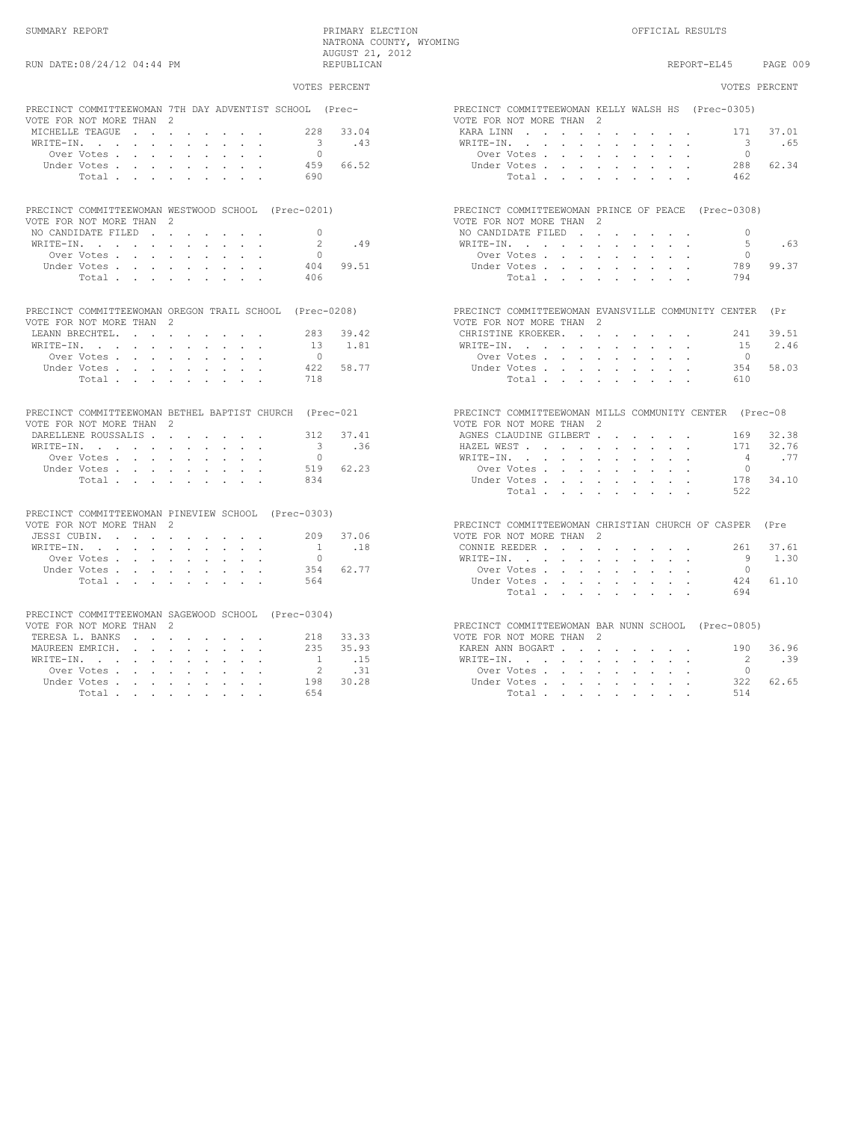| VOTES PERCENT                                                                                                              | VOTES PERCENT                                                                                                                 |
|----------------------------------------------------------------------------------------------------------------------------|-------------------------------------------------------------------------------------------------------------------------------|
| PRECINCT COMMITTEEWOMAN 7TH DAY ADVENTIST SCHOOL (Prec-<br>VOTE FOR NOT MORE THAN 2                                        | PRECINCT COMMITTEEWOMAN KELLY WALSH HS (Prec-0305)<br>VOTE FOR NOT MORE THAN 2                                                |
| MICHELLE TEAGUE<br>228 33.04                                                                                               | KARA LINN<br>171<br>37.01                                                                                                     |
| WRITE-IN.<br>$\overline{\mathbf{3}}$<br>.43                                                                                | $\overline{\phantom{a}}$<br>.65<br>WRITE-IN.                                                                                  |
| $\bigcap$<br>Over Votes                                                                                                    | $\Omega$<br>Over Votes                                                                                                        |
| 459 66.52<br>Under Votes, , , , , , , , ,                                                                                  | 62.34<br>Under Votes, , , , , , , , ,<br>288                                                                                  |
| 690<br>Total                                                                                                               | Total<br>462                                                                                                                  |
| PRECINCT COMMITTEEWOMAN WESTWOOD SCHOOL (Prec-0201)                                                                        | PRECINCT COMMITTEEWOMAN PRINCE OF PEACE (Prec-0308)                                                                           |
| VOTE FOR NOT MORE THAN 2                                                                                                   | VOTE FOR NOT MORE THAN 2                                                                                                      |
| $\Omega$<br>NO CANDIDATE FILED                                                                                             | NO CANDIDATE FILED<br>$\Omega$                                                                                                |
| 2<br>.49<br>WRITE-IN.                                                                                                      | -5<br>.63<br>WRITE-IN.                                                                                                        |
| $\cap$<br>Over Votes                                                                                                       | $\cap$<br>Over Votes                                                                                                          |
| 99.51<br>Under Votes<br>404                                                                                                | 99.37<br>Under Votes<br>789                                                                                                   |
| Total<br>406                                                                                                               | Total<br>794                                                                                                                  |
| PRECINCT COMMITTEEWOMAN OREGON TRAIL SCHOOL (Prec-0208)<br>VOTE FOR NOT MORE THAN 2                                        | PRECINCT COMMITTEEWOMAN EVANSVILLE COMMUNITY CENTER (Pr<br>VOTE FOR NOT MORE THAN 2                                           |
| LEANN BRECHTEL.<br>283<br>39.42                                                                                            | CHRISTINE KROEKER.<br>39.51<br>2.41                                                                                           |
| WRITE-IN.<br>1.81<br>13                                                                                                    | 2.46<br>WRITE-IN.<br>15                                                                                                       |
| Over Votes<br>$\overline{0}$                                                                                               | Over Votes<br>$\bigcirc$                                                                                                      |
| 58.77<br>Under Votes<br>422                                                                                                | 354<br>58.03<br>Under Votes                                                                                                   |
| Total<br>718                                                                                                               | Total<br>610                                                                                                                  |
| PRECINCT COMMITTEEWOMAN BETHEL BAPTIST CHURCH (Prec-021<br>VOTE FOR NOT MORE THAN 2<br>37.41<br>DARELLENE ROUSSALIS<br>312 | PRECINCT COMMITTEEWOMAN MILLS COMMUNITY CENTER (Prec-08<br>VOTE FOR NOT MORE THAN 2<br>32.38<br>AGNES CLAUDINE GILBERT<br>169 |
| 3.36<br>WRITE-IN.                                                                                                          | 32.76<br>HAZEL WEST<br>171                                                                                                    |
| $\Omega$<br>Over Votes, , , , , , , , ,                                                                                    | .77<br>WRITE-IN.<br>$\overline{4}$                                                                                            |
| 62.23<br>Under Votes<br>519                                                                                                | $\bigcirc$<br>Over Votes, , , , , , , , ,                                                                                     |
| 834<br>Total                                                                                                               | 178<br>34.10<br>Under Votes,                                                                                                  |
|                                                                                                                            | 522<br>Total.                                                                                                                 |
| PRECINCT COMMITTEEWOMAN PINEVIEW SCHOOL (Prec-0303)                                                                        |                                                                                                                               |
| VOTE FOR NOT MORE THAN 2                                                                                                   | PRECINCT COMMITTEEWOMAN CHRISTIAN CHURCH OF CASPER (Pre                                                                       |
| JESSI CUBIN.<br>37.06<br>209                                                                                               | VOTE FOR NOT MORE THAN 2                                                                                                      |
| .18<br>WRITE-IN, , , , , , , , , ,<br>$\overline{1}$                                                                       | 37.61<br>CONNIE REEDER<br>261                                                                                                 |
| $\Omega$<br>Over Votes                                                                                                     | WRITE-IN.<br>$\overline{9}$<br>1.30                                                                                           |
| 62.77<br>354<br>Under Votes                                                                                                | Over Votes, , , , , , , , ,<br>$\overline{0}$                                                                                 |
| 564<br>Total.                                                                                                              | Under Votes<br>424<br>61.10                                                                                                   |
|                                                                                                                            | 694<br>Total                                                                                                                  |
| PRECINCT COMMITTEEWOMAN SAGEWOOD SCHOOL (Prec-0304)                                                                        |                                                                                                                               |
| VOTE FOR NOT MORE THAN 2                                                                                                   | PRECINCT COMMITTEEWOMAN BAR NUNN SCHOOL (Prec-0805)                                                                           |
| TERESA L. BANKS<br>218 33.33                                                                                               | VOTE FOR NOT MORE THAN 2                                                                                                      |
| MAUREEN EMRICH.<br>235 35.93                                                                                               | KAREN ANN BOGART.<br>36.96<br>190                                                                                             |
| .15<br>WRITE-IN.<br>$\sim$ 1                                                                                               | .39<br>$\overline{2}$<br>WRITE-IN.                                                                                            |
| $\overline{\phantom{0}}$ 2<br>.31<br>Over Votes                                                                            | Over Votes<br>$\Omega$                                                                                                        |
| 30.28<br>Under Votes<br>198                                                                                                | 322<br>62.65<br>Under Votes, , , , , , , , ,                                                                                  |
| Total<br>654                                                                                                               | 514<br>Total                                                                                                                  |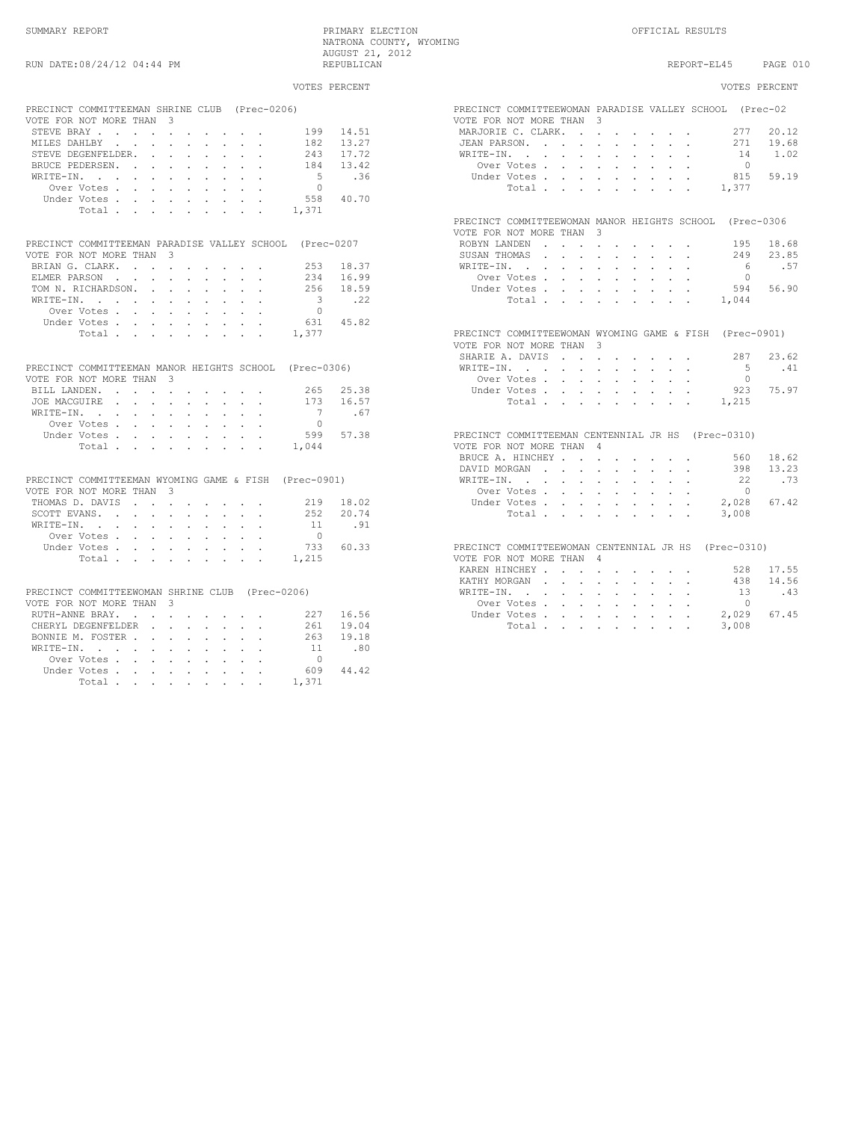SUMMARY REPORT PRIMARY ELECTION OFFICIAL RESULTS NATRONA COUNTY, WYOMING

| RUN DATE:08/24/12 04:44 PM                                                | AUGUST 21, 2012<br>REPUBLICAN   | PAGE 010<br>REPORT-EL45                                                             |
|---------------------------------------------------------------------------|---------------------------------|-------------------------------------------------------------------------------------|
|                                                                           |                                 |                                                                                     |
|                                                                           | VOTES PERCENT                   | VOTES PERCENT                                                                       |
| PRECINCT COMMITTEEMAN SHRINE CLUB (Prec-0206)<br>VOTE FOR NOT MORE THAN 3 |                                 | PRECINCT COMMITTEEWOMAN PARADISE VALLEY SCHOOL (Prec-02<br>VOTE FOR NOT MORE THAN 3 |
| STEVE BRAY<br>199                                                         | 14.51                           | MARJORIE C. CLARK.<br>277<br>20.12                                                  |
| MILES DAHLBY<br>182                                                       | 13.27                           | JEAN PARSON.<br>271 19.68                                                           |
| STEVE DEGENFELDER.                                                        | 17.72<br>243                    | 1.02<br>WRITE-IN.<br>14                                                             |
| BRUCE PEDERSEN.                                                           | 184<br>13.42                    | Over Votes<br>$\bigcirc$                                                            |
| WRITE-IN.                                                                 | $-5$<br>.36                     | 59.19<br>Under Votes, , , , , , , , ,<br>815                                        |
| Over Votes                                                                | $\overline{0}$                  | Total<br>1,377                                                                      |
| Under Votes                                                               | 558<br>40.70                    |                                                                                     |
| Total<br>1,371                                                            |                                 |                                                                                     |
|                                                                           |                                 | PRECINCT COMMITTEEWOMAN MANOR HEIGHTS SCHOOL (Prec-0306<br>VOTE FOR NOT MORE THAN 3 |
| PRECINCT COMMITTEEMAN PARADISE VALLEY SCHOOL (Prec-0207                   |                                 | ROBYN LANDEN<br>195<br>18.68                                                        |
| VOTE FOR NOT MORE THAN 3                                                  |                                 | SUSAN THOMAS<br>249<br>23.85                                                        |
| BRIAN G. CLARK.                                                           | 253<br>18.37                    | 6<br>.57<br>WRITE-IN.                                                               |
| ELMER PARSON                                                              | 16.99<br>234                    | Over Votes<br>$\Omega$                                                              |
| TOM N. RICHARDSON.                                                        | 256<br>18.59                    | 594 56.90<br>Under Votes,                                                           |
| WRITE-IN.                                                                 | $\overline{\phantom{a}}$<br>.22 | Total.<br>1,044                                                                     |
| Over Votes, , , , , , , , ,                                               | $\overline{0}$                  |                                                                                     |
| Under Votes                                                               | 45.82<br>631                    |                                                                                     |
| 1,377<br>Total                                                            |                                 | PRECINCT COMMITTEEWOMAN WYOMING GAME & FISH (Prec-0901)                             |
|                                                                           |                                 | VOTE FOR NOT MORE THAN 3                                                            |
|                                                                           |                                 | 287 23.62<br>SHARIE A. DAVIS                                                        |
| PRECINCT COMMITTEEMAN MANOR HEIGHTS SCHOOL (Prec-0306)                    |                                 | $-5$<br>.41<br>WRITE-IN.                                                            |
| VOTE FOR NOT MORE THAN 3                                                  |                                 | Over Votes<br>$\Omega$                                                              |
| BILL LANDEN.                                                              | 265 25.38                       | 75.97<br>Under Votes<br>923                                                         |
| JOE MACGUIRE                                                              | 16.57<br>173                    | Total<br>1,215                                                                      |
| WRITE-IN.                                                                 | $\overline{7}$<br>.67           |                                                                                     |
| Over Votes, , , , , , , , ,                                               | $\bigcap$                       |                                                                                     |
| Under Votes                                                               | 599<br>57.38                    | PRECINCT COMMITTEEMAN CENTENNIAL JR HS (Prec-0310)                                  |
| 1,044<br>Total, , , , , , , , ,                                           |                                 | VOTE FOR NOT MORE THAN 4                                                            |
|                                                                           |                                 | BRUCE A. HINCHEY<br>560 18.62                                                       |
|                                                                           |                                 | DAVID MORGAN<br>398<br>13.23                                                        |
| PRECINCT COMMITTEEMAN WYOMING GAME & FISH (Prec-0901)                     |                                 | .73<br>WRITE-IN.<br>22                                                              |
| VOTE FOR NOT MORE THAN 3                                                  |                                 | Over Votes<br>$\Omega$                                                              |
| THOMAS D. DAVIS<br>219                                                    | 18.02                           | 2,028<br>67.42<br>Under Votes                                                       |
| SCOTT EVANS.                                                              | 20.74<br>252                    | Total<br>3,008                                                                      |
| $\verb+WRITE-IN.$                                                         | .91<br>11                       |                                                                                     |
| Over Votes                                                                | $\bigcirc$                      |                                                                                     |
| Under Votes                                                               | 60.33<br>733                    | PRECINCT COMMITTEEWOMAN CENTENNIAL JR HS (Prec-0310)                                |
| Total<br>1,215                                                            |                                 | VOTE FOR NOT MORE THAN 4                                                            |
|                                                                           |                                 | KAREN HINCHEY,<br>528<br>17.55                                                      |
|                                                                           |                                 | 14.56<br>KATHY MORGAN<br>438                                                        |
| PRECINCT COMMITTEEWOMAN SHRINE CLUB (Prec-0206)                           |                                 | .43<br>WRITE-IN.<br>13                                                              |
| VOTE FOR NOT MORE THAN 3                                                  |                                 | Over Votes<br>$\Omega$                                                              |
| RUTH-ANNE BRAY.<br>227                                                    | 16.56                           | Under Votes<br>2,029<br>67.45                                                       |
| CHERYL DEGENFELDER<br>261                                                 | 19.04                           | Total<br>3,008                                                                      |
| BONNIE M. FOSTER                                                          | 263<br>19.18                    |                                                                                     |
| WRITE-IN.                                                                 | .80<br>11                       |                                                                                     |
| Over Votes                                                                | $\bigcap$                       |                                                                                     |
| Under Votes                                                               | 609<br>44.42                    |                                                                                     |
| 1.371<br>Total                                                            |                                 |                                                                                     |

| PRECINCT COMMITTEEWOMAN PARADISE VALLEY SCHOOL (Prec-02 |         |                          |                            |                                            | 3                        |                                                                 |                      |                            |                                                       |                                                           |                 |       |
|---------------------------------------------------------|---------|--------------------------|----------------------------|--------------------------------------------|--------------------------|-----------------------------------------------------------------|----------------------|----------------------------|-------------------------------------------------------|-----------------------------------------------------------|-----------------|-------|
| VOTE FOR NOT MORE THAN                                  |         |                          |                            |                                            |                          |                                                                 |                      |                            |                                                       |                                                           |                 |       |
| MARJORIE C. CLARK.                                      |         |                          |                            | $\mathbf{r}$                               | $\ddot{\phantom{a}}$     |                                                                 |                      |                            |                                                       |                                                           | 277             | 20.12 |
| JEAN PARSON.                                            |         |                          |                            | ä.                                         | $\mathbf{r}$             | $\cdot$                                                         | $\mathbf{r}$         |                            | $\mathbf{r}$                                          |                                                           | 271             | 19.68 |
| WRITE-IN.                                               |         | $\sim$ $\sim$ $\sim$     | $\ddot{\phantom{a}}$       | $\ddot{\phantom{a}}$                       | $\ddot{\phantom{a}}$     | $\sim$                                                          | $\mathcal{L}^{\pm}$  | $\mathcal{L}^{\text{max}}$ |                                                       | $\mathbf{L}^{\text{max}}$ , and $\mathbf{L}^{\text{max}}$ | $14\,$          | 1.02  |
| Over Votes.                                             |         |                          | $\ddot{\phantom{0}}$       |                                            | $\ddot{\phantom{0}}$     | $\ddot{\phantom{0}}$                                            | $\sim$               | $\sim$                     | $\ddot{\phantom{0}}$                                  | $\sim$                                                    | $\bigcirc$      |       |
| Under Votes.                                            |         |                          |                            |                                            | $\overline{a}$           | $\overline{a}$                                                  | $\ddot{\phantom{a}}$ |                            |                                                       |                                                           | 815             | 59.19 |
|                                                         | Total.  |                          | $\ddot{\phantom{0}}$       | $\mathbf{r}$                               |                          | $\mathbf{1}$ and $\mathbf{1}$ and $\mathbf{1}$ and $\mathbf{1}$ |                      | $\sim$                     | $\sim$                                                | $\overline{a}$                                            | 1,377           |       |
|                                                         |         |                          |                            |                                            |                          |                                                                 |                      |                            |                                                       |                                                           |                 |       |
| PRECINCT COMMITTEEWOMAN MANOR HEIGHTS SCHOOL (Prec-0306 |         |                          |                            |                                            |                          |                                                                 |                      |                            |                                                       |                                                           |                 |       |
| VOTE FOR NOT MORE THAN                                  |         |                          |                            |                                            | $\mathcal{L}$            |                                                                 |                      |                            |                                                       |                                                           |                 |       |
| ROBYN LANDEN                                            |         | $\mathbf{r}$             | $\mathbf{r}$               | $\sim 10^{-11}$                            | $\ddot{\phantom{0}}$     |                                                                 |                      |                            |                                                       | $\sim$                                                    | 195             | 18.68 |
| SUSAN THOMAS                                            |         |                          | $\mathbf{r}$               | $\mathbf{r}$                               | $\ddot{\phantom{0}}$     | $\ddot{\phantom{a}}$                                            | $\ddot{\phantom{a}}$ |                            |                                                       |                                                           | 249             | 23.85 |
| WRITE-IN.                                               |         | $\ddot{\phantom{0}}$     | $\ddot{\phantom{a}}$       | $\ddot{\phantom{a}}$                       | $\ddot{\phantom{a}}$     | $\ddot{\phantom{a}}$                                            | $\ddot{\phantom{a}}$ | $\ddot{\phantom{a}}$       | $\ddot{\phantom{a}}$                                  | $\ddot{\phantom{0}}$                                      | $6\overline{6}$ | .57   |
| Over Votes.                                             |         |                          |                            | $\ddot{\phantom{0}}$                       | $\ddot{\phantom{a}}$     | $\blacksquare$                                                  | $\ddot{\phantom{0}}$ | $\ddot{\phantom{0}}$       |                                                       | $\mathbf{r} = \mathbf{r} + \mathbf{r}$                    | $\Omega$        |       |
| Under Votes.                                            |         |                          | $\mathbf{r}$               | $\mathbf{L}$                               | <b>Contract Contract</b> | $\mathcal{L}^{\mathcal{L}}$                                     | $\sim$               | $\mathbf{r}$               | $\sim$                                                | $\sim$                                                    | 594             | 56.90 |
|                                                         | Total   |                          |                            |                                            |                          | $\mathbf{r} = \mathbf{r} + \mathbf{r} + \mathbf{r}$             |                      |                            | and a state                                           |                                                           | 1,044           |       |
|                                                         |         |                          |                            |                                            |                          |                                                                 |                      |                            |                                                       |                                                           |                 |       |
| PRECINCT COMMITTEEWOMAN WYOMING GAME & FISH (Prec-0901) |         |                          |                            |                                            |                          |                                                                 |                      |                            |                                                       |                                                           |                 |       |
| VOTE FOR NOT MORE THAN                                  |         |                          |                            |                                            | 3                        |                                                                 |                      |                            |                                                       |                                                           |                 |       |
| SHARIE A. DAVIS                                         |         |                          |                            |                                            |                          | and a strong control of the strong                              |                      |                            |                                                       |                                                           | 287             | 23.62 |
| WRITE-IN.                                               |         |                          | $\sim$                     | $\sim$                                     | $\Box$                   | $\bullet$                                                       | $\sim$               |                            |                                                       |                                                           | 5               | .41   |
| Over Votes.                                             |         |                          | a.                         | $\mathbf{r}$                               | $\sim$                   | $\mathbf{r}$                                                    | $\ddot{\phantom{a}}$ | $\mathbf{r}$               | $\mathbf{r}$                                          | $\mathbf{r}$                                              | $\Omega$        |       |
| Under Votes.                                            |         |                          |                            |                                            |                          |                                                                 |                      |                            |                                                       |                                                           | 923             | 75.97 |
|                                                         | Total . |                          | $\mathcal{L}^{\text{max}}$ | $\mathcal{L}^{\text{max}}$                 | $\Box$                   | $\mathcal{L}_{\mathcal{A}}$                                     | $\ddot{\phantom{a}}$ | $\ddot{\phantom{0}}$       | $\ddot{\phantom{a}}$                                  | $\mathcal{L}$                                             | 1,215           |       |
|                                                         |         |                          | $\sim$                     | $\mathbf{L}$                               | $\mathbf{r}$             | $\sim$                                                          | $\sim$               | $\sim$                     | $\mathcal{L}^{\text{max}}$                            |                                                           |                 |       |
|                                                         |         |                          |                            |                                            |                          |                                                                 |                      |                            |                                                       |                                                           |                 |       |
| PRECINCT COMMITTEEMAN CENTENNIAL JR HS (Prec-0310)      |         |                          |                            |                                            |                          |                                                                 |                      |                            |                                                       |                                                           |                 |       |
| VOTE FOR NOT MORE THAN                                  |         |                          |                            |                                            | 4                        |                                                                 |                      |                            |                                                       |                                                           |                 |       |
| BRUCE A. HINCHEY.                                       |         |                          |                            | $\sim$                                     | $\ddot{\phantom{a}}$     | $\bullet$                                                       | $\sim 100$           | $\sim$                     |                                                       |                                                           | 560             | 18.62 |
| DAVID MORGAN                                            |         |                          |                            | $\ddot{\phantom{a}}$                       | $\ddot{\phantom{a}}$     | $\ddot{\phantom{a}}$                                            | $\sim$               | $\ddot{\phantom{0}}$       | $\sim$                                                |                                                           | 398             | 13.23 |
| WRITE-IN.                                               |         |                          | $\ddot{\phantom{a}}$       | $\sim$                                     | $\ddot{\phantom{0}}$     | $\epsilon$                                                      | $\ddot{\phantom{0}}$ |                            |                                                       | and a state of                                            | 22              | .73   |
| Over Votes.                                             |         |                          | $\mathbf{r}$               | $\mathbf{r}$                               | $\ddot{\phantom{0}}$     | $\ddot{\phantom{0}}$                                            | $\ddot{\phantom{a}}$ | a.                         | $\ddot{\phantom{0}}$                                  | $\ddot{\phantom{0}}$                                      | $\Omega$        |       |
| Under Votes.                                            |         |                          | $\mathbf{r}$               | $\sim$                                     | $\mathbf{r}$             | $\cdot$                                                         | L.                   | ä.                         | $\overline{a}$                                        | L.                                                        | 2,028           | 67.42 |
|                                                         | Total.  |                          | $\sim 10^{-11}$            |                                            |                          | and the company of the company                                  |                      |                            | $\mathbf{z} = \mathbf{z} + \mathbf{z} + \mathbf{z}$ . |                                                           | 3,008           |       |
|                                                         |         |                          |                            |                                            |                          |                                                                 |                      |                            |                                                       |                                                           |                 |       |
| PRECINCT COMMITTEEWOMAN CENTENNIAL JR HS (Prec-0310)    |         |                          |                            |                                            |                          |                                                                 |                      |                            |                                                       |                                                           |                 |       |
| VOTE FOR NOT MORE THAN                                  |         |                          |                            |                                            | $\Delta$                 |                                                                 |                      |                            |                                                       |                                                           |                 |       |
| KAREN HINCHEY .                                         |         |                          | $\ddot{\phantom{a}}$       | $\mathbf{r} = \mathbf{r} \cdot \mathbf{r}$ |                          | $\cdot$                                                         | $\sim$               | $\sim$                     |                                                       |                                                           | 528             | 17.55 |
| KATHY MORGAN                                            |         | $\mathbf{r}$             | $\mathbf{r}$               | $\mathbf{r}$                               | $\ddot{\phantom{0}}$     | $\ddot{\phantom{a}}$                                            | $\ddot{\phantom{a}}$ |                            |                                                       |                                                           | 438             | 14.56 |
| WRITE-IN.                                               |         | <b>Contract Contract</b> | $\mathcal{L}^{\text{max}}$ | $\sim$                                     | $\ddot{\phantom{a}}$     | $\ddot{\phantom{a}}$                                            | $\ddot{\phantom{a}}$ | $\ddot{\phantom{a}}$       | $\ddot{\phantom{0}}$                                  | $\ddot{\phantom{0}}$                                      | 13              | .43   |
| Over Votes.                                             |         |                          | $\sim$                     | $\sim$                                     | $\sim$                   | $\sim$                                                          | $\sim$               | $\ddot{\phantom{0}}$       | $\sim$                                                |                                                           | $\bigcirc$      |       |
| Under Votes                                             |         |                          |                            |                                            |                          |                                                                 |                      |                            |                                                       |                                                           | 2029745         |       |
|                                                         |         |                          |                            |                                            |                          |                                                                 |                      |                            |                                                       |                                                           |                 |       |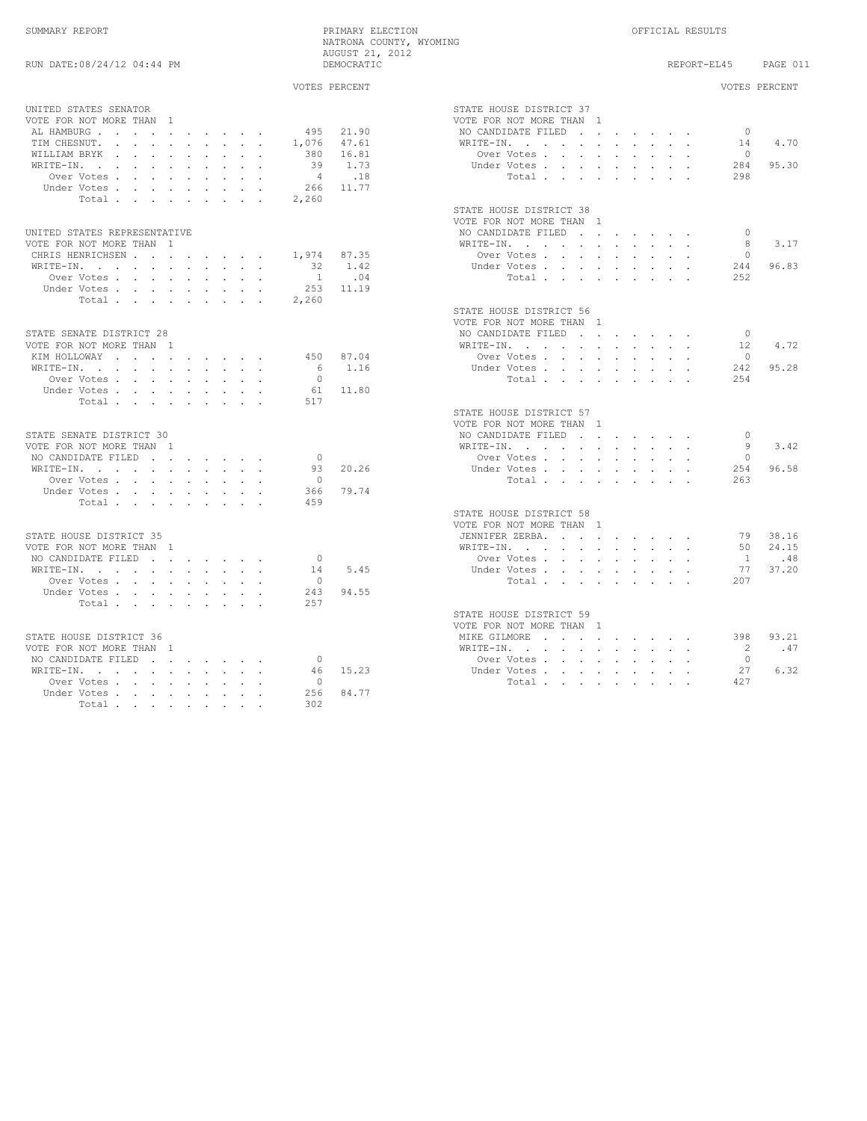# SUMMARY REPORT PRIMARY ELECTION OFFICIAL RESULTS NATRONA COUNTY, WYOMING AUGUST 21, 2012

| RUN DATE:08/24/12 04:44 PM                                                                                      | AUGUUL 41, 4014<br>DEMOCRATIC |                                                                                                                                                                             | REPORT-EL45     | PAGE 011      |
|-----------------------------------------------------------------------------------------------------------------|-------------------------------|-----------------------------------------------------------------------------------------------------------------------------------------------------------------------------|-----------------|---------------|
|                                                                                                                 | VOTES PERCENT                 |                                                                                                                                                                             |                 | VOTES PERCENT |
| UNITED STATES SENATOR                                                                                           |                               | STATE HOUSE DISTRICT 37                                                                                                                                                     |                 |               |
| VOTE FOR NOT MORE THAN 1                                                                                        |                               | VOTE FOR NOT MORE THAN 1                                                                                                                                                    |                 |               |
| AL HAMBURG                                                                                                      | 495 21.90                     | NO CANDIDATE FILED                                                                                                                                                          | $\bigcirc$      |               |
| TIM CHESNUT.                                                                                                    | 1,076 47.61                   | WRITE-IN, , , , , , , , , ,                                                                                                                                                 | 14              | 4.70          |
| WILLIAM BRYK                                                                                                    | 380 16.81                     | Over Votes, , , , , , , , ,                                                                                                                                                 | $\Omega$        |               |
|                                                                                                                 |                               |                                                                                                                                                                             |                 |               |
| WRITE-IN.                                                                                                       | 39 1.73                       | Under Votes                                                                                                                                                                 | 284             | 95.30         |
| Over Votes                                                                                                      | .18<br>$\sim$ 4               | Total                                                                                                                                                                       | 298             |               |
| Under Votes                                                                                                     | 266 11.77                     |                                                                                                                                                                             |                 |               |
| Total                                                                                                           | 2,260                         |                                                                                                                                                                             |                 |               |
|                                                                                                                 |                               | STATE HOUSE DISTRICT 38                                                                                                                                                     |                 |               |
|                                                                                                                 |                               | VOTE FOR NOT MORE THAN 1                                                                                                                                                    |                 |               |
| UNITED STATES REPRESENTATIVE                                                                                    |                               | NO CANDIDATE FILED                                                                                                                                                          | $\Omega$        |               |
| VOTE FOR NOT MORE THAN 1                                                                                        |                               | WRITE-IN.                                                                                                                                                                   | 8               | 3.17          |
| CHRIS HENRICHSEN                                                                                                | 1,974 87.35                   | Over Votes                                                                                                                                                                  | $\Omega$        |               |
| WRITE-IN, , , , , , , , , ,                                                                                     | 32 1.42                       | Under Votes,                                                                                                                                                                | 244             | 96.83         |
| Over Votes                                                                                                      | 1 .04                         | Total                                                                                                                                                                       | 2.52            |               |
| Under Votes                                                                                                     | 253 11.19                     |                                                                                                                                                                             |                 |               |
| Total                                                                                                           | 2,260                         |                                                                                                                                                                             |                 |               |
|                                                                                                                 |                               | STATE HOUSE DISTRICT 56                                                                                                                                                     |                 |               |
|                                                                                                                 |                               | VOTE FOR NOT MORE THAN 1                                                                                                                                                    |                 |               |
| STATE SENATE DISTRICT 28                                                                                        |                               | NO CANDIDATE FILED                                                                                                                                                          | $\bigcirc$      |               |
| VOTE FOR NOT MORE THAN 1                                                                                        |                               | WRITE-IN.                                                                                                                                                                   | 12 <sup>°</sup> | 4.72          |
| KIM HOLLOWAY                                                                                                    | 450 87.04                     | Over Votes                                                                                                                                                                  | $\Omega$        |               |
|                                                                                                                 | 6 1.16                        |                                                                                                                                                                             | 242             | 95.28         |
| WRITE-IN, , , , , , , , , ,                                                                                     | $\cap$                        | Under Votes                                                                                                                                                                 |                 |               |
| Over Votes                                                                                                      |                               | Total                                                                                                                                                                       | 254             |               |
| Under Votes                                                                                                     | 61 11.80                      |                                                                                                                                                                             |                 |               |
| Total                                                                                                           | 517                           |                                                                                                                                                                             |                 |               |
|                                                                                                                 |                               | STATE HOUSE DISTRICT 57                                                                                                                                                     |                 |               |
|                                                                                                                 |                               | VOTE FOR NOT MORE THAN 1                                                                                                                                                    |                 |               |
| STATE SENATE DISTRICT 30                                                                                        |                               | NO CANDIDATE FILED                                                                                                                                                          | $\bigcap$       |               |
| VOTE FOR NOT MORE THAN 1                                                                                        |                               | WRITE-IN.                                                                                                                                                                   | 9               | 3.42          |
| NO CANDIDATE FILED                                                                                              | $\bigcirc$                    | Over Votes                                                                                                                                                                  | $\Omega$        |               |
| WRITE-IN, , , , , , , , , ,                                                                                     | 20.26<br>93                   | Under Votes                                                                                                                                                                 | 254             | 96.58         |
| Over Votes                                                                                                      | $\bigcirc$                    | Total.                                                                                                                                                                      | 263             |               |
| Under Votes                                                                                                     | 79.74<br>366                  |                                                                                                                                                                             |                 |               |
| Total                                                                                                           | 459                           |                                                                                                                                                                             |                 |               |
|                                                                                                                 |                               | STATE HOUSE DISTRICT 58                                                                                                                                                     |                 |               |
|                                                                                                                 |                               | VOTE FOR NOT MORE THAN 1                                                                                                                                                    |                 |               |
| STATE HOUSE DISTRICT 35                                                                                         |                               | JENNIFER ZERBA.                                                                                                                                                             |                 | 79 38.16      |
| VOTE FOR NOT MORE THAN 1                                                                                        |                               | WRITE-IN.                                                                                                                                                                   |                 | 50 24.15      |
| NO CANDIDATE FILED                                                                                              | $\bigcirc$                    | Over Votes                                                                                                                                                                  |                 | 1 .48         |
| WRITE-IN, , , , , , , , , ,                                                                                     | 5.45<br>14                    | Under Votes                                                                                                                                                                 |                 | 77 37.20      |
| Over Votes                                                                                                      | $\overline{0}$                | Total                                                                                                                                                                       | 207             |               |
| Under Votes                                                                                                     | 94.55<br>243                  |                                                                                                                                                                             |                 |               |
|                                                                                                                 | 257                           |                                                                                                                                                                             |                 |               |
| Total.                                                                                                          |                               |                                                                                                                                                                             |                 |               |
|                                                                                                                 |                               | STATE HOUSE DISTRICT 59                                                                                                                                                     |                 |               |
|                                                                                                                 |                               | VOTE FOR NOT MORE THAN 1                                                                                                                                                    |                 |               |
| STATE HOUSE DISTRICT 36                                                                                         |                               | MIKE GILMORE                                                                                                                                                                |                 | 398 93.21     |
| VOTE FOR NOT MORE THAN 1                                                                                        |                               | $\mathtt{WRTTE}\text{-}\mathtt{IN},\quad\texttt{.}\quad\texttt{.}\quad\texttt{.}\quad\texttt{.}\quad\texttt{.}\quad\texttt{.}\quad\texttt{.}\quad\texttt{.}\quad\texttt{.}$ | 2               | .47           |
| NO CANDIDATE FILED                                                                                              | $\overline{0}$                | Over Votes                                                                                                                                                                  | $\Omega$        |               |
| $\mathtt{WRTTE-IN.} \qquad \qquad \ldots \qquad \qquad \ldots \qquad \qquad \ldots \qquad \ldots \qquad \ldots$ | 46 15.23                      | Under Votes                                                                                                                                                                 | 27              | 6.32          |
| Over Votes, , , , , , , ,                                                                                       | $\bigcirc$                    | Total                                                                                                                                                                       | 427             |               |
| Under Votes                                                                                                     | 256<br>84.77                  |                                                                                                                                                                             |                 |               |
| Total                                                                                                           | 302                           |                                                                                                                                                                             |                 |               |

|                                                     |              |                            |                             |                      |                             |                                          |                            |                             |         |                      | VOTES PERCENT |
|-----------------------------------------------------|--------------|----------------------------|-----------------------------|----------------------|-----------------------------|------------------------------------------|----------------------------|-----------------------------|---------|----------------------|---------------|
| STATE HOUSE DISTRICT 37                             |              |                            |                             |                      |                             |                                          |                            |                             |         |                      |               |
| VOTE FOR NOT MORE THAN 1                            |              |                            |                             |                      |                             |                                          |                            |                             |         |                      |               |
| NO CANDIDATE FILED.                                 |              |                            |                             | $\sim$               | <b>Contract Contract</b>    |                                          | $\mathcal{L}_{\text{max}}$ |                             |         | $\overline{0}$       |               |
| WRITE-IN.                                           |              |                            | $\ddot{\phantom{0}}$        | $\sim$               | $\ddot{\phantom{0}}$        | $\ddot{\phantom{0}}$                     |                            |                             |         |                      | 14 4.70       |
|                                                     | Over Votes . | ä.                         | $\ddot{\phantom{0}}$        | $\ddot{\phantom{a}}$ | $\ddot{\phantom{0}}$        | $\ddot{\phantom{0}}$                     |                            |                             |         | $\overline{0}$       |               |
|                                                     | Under Votes. | $\ddot{\phantom{0}}$       | $\mathcal{L}^{\pm}$         | $\ddot{\phantom{0}}$ | $\ddot{\phantom{a}}$        | $\ddot{\phantom{0}}$                     | $\ddot{\phantom{0}}$       | $\ddot{\phantom{0}}$        |         |                      | 284 95.30     |
|                                                     | Total .      | $\mathbf{r}$               | $\sim$                      |                      |                             |                                          |                            |                             |         | 298                  |               |
| STATE HOUSE DISTRICT 38                             |              |                            |                             |                      |                             |                                          |                            |                             |         |                      |               |
| VOTE FOR NOT MORE THAN 1                            |              |                            |                             |                      |                             |                                          |                            |                             |         |                      |               |
| NO CANDIDATE FILED                                  |              |                            | $\sim$                      | $\sim$               | $\sim 10^{-11}$             |                                          |                            |                             |         | $\overline{0}$       |               |
| WRITE-IN.                                           |              |                            |                             | $\ddot{\phantom{0}}$ | $\ddot{\phantom{0}}$        |                                          |                            |                             |         | 8                    | 3.17          |
|                                                     | Over Votes.  | $\ddot{\phantom{0}}$       | $\ddot{\phantom{0}}$        | $\ddot{\phantom{0}}$ | $\mathcal{L}_{\mathcal{A}}$ |                                          |                            |                             |         | $\overline{0}$       |               |
|                                                     | Under Votes. | $\mathcal{L}^{\text{max}}$ | $\sim$                      | $\sim$               | $\sim$                      | $\ddot{\phantom{a}}$                     |                            | $\mathcal{L}_{\mathcal{A}}$ |         |                      | 244 96.83     |
|                                                     | Total .      | $\sim$                     |                             |                      |                             |                                          |                            |                             |         | 252                  |               |
|                                                     |              |                            |                             |                      |                             |                                          |                            |                             |         |                      |               |
| STATE HOUSE DISTRICT 56<br>VOTE FOR NOT MORE THAN 1 |              |                            |                             |                      |                             |                                          |                            |                             |         |                      |               |
| NO CANDIDATE FILED                                  |              |                            |                             |                      |                             |                                          |                            |                             |         |                      |               |
|                                                     |              |                            | $\mathcal{L}^{\mathcal{L}}$ | $\ddot{\phantom{a}}$ |                             |                                          |                            |                             |         | $\overline{0}$       | 4.72          |
| WRITE-IN.                                           |              | $\ddot{\phantom{0}}$       | $\ddot{\phantom{0}}$        | $\sim$               | $\sim$                      | $\sim$                                   |                            |                             |         | 12<br>$\overline{0}$ |               |
|                                                     | Over Votes . | $\blacksquare$             | $\ddot{\phantom{0}}$        | $\sim$               | $\ddot{\phantom{a}}$        | $\ddot{\phantom{0}}$                     | $\ddot{\phantom{0}}$       | $\bullet$                   | $\cdot$ |                      |               |
|                                                     | Under Votes. | $\ddot{\phantom{0}}$       | $\ddot{\phantom{0}}$        | $\ddot{\phantom{0}}$ |                             |                                          |                            |                             |         |                      | 242 95.28     |
|                                                     | Total .      | $\sim$                     | $\ddot{\phantom{0}}$        | $\ddot{\phantom{a}}$ | $\ddot{\phantom{0}}$        | $\sim$                                   | $\ddot{\phantom{0}}$       | $\ddot{\phantom{0}}$        |         | 2.54                 |               |
| STATE HOUSE DISTRICT 57                             |              |                            |                             |                      |                             |                                          |                            |                             |         |                      |               |
| VOTE FOR NOT MORE THAN 1                            |              |                            |                             |                      |                             |                                          |                            |                             |         |                      |               |
| NO CANDIDATE FILED                                  |              |                            | $\sim$                      | $\sim$               | $\bullet$                   | $\bullet$ .                              |                            |                             |         | $\overline{0}$       |               |
| WRITE-IN.                                           |              | <b>Contract</b>            | $\mathcal{L}^{\pm}$         | $\mathcal{L}^{\pm}$  | $\mathcal{L}^{\pm}$         | $\mathcal{L}^{\pm}$                      | $\bullet$ .                | $\ddot{\phantom{0}}$        |         | - 9                  | 3.42          |
|                                                     | Over Votes . | $\mathcal{L}$              | $\ddot{\phantom{a}}$        | $\ddot{\phantom{a}}$ | $\ddot{\phantom{0}}$        |                                          |                            |                             |         | $\overline{0}$       |               |
|                                                     | Under Votes. |                            |                             |                      |                             |                                          |                            |                             |         |                      | 254 96.58     |
|                                                     | Total.       | $\ddot{\phantom{0}}$       | $\ddot{\phantom{0}}$        | $\ddot{\phantom{0}}$ | $\sim$                      | $\sim$                                   |                            | $\ddot{\phantom{0}}$        |         | 263                  |               |
|                                                     |              | $\sim$                     | $\ddot{\phantom{0}}$        | $\ddot{\phantom{a}}$ | $\ddot{\phantom{a}}$        | ÷.                                       | ÷.                         |                             |         |                      |               |
| STATE HOUSE DISTRICT 58                             |              |                            |                             |                      |                             |                                          |                            |                             |         |                      |               |
| VOTE FOR NOT MORE THAN 1                            |              |                            |                             |                      |                             |                                          |                            |                             |         |                      |               |
| JENNIFER ZERBA.                                     |              |                            | $\ddot{\phantom{0}}$        | $\ddot{\phantom{0}}$ |                             | $\mathbf{a} = \mathbf{a} + \mathbf{b}$ . |                            |                             |         | 79                   | 38.16         |
| WRITE-IN.                                           |              |                            | $\ddot{\phantom{a}}$        | $\sim$               |                             |                                          |                            |                             |         | 50                   | 24.15         |
|                                                     | Over Votes . | $\ddot{\phantom{0}}$       | $\ddot{\phantom{0}}$        | $\ddot{\phantom{0}}$ | $\ddot{\phantom{0}}$        | $\ddot{\phantom{0}}$                     |                            |                             |         | 1                    | .48           |
|                                                     | Under Votes. | $\mathcal{L}^{\pm}$        | $\mathcal{L}_{\mathcal{A}}$ | $\Box$               | $\blacksquare$              | $\epsilon$                               | ÷.                         | $\ddot{\phantom{0}}$        |         | 77                   | 37.20         |
|                                                     | Total.       | <b>Service</b>             |                             | $\sim$               |                             | $\sim$                                   |                            |                             |         | 207                  |               |
|                                                     |              |                            |                             |                      |                             |                                          |                            |                             |         |                      |               |
| STATE HOUSE DISTRICT 59                             |              |                            |                             |                      |                             |                                          |                            |                             |         |                      |               |
| VOTE FOR NOT MORE THAN 1                            |              |                            |                             |                      |                             |                                          |                            |                             |         |                      |               |
| MIKE GILMORE .                                      |              | $\ddot{\phantom{a}}$       | $\ddot{\phantom{0}}$        | $\bullet$            |                             |                                          |                            |                             |         |                      | 398 93.21     |
| WRITE-IN. .                                         |              |                            | $\ddot{\phantom{a}}$        |                      |                             |                                          |                            |                             |         | $\overline{2}$       | .47           |
|                                                     | Over Votes.  | $\ddot{\phantom{0}}$       | $\ddot{\phantom{0}}$        | $\ddot{\phantom{0}}$ | $\mathcal{L}_{\mathcal{A}}$ |                                          |                            |                             |         | $\overline{0}$       |               |
|                                                     | Under Votes. | $\ddot{\phantom{a}}$       | $\ddot{\phantom{a}}$        | $\ddot{\phantom{a}}$ | $\ddot{\phantom{a}}$        | $\ddot{\phantom{a}}$                     |                            |                             |         | 2.7                  | 6.32          |
|                                                     | Total .      | ÷.                         | $\ddot{\phantom{a}}$        | $\ddot{\phantom{0}}$ |                             |                                          |                            |                             |         | 427                  |               |
|                                                     |              |                            |                             |                      |                             |                                          |                            |                             |         |                      |               |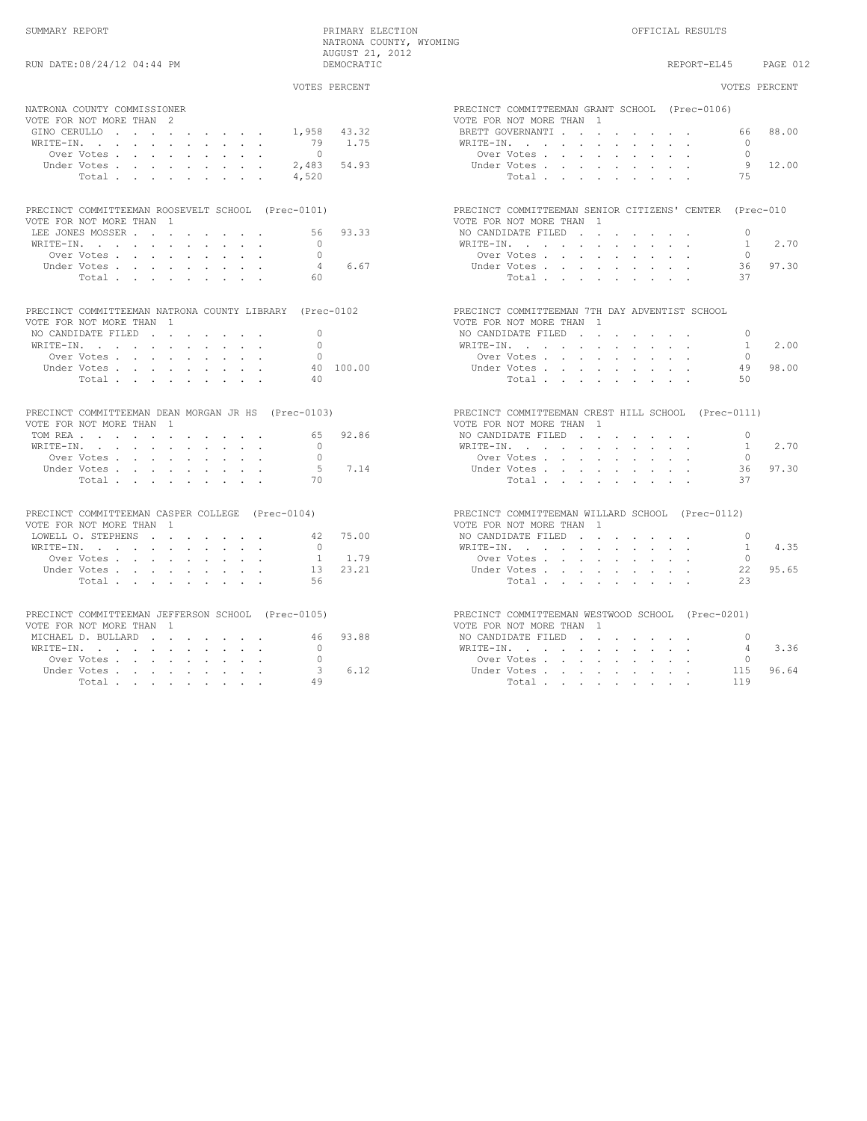|                                                                                                                                        | VOTES PERCENT      | VOTES PERCENT                                                                                                                                                |
|----------------------------------------------------------------------------------------------------------------------------------------|--------------------|--------------------------------------------------------------------------------------------------------------------------------------------------------------|
| NATRONA COUNTY COMMISSIONER<br>VOTE FOR NOT MORE THAN 2<br>1,958<br>GINO CERULLO                                                       | 43.32              | PRECINCT COMMITTEEMAN GRANT SCHOOL (Prec-0106)<br>VOTE FOR NOT MORE THAN 1<br>88.00<br>BRETT GOVERNANTI.<br>66                                               |
| WRITE-IN.<br>79<br>Over Votes<br>$\bigcirc$<br>2,483<br>Under Votes<br>Total.<br>4,520                                                 | 1.75<br>54.93      | WRITE-IN.<br>$\cap$<br>Over Votes<br>$\Omega$<br>9 12.00<br>Under Votes<br>75<br>Total, , , , , , , ,                                                        |
| PRECINCT COMMITTEEMAN ROOSEVELT SCHOOL (Prec-0101)<br>VOTE FOR NOT MORE THAN 1                                                         |                    | PRECINCT COMMITTEEMAN SENIOR CITIZENS' CENTER (Prec-010<br>VOTE FOR NOT MORE THAN 1                                                                          |
| LEE JONES MOSSER<br>WRITE-IN.<br>$\Omega$<br>$\Omega$<br>Over Votes<br>Under Votes, , , , , , , , ,<br>$\overline{4}$<br>60.<br>Total. | 56 93.33<br>6.67   | NO CANDIDATE FILED<br>$\Omega$<br>WRITE-IN, , , , , , , , , ,<br>$\mathbf{1}$<br>2.70<br>Over Votes<br>$\cap$<br>97.30<br>Under Votes.<br>36<br>Total.<br>37 |
| PRECINCT COMMITTEEMAN NATRONA COUNTY LIBRARY (Prec-0102<br>VOTE FOR NOT MORE THAN 1<br>$\Omega$                                        |                    | PRECINCT COMMITTEEMAN 7TH DAY ADVENTIST SCHOOL<br>VOTE FOR NOT MORE THAN 1                                                                                   |
| NO CANDIDATE FILED<br>WRITE-IN.<br>$\Omega$<br>Over Votes.<br>$\Omega$                                                                 |                    | NO CANDIDATE FILED<br>$\Omega$<br>WRITE-IN.<br>2.00<br>$\mathbf{1}$<br>Over Votes<br>$\bigcap$                                                               |
| Under Votes,<br>Total<br>40                                                                                                            | 40 100.00          | 98.00<br>Under Votes, , , , , , , , ,<br>49<br>Total<br>50                                                                                                   |
| PRECINCT COMMITTEEMAN DEAN MORGAN JR HS (Prec-0103)<br>VOTE FOR NOT MORE THAN 1                                                        |                    | PRECINCT COMMITTEEMAN CREST HILL SCHOOL (Prec-0111)<br>VOTE FOR NOT MORE THAN 1                                                                              |
| TOM REA<br>65<br>WRITE-IN.<br>$\cap$<br>$\Omega$<br>Over Votes.                                                                        | 92.86              | NO CANDIDATE FILED<br>$\Omega$<br>2.70<br>WRITE-IN, , , , , , , , , ,<br>$\overline{1}$<br>Over Votes<br>$\Omega$                                            |
| Under Votes<br>.5<br>Total<br>70                                                                                                       | 7.14               | 97.30<br>Under Votes,<br>36<br>$\texttt{Total}~~.~~.~~.~~.~~.~~.~~.~~.$<br>37                                                                                |
| PRECINCT COMMITTEEMAN CASPER COLLEGE (Prec-0104)<br>VOTE FOR NOT MORE THAN 1                                                           |                    | PRECINCT COMMITTEEMAN WILLARD SCHOOL (Prec-0112)<br>VOTE FOR NOT MORE THAN 1                                                                                 |
| LOWELL O. STEPHENS<br>WRITE-IN.<br>$\bigcirc$<br>Over Votes                                                                            | 42 75.00<br>1 1.79 | NO CANDIDATE FILED<br>$\Omega$<br>4.35<br>WRITE-IN.<br>$\overline{1}$<br>$\cap$<br>Over Votes                                                                |
| Under Votes<br>1.3<br>Total.<br>56                                                                                                     | 23.21              | Under Votes<br>95.65<br>22<br>Total<br>23                                                                                                                    |
| PRECINCT COMMITTEEMAN JEFFERSON SCHOOL (Prec-0105)<br>VOTE FOR NOT MORE THAN 1                                                         |                    | PRECINCT COMMITTEEMAN WESTWOOD SCHOOL (Prec-0201)<br>VOTE FOR NOT MORE THAN 1                                                                                |
| MICHAEL D. BULLARD<br>WRITE-IN, , , , , , , , , , ,<br>$\overline{0}$<br>$\Omega$<br>Over Votes                                        | 46 93.88           | NO CANDIDATE FILED<br>$\Omega$<br>3.36<br>WRITE-IN.<br>4<br>Over Votes<br>$\circ$                                                                            |
| Under Votes<br>Total<br>49                                                                                                             | 3, 6.12            | 96.64<br>Under Votes<br>115<br>Total<br>119                                                                                                                  |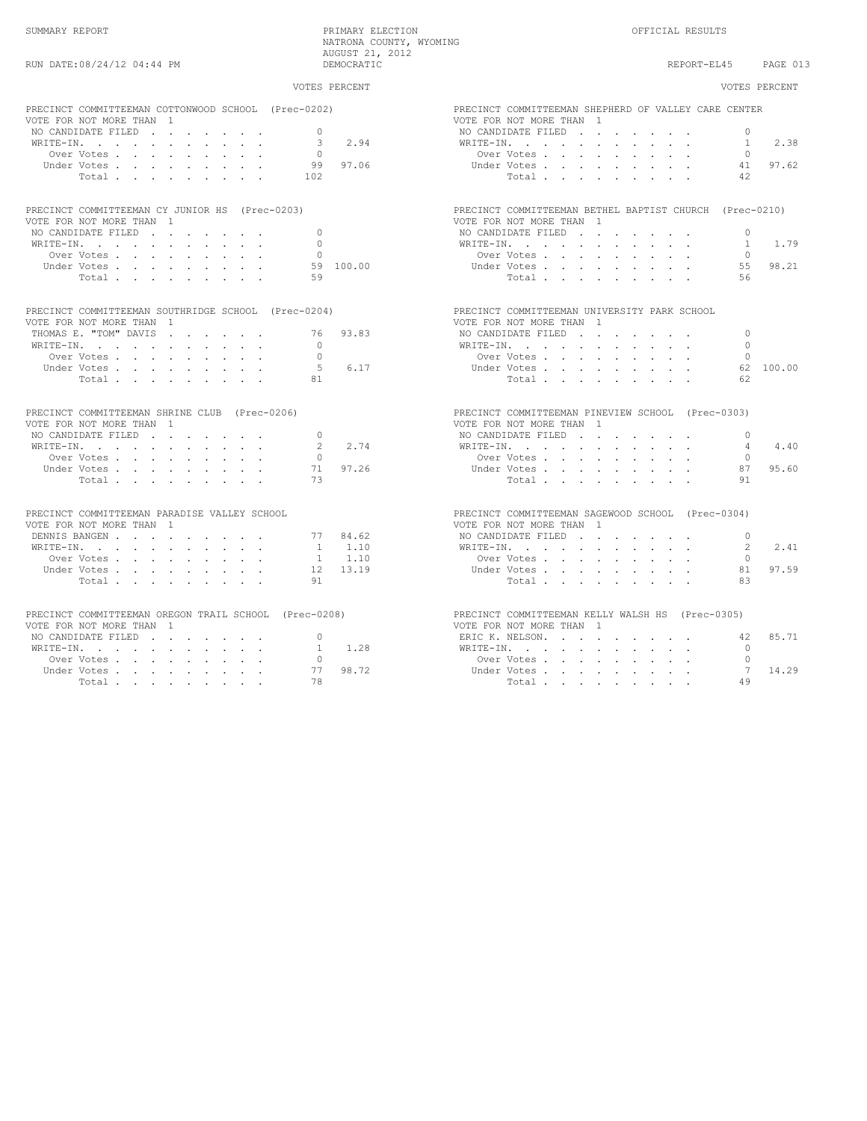SUMMARY REPORT PRIMARY ELECTION OFFICIAL RESULTS NATRONA COUNTY, WYOMING AUGUST 21, 2012<br>DEMOCRATIC

## RUN DATE:08/24/12 04:44 PM **DEMOCRATIC** DEMOCRATIC REPORT-EL45 PAGE 013 VOTES PERCENT VOTES PERCENT PRECINCT COMMITTEEMAN COTTONWOOD SCHOOL (Prec-0202) PRECINCT COMMITTEEMAN SHEPHERD OF VALLEY CARE CENTER<br>VOTE FOR NOT MORE THAN 1 VOTE FOR NOT MORE THAN 1 <br>
VOTE FOR NOT MORE THAN 1 <br>
NO CANDIDATE FILED NO CANDIDATE FILED . . . . . . . 0 NO CANDIDATE FILED . . . . . . . 0 WRITE-IN. . . . . . . . . . . 3 2.94 WRITE-IN. . . . . . . . . . . 1 2.38 Over Votes . . . . . . . . . 0 Over Votes . . . . . . . . . 0 Under Votes . . . . . . . . . 99 97.06 Under Votes . . . . . . . . . 41 97.62 Total . . . . . . . . . 102 Total . . . . . . . . . 42 PRECINCT COMMITTEEMAN CY JUNIOR HS (Prec-0203) PRECINCT COMMITTEEMAN BETHEL BAPTIST CHURCH (Prec-0210)<br>VOTE FOR NOT MORE THAN 1 VOTE FOR NOT MORE THAN 1 VOTE FOR NOT MORE THAN 1 NO CANDIDATE FILED . . . . . . . 0 NO CANDIDATE FILED . . . . . . . 0 WRITE-IN. . . . . . . . . . . 0 WRITE-IN. . . . . . . . . . . 1 1.79 Over Votes . . . . . . . . . 0 Over Votes . . . . . . . . . 0 Under Votes . . . . . . . . . 59 100.00 Under Votes . . . . . . . . . 55 98.21 Total . . . . . . . . . 59 Total . . . . . . . . . 56 PRECINCT COMMITTEEMAN SOUTHRIDGE SCHOOL (Prec-0204) PRECINCT COMMITTEEMAN UNIVERSITY PARK SCHOOL<br>VOTE FOR NOT MORE THAN 1 VOTE FOR NOT MORE THAN 1<br>VOTE FOR NOT MORE THAN 1<br>THOMAS E. "TOM" DAVIS . . . . . . 76 93.83 NO CANDIDATE FILED . . THOMAS E. "TOM" DAVIS . . . . . . 76 93.83 NO CANDIDATE FILED . . . . . . . 0 WRITE-IN. . . . . . . . . . . 0 WRITE-IN. . . . . . . . . . . 0 Over Votes . . . . . . . . . 0 Over Votes . . . . . . . . . 0 Under Votes . . . . . . . . . 5 6.17 Under Votes . . . . . . . . . 62 100.00 Total . . . . . . . . . 81 Total . . . . . . . . . 62 PRECINCT COMMITTEEMAN SHRINE CLUB (Prec-0206) PRECINCT COMMITTEEMAN PINEVIEW SCHOOL (Prec-0303)<br>Precinct for not more than 1 VOTE FOR NOT MORE THAN 1 VOTE FOR NOT MORE THAN 1 NO CANDIDATE FILED . . . . . . . 0 NO CANDIDATE FILED . . . . . . . 0 WRITE-IN. . . . . . . . . . . 2 2.74 WRITE-IN. . . . . . . . . . . 4 4.40 Over Votes . . . . . . . . . 0 Over Votes . . . . . . . . . 0 Under Votes . . . . . . . . . 71 97.26 Under Votes . . . . . . . . . 87 95.60 Total . . . . . . . . . 73 Total . . . . . . . . . 91 PRECINCT COMMITTEEMAN PARADISE VALLEY SCHOOL PRECINCT COMMITTEEMAN SAGEWOOD SCHOOL (Prec-0304)<br>PRECINCT COMMITTEEMAN 1 VOTE FOR NOT MORE THAN 1<br>DENNIS BANGEN . . . . . . . . . 77 84.62 NO CANDIDATE FILED . . . . . . . . 0 WRITE-IN. . . . . . . . . . . 1 1.10 WRITE-IN. . . . . . . . . . . 2 2.41 Over Votes . . . . . . . . . 1 1.10 Over Votes . . . . . . . . . 0 Under Votes . . . . . . . . . 12 13.19 Under Votes . . . . . . . . . 81 97.59 Total . . . . . . . . . 91 Total . . . . . . . . . 83 PRECINCT COMMITTEEMAN OREGON TRAIL SCHOOL (Prec-0208) PRECINCT COMMITTEEMAN KELLY WALSH HS (Prec-0305)<br>VOTE FOR NOT MORE THAN 1 VOTE FOR NOT MORE THAN 1 VOTE FOR NOT MORE THAN 1 NO CANDIDATE FILED . . . . . . . 0 ERIC K. NELSON. . . . . . . . . 42 85.71

WRITE-IN. . . . . . . . . . . 1 1.28 WRITE-IN. . . . . . . . . . . 0 Over Votes . . . . . . . . . 0 Over Votes . . . . . . . . . 0 Under Votes . . . . . . . . . 77 98.72 Under Votes . . . . . . . . . 7 14.29 Total . . . . . . . . . 78 Total . . . . . . . . . 49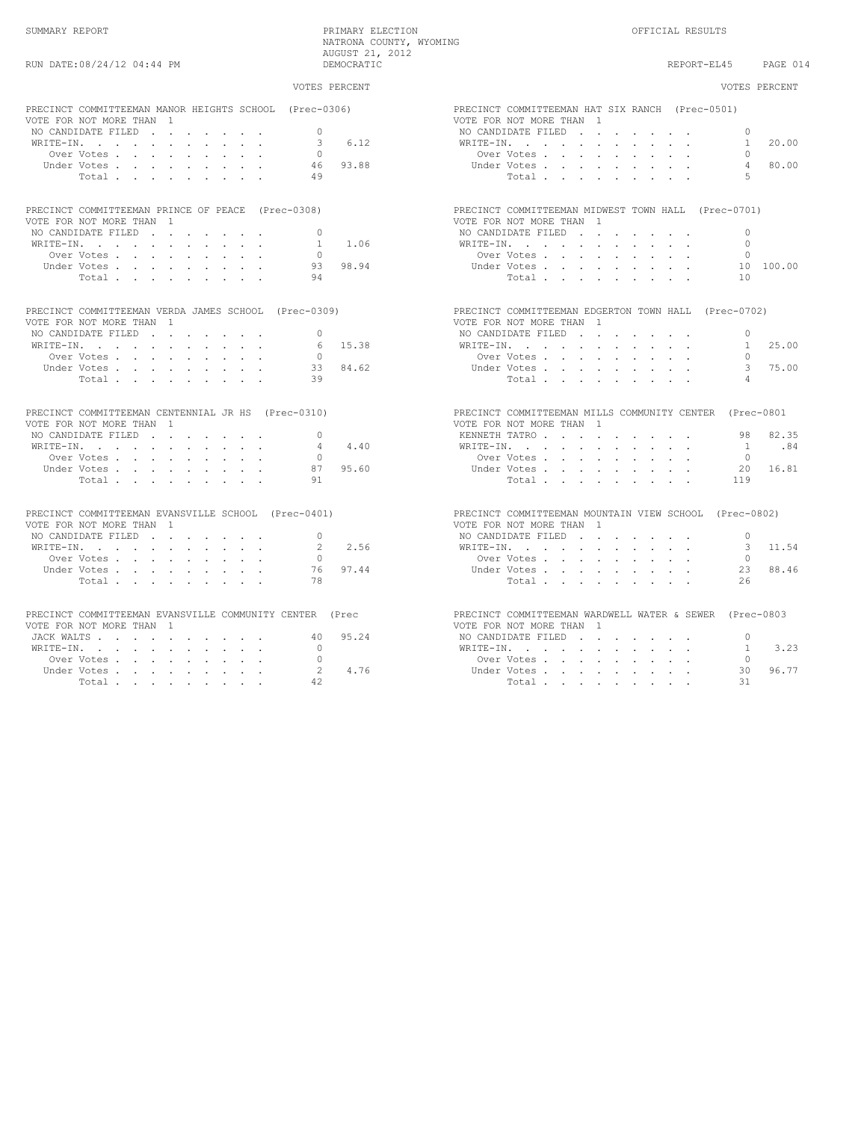SUMMARY REPORT PRIMARY ELECTION OFFICIAL RESULTS

NATRONA COUNTY, WYOMING AUGUST 21, 2012

| RUN DATE: 08/24/12 04:44 PM                                                         | DEMOCRATIC             | REPORT-EL45 PAGE 014                                                               |
|-------------------------------------------------------------------------------------|------------------------|------------------------------------------------------------------------------------|
|                                                                                     | VOTES PERCENT          | VOTES PERCENT                                                                      |
| PRECINCT COMMITTEEMAN MANOR HEIGHTS SCHOOL (Prec-0306)                              |                        | PRECINCT COMMITTEEMAN HAT SIX RANCH (Prec-0501)                                    |
| VOTE FOR NOT MORE THAN 1<br>NO CANDIDATE FILED                                      | $\cap$                 | VOTE FOR NOT MORE THAN 1<br>NO CANDIDATE FILED<br>$\cap$                           |
|                                                                                     | 6.12                   | 20.00                                                                              |
| WRITE-IN.                                                                           | 3                      | WRITE-IN, , , , , , , , , , ,<br>$\overline{1}$                                    |
| Over Votes                                                                          | $\cap$                 | Over Votes, , , , , , , , ,                                                        |
| Under Votes                                                                         | 93.88<br>46            | 80.00<br>$\overline{4}$<br>Under Votes, , , , , , , , ,                            |
| Total                                                                               | 49                     | 5<br>Total                                                                         |
| PRECINCT COMMITTEEMAN PRINCE OF PEACE (Prec-0308)                                   |                        | PRECINCT COMMITTEEMAN MIDWEST TOWN HALL (Prec-0701)                                |
| VOTE FOR NOT MORE THAN 1                                                            |                        | VOTE FOR NOT MORE THAN 1                                                           |
| NO CANDIDATE FILED                                                                  | $\Omega$               | NO CANDIDATE FILED<br>$\Omega$                                                     |
| WRITE-IN.                                                                           | 1.06<br>$\overline{1}$ | $\Omega$<br>WRITE-IN.                                                              |
| Over Votes                                                                          | $\cap$                 | Over Votes<br>$\Omega$                                                             |
| Under Votes.                                                                        | 98.94<br>93            | 10 100.00<br>Under Votes, , , , , , , , ,                                          |
| Total                                                                               | 94                     | Total<br>10                                                                        |
| PRECINCT COMMITTEEMAN VERDA JAMES SCHOOL (Prec-0309)                                |                        | PRECINCT COMMITTEEMAN EDGERTON TOWN HALL (Prec-0702)                               |
| VOTE FOR NOT MORE THAN 1                                                            |                        | VOTE FOR NOT MORE THAN 1                                                           |
| NO CANDIDATE FILED                                                                  | $\bigcap$              | NO CANDIDATE FILED<br>$\cap$                                                       |
| WRITE-IN, , , , , , , , , ,                                                         | 6 15.38                | 1 25.00<br>WRITE-IN.                                                               |
| Over Votes                                                                          | $\cap$                 | Over Votes, , , , , , , ,<br>$\cap$                                                |
| Under Votes                                                                         | 84.62<br>33            | 3 75.00<br>Under Votes                                                             |
| Total.                                                                              | 39                     | $\overline{a}$<br>Total                                                            |
| PRECINCT COMMITTEEMAN CENTENNIAL JR HS (Prec-0310)                                  |                        | PRECINCT COMMITTEEMAN MILLS COMMUNITY CENTER (Prec-0801                            |
| VOTE FOR NOT MORE THAN 1                                                            |                        | VOTE FOR NOT MORE THAN 1                                                           |
| NO CANDIDATE FILED                                                                  | $\Omega$               | 98 82.35<br>KENNETH TATRO                                                          |
| WRITE-IN.                                                                           | 4.40<br>4              | WRITE-IN.<br>1.84                                                                  |
| Over Votes                                                                          | $\Omega$               | Over Votes, , , , , , , , ,<br>$\Omega$                                            |
| Under Votes                                                                         | 95.60<br>87            | 20 16.81<br>Under Votes                                                            |
| Total                                                                               | 91                     | Total<br>119                                                                       |
| PRECINCT COMMITTEEMAN EVANSVILLE SCHOOL (Prec-0401)<br>VOTE FOR NOT MORE THAN 1     |                        | PRECINCT COMMITTEEMAN MOUNTAIN VIEW SCHOOL (Prec-0802)<br>VOTE FOR NOT MORE THAN 1 |
| NO CANDIDATE FILED                                                                  | $\Omega$               | NO CANDIDATE FILED<br>$\Omega$                                                     |
| WRITE-IN.                                                                           | 2.56<br>$2^{\circ}$    | WRITE-IN.<br>3 11.54                                                               |
| Over Votes                                                                          | $\cap$                 | Over Votes, , , , , , , , ,<br>$\cap$                                              |
| Under Votes                                                                         | 97.44<br>76            | 23 88.46<br>Under Votes                                                            |
| Total                                                                               | 78                     | Total<br>26                                                                        |
| PRECINCT COMMITTEEMAN EVANSVILLE COMMUNITY CENTER (Prec<br>VOTE FOR NOT MORE THAN 1 |                        | PRECINCT COMMITTEEMAN WARDWELL WATER & SEWER (Prec-0803                            |
|                                                                                     | 95.24<br>40            | VOTE FOR NOT MORE THAN 1                                                           |
| JACK WALTS                                                                          |                        | NO CANDIDATE FILED<br>$\Omega$                                                     |
| WRITE-IN.                                                                           | $\Omega$ and $\Omega$  | 3.23<br>WRITE-IN, , , , , , , , , ,<br>1                                           |
| Over Votes                                                                          | $\Omega$               | Over Votes<br>$\Omega$                                                             |
| Under Votes                                                                         | 4.76<br>$2^{\circ}$    | 30 96.77<br>Under Votes                                                            |
| Total                                                                               | 42                     | 31<br>Total                                                                        |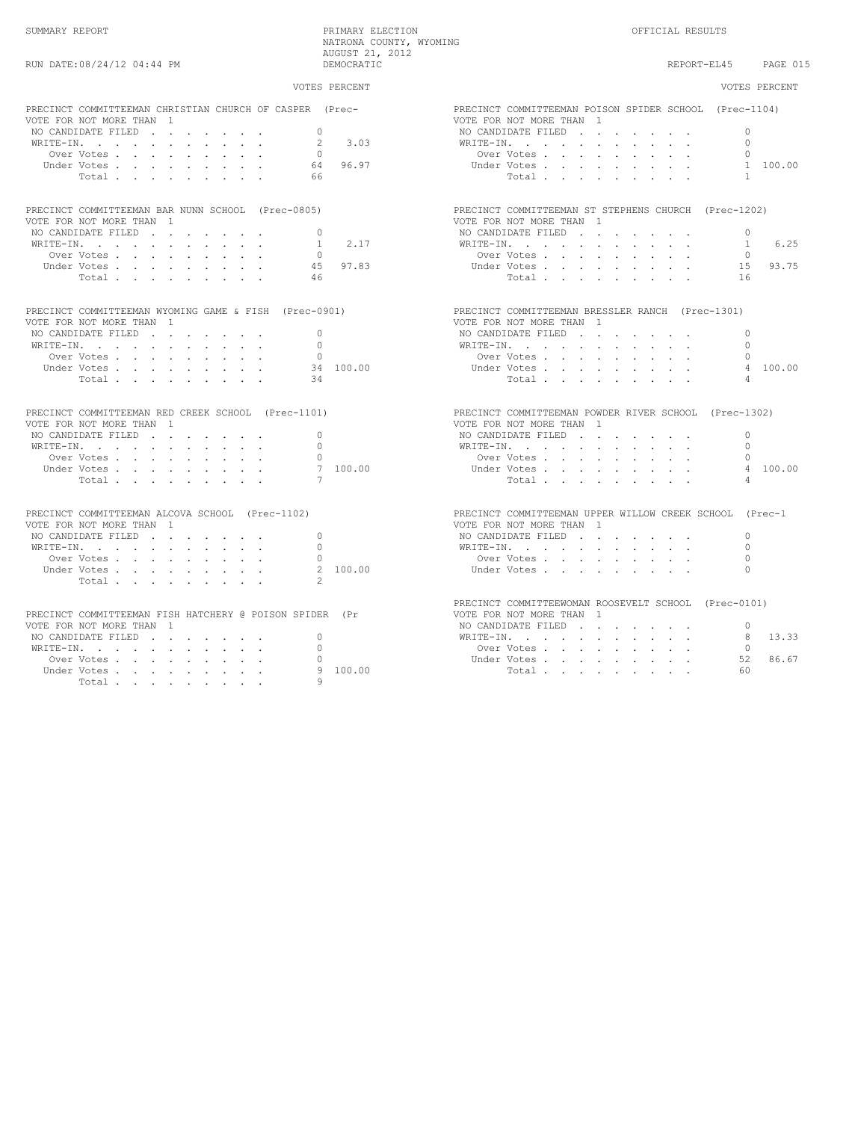| RUN DATE:08/24/12 04:44 PM                                                   | NATRONA COUNTY, WYOMING<br>AUGUST 21, 2012<br>DEMOCRATIC |                                                                        | REPORT-EL45 | PAGE 015      |
|------------------------------------------------------------------------------|----------------------------------------------------------|------------------------------------------------------------------------|-------------|---------------|
|                                                                              | VOTES PERCENT                                            |                                                                        |             | VOTES PERCENT |
| PRECINCT COMMITTEEMAN CHRISTIAN CHURCH OF CASPER<br>VOTE FOR NOT MORE THAN 1 | (Prec-                                                   | PRECINCT COMMITTEEMAN POISON SPIDER SCHOOL<br>VOTE FOR NOT MORE THAN 1 |             | (Prec-1104)   |
| NO CANDIDATE FILED                                                           |                                                          | NO CANDIDATE FILED                                                     |             |               |
|                                                                              | 3.03                                                     | WRITE-IN.                                                              |             |               |
| $O(10^{-17}$                                                                 |                                                          | $Q_{\text{max}}$ $\text{U}_{\text{max}}$                               |             |               |

| PRECINCT COMMITTEEMAN BAR NUNN SCHOOL (Prec-0805) |          | PRECINCT COMMITTEEMAN ST STEPHENS CHURCH (Prec-1202)                                                                                                                                                                                    |  |
|---------------------------------------------------|----------|-----------------------------------------------------------------------------------------------------------------------------------------------------------------------------------------------------------------------------------------|--|
| VOTE FOR NOT MORE THAN 1                          |          | VOTE FOR NOT MORE THAN 1                                                                                                                                                                                                                |  |
| NO CANDIDATE FILED 0                              |          | NO CANDIDATE FILED 0                                                                                                                                                                                                                    |  |
| WRITE-IN. 1 2.17                                  |          | WRITE-IN. 1                                                                                                                                                                                                                             |  |
|                                                   |          | $0$ over Votes $\cdots$ $\cdots$ $\cdots$ $0$                                                                                                                                                                                           |  |
| Under Votes                                       | 45 97 83 | Inder Votes in the contract of the contract of the contract of the contract of the contract of the contract of the contract of the contract of the contract of the contract of the contract of the contract of the contract of<br>15. Q |  |

| PRECINCT COMMITTEEMAN WYOMING GAME & FISH (Prec-0901) |           | PRECINCT COMMITTEEMAN BRESSLER RANCH (Prec-1301) |           |
|-------------------------------------------------------|-----------|--------------------------------------------------|-----------|
| VOTE FOR NOT MORE THAN 1                              |           | VOTE FOR NOT MORE THAN 1                         |           |
| NO CANDIDATE FILED                                    |           | NO CANDIDATE FILED                               | $\bigcap$ |
| WRITE-IN.                                             |           | WRITE-IN.                                        | $\cap$    |
| Over Votes                                            |           | Over Votes                                       | $\cap$    |
| Under Votes,                                          | 34 100.00 | Under Votes,                                     | 4         |
| Total 34                                              |           | Total                                            |           |

|                          |  |  |  |  | PRECINCT COMMITTEEMAN RED CREEK SCHOOL (Prec-1101) | PRECINCT COMMITTEEMAN POWDER RIVER SCHOOL (Prec-13 |          |
|--------------------------|--|--|--|--|----------------------------------------------------|----------------------------------------------------|----------|
| VOTE FOR NOT MORE THAN 1 |  |  |  |  |                                                    | VOTE FOR NOT MORE THAN 1                           |          |
|                          |  |  |  |  | NO CANDIDATE FILED 0                               | NO CANDIDATE FILED                                 | $\sim$ 0 |
|                          |  |  |  |  | WRITE-IN. 0                                        | WRITE-IN.                                          | $\sim$ 0 |
|                          |  |  |  |  | Over Votes 0                                       | Over Votes 0                                       |          |

| $\mathcal{L} \setminus \mathcal{L} \setminus \{ \ldots, \ldots, \ell-1, \ldots, \ell-1, \ldots, \ell-1, \ldots, \ell-1, \ldots, \ell-1, \ldots, \ell-1, \ldots, \ell-1, \ldots, \ell-1, \ldots, \ell-1, \ldots, \ell-1, \ldots, \ell-1, \ldots, \ell-1, \ldots, \ell-1, \ldots, \ell-1, \ldots, \ell-1, \ldots, \ell-1, \ldots, \ell-1, \ldots, \ell-1, \ldots, \ell-1, \ldots, \ell-1, \ldots, \ell-1, \ldots, \ell-$ |  |  |  |  |  |        | . <i>.</i> | $\sqrt{2}$          |  |  |  |  |                |   |
|------------------------------------------------------------------------------------------------------------------------------------------------------------------------------------------------------------------------------------------------------------------------------------------------------------------------------------------------------------------------------------------------------------------------|--|--|--|--|--|--------|------------|---------------------|--|--|--|--|----------------|---|
|                                                                                                                                                                                                                                                                                                                                                                                                                        |  |  |  |  |  | 100.00 | Under V    | Votes.              |  |  |  |  | $\overline{a}$ |   |
|                                                                                                                                                                                                                                                                                                                                                                                                                        |  |  |  |  |  |        |            | $T \cap + \equiv 1$ |  |  |  |  |                | 4 |

| PRECINCT COMMITTEEMAN ALCOVA SCHOOL (Prec-1102) |  |  |  | PRECINCT COMMITTEEMAN UPPE |  |
|-------------------------------------------------|--|--|--|----------------------------|--|
| VOTE FOR NOT MORE THAN 1                        |  |  |  | VOTE FOR NOT MORE THAN 1   |  |
| NO CANDIDATE FILED                              |  |  |  | NO CANDIDATE FILED.        |  |

| WRITE-IN.            |  |  |  |  |         |  | WRITE-IN.                      |  |  |  |  |  |  |
|----------------------|--|--|--|--|---------|--|--------------------------------|--|--|--|--|--|--|
| Over Votes 0         |  |  |  |  |         |  | Over Votes 0                   |  |  |  |  |  |  |
| Under Votes 2 100.00 |  |  |  |  |         |  | Under Votes, , , , , , , , , , |  |  |  |  |  |  |
|                      |  |  |  |  | Total 2 |  |                                |  |  |  |  |  |  |

| PRECINCT COMMITTEEMAN FISH HATCHERY @ POISON SPIDER (Pr |         | VOTE FOR NOT MORE THAN 1                                                                                      |  |  |  |      |
|---------------------------------------------------------|---------|---------------------------------------------------------------------------------------------------------------|--|--|--|------|
| VOTE FOR NOT MORE THAN 1                                |         | NO CANDIDATE FILED                                                                                            |  |  |  |      |
| NO CANDIDATE FILED 0                                    |         | WRITE-IN.                                                                                                     |  |  |  | - 8  |
| WRITE-IN.                                               |         | Over Votes                                                                                                    |  |  |  |      |
| Over Votes 0                                            |         | Under Votes                                                                                                   |  |  |  | - 52 |
| $T$ The alleged $T$ $T$ and $T$ and $T$                 | 0.10000 | - 四 - ニューコー - コーラー - コーラー - コーラー - コーラー - コーラー - コーラー - コーラー - コーラー - コーラー - コーラー - コーラー - コーラー - コーラー - コーラー |  |  |  |      |

| PRECINCT COMMITTEEMAN CHRISTIAN CHURCH OF CASPER (Prec-                                                           |                                   | PRECINCT COMMITTEEMAN POISON SPIDER SCHOOL (Prec-1104)                                                                                       |
|-------------------------------------------------------------------------------------------------------------------|-----------------------------------|----------------------------------------------------------------------------------------------------------------------------------------------|
| VOTE FOR NOT MORE THAN 1                                                                                          |                                   | VOTE FOR NOT MORE THAN 1                                                                                                                     |
| NO CANDIDATE FILED                                                                                                | $\Omega$                          | $\Omega$<br>NO CANDIDATE FILED                                                                                                               |
| $\verb+WRITE-IN.$                                                                                                 | 3.03<br>$\mathfrak{D}$            | WRITE-IN, , , , , , , , , ,                                                                                                                  |
| Over Votes                                                                                                        | $\bigcirc$                        | Over Votes                                                                                                                                   |
| Under Votes, , , , , , , , ,                                                                                      | $64$ 96.97                        | 1 100.00<br>Under Votes                                                                                                                      |
| Total                                                                                                             | 66                                | Total.                                                                                                                                       |
| PRECINCT COMMITTEEMAN BAR NUNN SCHOOL (Prec-0805)                                                                 |                                   | PRECINCT COMMITTEEMAN ST STEPHENS CHURCH (Prec-1202)                                                                                         |
| VOTE FOR NOT MORE THAN 1                                                                                          |                                   | VOTE FOR NOT MORE THAN 1                                                                                                                     |
| NO CANDIDATE FILED                                                                                                | $\Omega$                          | NO CANDIDATE FILED<br>$\Omega$                                                                                                               |
| WRITE-IN.                                                                                                         | $2.17$<br>97.83<br>$\overline{1}$ | 6.25<br>WRITE-IN.<br>$\overline{1}$                                                                                                          |
| Over Votes                                                                                                        | $\Omega$                          | Over Votes<br>$\Omega$                                                                                                                       |
| Under Votes                                                                                                       | 4.5                               | 93.75<br>Under Votes<br>15                                                                                                                   |
| Total                                                                                                             | 46                                | Total<br>16                                                                                                                                  |
| PRECINCT COMMITTEEMAN WYOMING GAME & FISH (Prec-0901)                                                             |                                   | PRECINCT COMMITTEEMAN BRESSLER RANCH (Prec-1301)                                                                                             |
| VOTE FOR NOT MORE THAN 1                                                                                          |                                   | VOTE FOR NOT MORE THAN 1                                                                                                                     |
| NO CANDIDATE FILED                                                                                                | $\Omega$                          | NO CANDIDATE FILED<br>$\Omega$                                                                                                               |
| WRITE-IN.                                                                                                         | $\bigcap$                         | WRITE-IN.<br>$\bigcap$                                                                                                                       |
| Over Votes                                                                                                        | $\cap$                            | Over Votes<br>$\bigcap$                                                                                                                      |
| Under Votes                                                                                                       | 34 100.00                         | Under Votes<br>4 100.00                                                                                                                      |
| Total                                                                                                             | 34                                | Total                                                                                                                                        |
| PRECINCT COMMITTEEMAN RED CREEK SCHOOL (Prec-1101)<br>VOTE FOR NOT MORE THAN 1<br>NO CANDIDATE FILED<br>WRITE-IN. | $\cap$<br>$\bigcap$               | PRECINCT COMMITTEEMAN POWDER RIVER SCHOOL (Prec-1302)<br>VOTE FOR NOT MORE THAN 1<br>$\Omega$<br>NO CANDIDATE FILED<br>WRITE-IN.<br>$\Omega$ |
| Over Votes                                                                                                        | $\cap$                            | Over Votes, , , , , , , , ,<br>$\Omega$                                                                                                      |
| Under Votes                                                                                                       | 7 100.00                          | 4 100.00<br>Under Votes                                                                                                                      |
| Total                                                                                                             |                                   | Total                                                                                                                                        |
| PRECINCT COMMITTEEMAN ALCOVA SCHOOL (Prec-1102)                                                                   |                                   | PRECINCT COMMITTEEMAN UPPER WILLOW CREEK SCHOOL (Prec-1                                                                                      |
| VOTE FOR NOT MORE THAN 1                                                                                          |                                   | VOTE FOR NOT MORE THAN 1                                                                                                                     |
| NO CANDIDATE FILED                                                                                                | $\cap$                            | NO CANDIDATE FILED<br>$\cap$                                                                                                                 |
| WRITE-IN.                                                                                                         | $\cap$                            | $\bigcap$<br>WRITE-IN.                                                                                                                       |
| Over Votes                                                                                                        | $\cap$                            | Over Votes<br>$\cap$                                                                                                                         |
| Under Votes, , , , , , , , ,                                                                                      | 2, 100.00                         | $\cap$<br>Under Votes                                                                                                                        |
| Total                                                                                                             |                                   |                                                                                                                                              |
| PRECINCT COMMITTEEMAN FISH HATCHERY @ POISON SPIDER (Pr<br>VOTE FOR NOT MORE THAN 1                               |                                   | PRECINCT COMMITTEEWOMAN ROOSEVELT SCHOOL (Prec-0101)<br>VOTE FOR NOT MORE THAN 1<br>NO CANDIDATE FILED<br>$\bigcirc$                         |
| NO CANDIDATE FILED                                                                                                | $\cap$                            | WRITE-IN.<br>8 13.33                                                                                                                         |
| WRITE-IN.                                                                                                         | $\Omega$                          | Over Votes<br>$\Omega$                                                                                                                       |
| Over Votes                                                                                                        | $\cap$                            | Under Votes<br>86.67<br>52                                                                                                                   |
| Under Votes.                                                                                                      | 9 100.00                          | Total<br>60                                                                                                                                  |
| Total                                                                                                             | Q                                 |                                                                                                                                              |
|                                                                                                                   |                                   |                                                                                                                                              |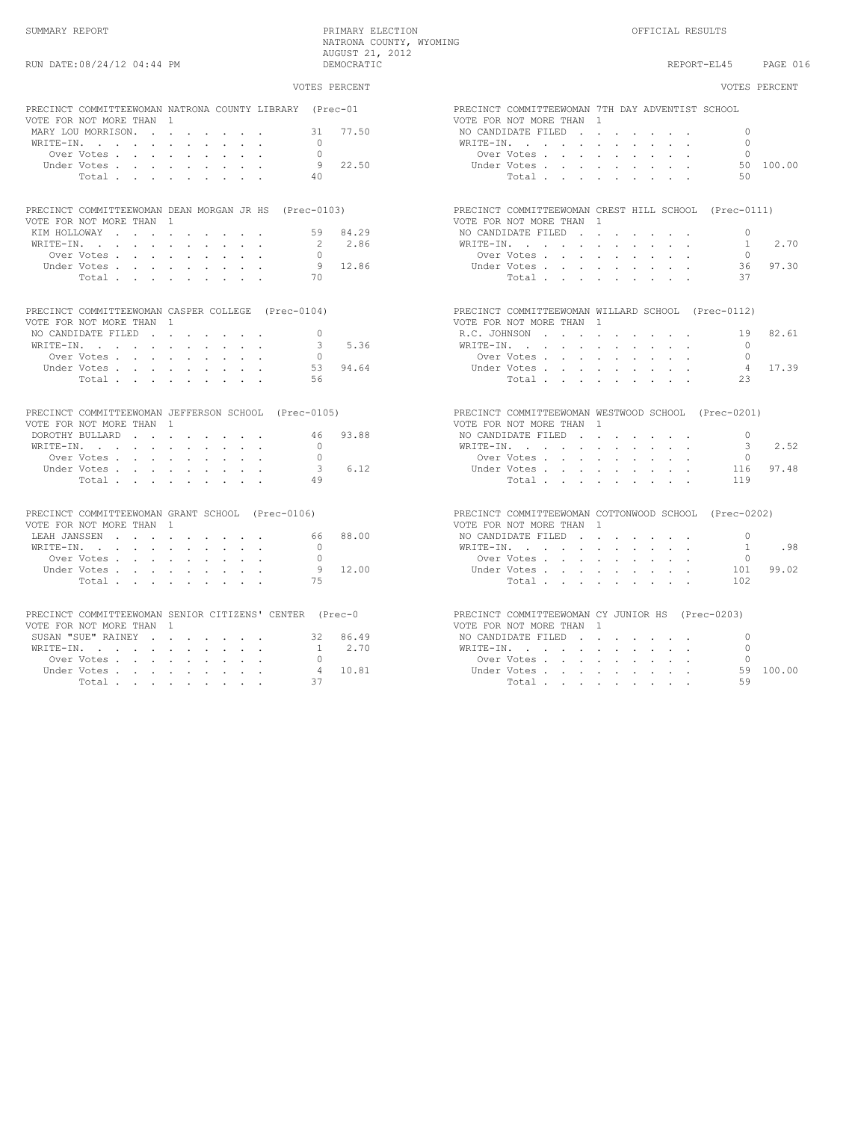|                                                                                     | VOTES PERCENT | VOTES PERCENT                                                                |  |
|-------------------------------------------------------------------------------------|---------------|------------------------------------------------------------------------------|--|
| PRECINCT COMMITTEEWOMAN NATRONA COUNTY LIBRARY (Prec-01<br>VOTE FOR NOT MORE THAN 1 |               | PRECINCT COMMITTEEWOMAN 7TH DAY ADVENTIST SCHOOL<br>VOTE FOR NOT MORE THAN 1 |  |
|                                                                                     | 77.50<br>31   | NO CANDIDATE FILED<br>$\Omega$                                               |  |
|                                                                                     | $\bigcap$     | $\bigcap$                                                                    |  |
| WRITE-IN.                                                                           |               | WRITE-IN.<br>$\cap$                                                          |  |
| Over Votes                                                                          | $\Omega$      | Over Votes                                                                   |  |
| Under Votes, , , , , , , , ,                                                        | 9 22.50       | Under Votes<br>50 100.00                                                     |  |
| Total, , , , , , , , ,                                                              | 40            | Total.<br>50                                                                 |  |
| PRECINCT COMMITTEEWOMAN DEAN MORGAN JR HS (Prec-0103)                               |               | PRECINCT COMMITTEEWOMAN CREST HILL SCHOOL (Prec-0111)                        |  |
| VOTE FOR NOT MORE THAN 1                                                            |               | VOTE FOR NOT MORE THAN 1                                                     |  |
| KIM HOLLOWAY 59 84.29                                                               |               | NO CANDIDATE FILED<br>$\overline{0}$                                         |  |
| WRITE-IN.                                                                           | 2 2.86        | 2.70<br>WRITE-IN.<br>$\overline{1}$                                          |  |
| Over Votes                                                                          | $\bigcap$     | Over Votes                                                                   |  |
| Under Votes                                                                         | 9 12.86       | 36<br>97.30<br>Under Votes, , , , , , , , ,                                  |  |
| Total                                                                               | 70            | Total.<br>37                                                                 |  |
|                                                                                     |               |                                                                              |  |
| PRECINCT COMMITTEEWOMAN CASPER COLLEGE (Prec-0104)                                  |               | PRECINCT COMMITTEEWOMAN WILLARD SCHOOL (Prec-0112)                           |  |
| VOTE FOR NOT MORE THAN 1                                                            |               | VOTE FOR NOT MORE THAN 1                                                     |  |
| NO CANDIDATE FILED                                                                  | $\Omega$      | 82.61<br>R.C. JOHNSON<br>19                                                  |  |
| WRITE-IN.                                                                           | 5.36<br>3     | $\Omega$<br>WRITE-IN.                                                        |  |
| Over Votes                                                                          | $\Omega$      | Over Votes, , , , , , , , ,<br>$\Omega$                                      |  |
| Under Votes                                                                         | 94.64<br>53   | Under Votes.<br>17.39<br>$\overline{4}$                                      |  |
| Total                                                                               | 56            | 23<br>Total.                                                                 |  |
| PRECINCT COMMITTEEWOMAN JEFFERSON SCHOOL (Prec-0105)                                |               | PRECINCT COMMITTEEWOMAN WESTWOOD SCHOOL (Prec-0201)                          |  |
| VOTE FOR NOT MORE THAN 1                                                            |               | VOTE FOR NOT MORE THAN 1                                                     |  |
| DOROTHY BULLARD 46                                                                  | 93.88         | NO CANDIDATE FILED<br>$\overline{0}$                                         |  |
| WRITE-IN.                                                                           | $\Omega$      | 2.52<br>WRITE-IN.<br>$\overline{\mathbf{3}}$                                 |  |
|                                                                                     | $\Omega$      | $\Omega$                                                                     |  |
| Over Votes                                                                          | 6.12<br>3     | Over Votes<br>97.48                                                          |  |
| Under Votes                                                                         |               | Under Votes<br>116                                                           |  |
| Total                                                                               | 49            | Total.<br>119                                                                |  |
| PRECINCT COMMITTEEWOMAN GRANT SCHOOL (Prec-0106)                                    |               | PRECINCT COMMITTEEWOMAN COTTONWOOD SCHOOL (Prec-0202)                        |  |
| VOTE FOR NOT MORE THAN 1                                                            |               | VOTE FOR NOT MORE THAN 1                                                     |  |
| LEAH JANSSEN                                                                        | 88.00<br>66   | NO CANDIDATE FILED<br>$\overline{0}$                                         |  |
| WRITE-IN.                                                                           | $\Omega$      | .98<br>WRITE-IN.<br><sup>1</sup>                                             |  |
| Over Votes                                                                          | $\Omega$      | Over Votes<br>$\Omega$                                                       |  |
| Under Votes                                                                         | 12.00<br>- 9  | 99.02<br>Under Votes<br>101                                                  |  |
| Total                                                                               | 75            | Total<br>102                                                                 |  |
|                                                                                     |               |                                                                              |  |
| PRECINCT COMMITTEEWOMAN SENIOR CITIZENS' CENTER (Prec-0                             |               | PRECINCT COMMITTEEWOMAN CY JUNIOR HS (Prec-0203)                             |  |
| VOTE FOR NOT MORE THAN 1                                                            |               | VOTE FOR NOT MORE THAN 1                                                     |  |
| SUSAN "SUE" RAINEY 32 86.49                                                         |               | NO CANDIDATE FILED<br>$\Omega$                                               |  |
| WRITE-IN.                                                                           | 1 2.70        | WRITE-IN, , , , , , , , , ,<br>$\Omega$                                      |  |
| Over Votes                                                                          | $\bigcap$     | Over Votes                                                                   |  |
| Under Votes                                                                         | 4 10.81       | 59 100.00<br>Under Votes                                                     |  |
| Total                                                                               | 37            | 59<br>Total                                                                  |  |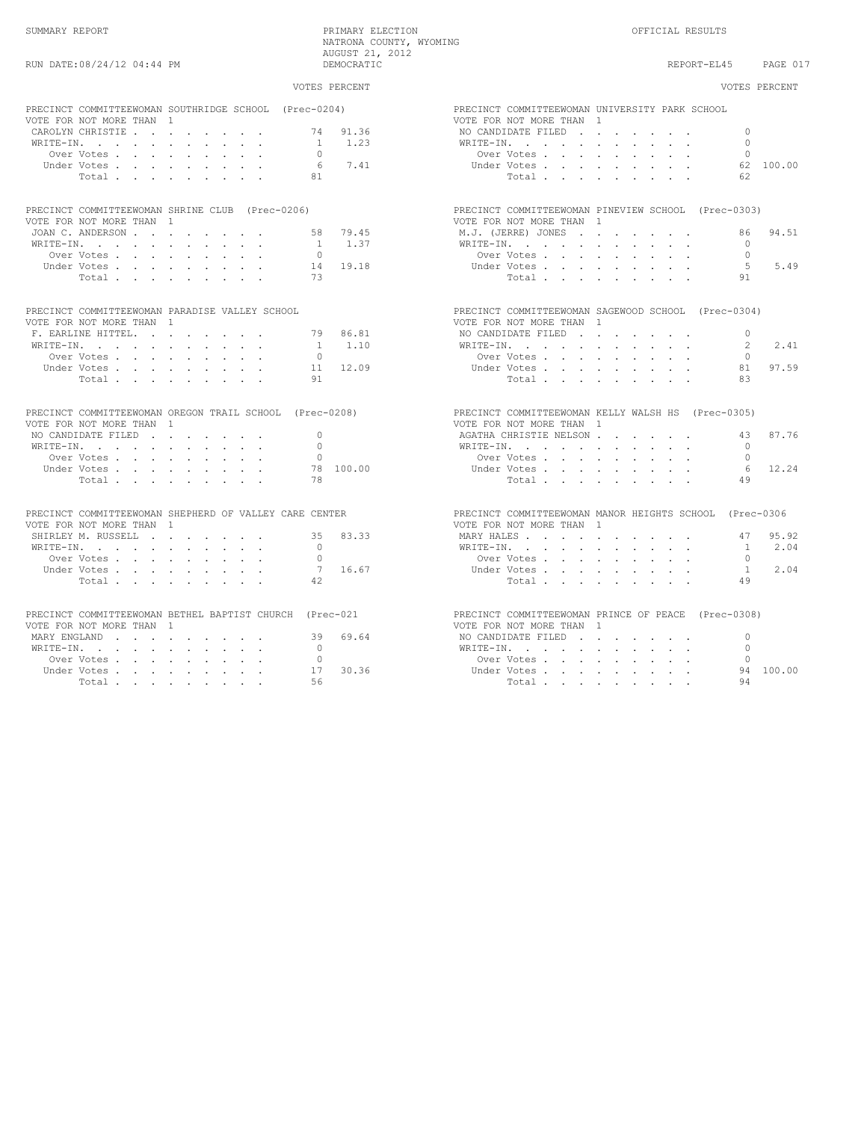|                                                                                                                 | VOTES PERCENT          | VOTES PERCENT                                                              |
|-----------------------------------------------------------------------------------------------------------------|------------------------|----------------------------------------------------------------------------|
| PRECINCT COMMITTEEWOMAN SOUTHRIDGE SCHOOL (Prec-0204)<br>VOTE FOR NOT MORE THAN 1                               |                        | PRECINCT COMMITTEEWOMAN UNIVERSITY PARK SCHOOL<br>VOTE FOR NOT MORE THAN 1 |
| CAROLYN CHRISTIE                                                                                                | 74 91.36               | $\Omega$<br>NO CANDIDATE FILED                                             |
| WRITE-IN, , , , , , , , , ,                                                                                     | 1.23<br>$\overline{1}$ | WRITE-IN, , , , , , , , , ,<br>$\bigcap$                                   |
| Over Votes.                                                                                                     | $\cap$                 | Over Votes, , , , , , , , ,<br>$\bigcap$                                   |
| Under Votes                                                                                                     | 7.41<br>6              | Under Votes<br>62 100.00                                                   |
| Total                                                                                                           | 81                     | Total<br>62                                                                |
| PRECINCT COMMITTEEWOMAN SHRINE CLUB (Prec-0206)                                                                 |                        | PRECINCT COMMITTEEWOMAN PINEVIEW SCHOOL (Prec-0303)                        |
|                                                                                                                 |                        |                                                                            |
| VOTE FOR NOT MORE THAN 1                                                                                        |                        | VOTE FOR NOT MORE THAN 1                                                   |
| JOAN C. ANDERSON                                                                                                | 58<br>79.45            | 94.51<br>M.J. (JERRE) JONES<br>86.                                         |
| WRITE-IN, , , , , , , , , ,                                                                                     | 1 1.37                 | WRITE-IN, , , , , , , , , ,<br>$\circ$                                     |
| Over Votes, , , , , , , , ,                                                                                     | $\cap$                 | $\Omega$<br>Over Votes, , , , , , , , ,                                    |
| Under Votes                                                                                                     | 19.18<br>14            | -5<br>5.49<br>Under Votes, , , , , , , , ,                                 |
| Total                                                                                                           | 73                     | Total<br>91                                                                |
| PRECINCT COMMITTEEWOMAN PARADISE VALLEY SCHOOL                                                                  |                        | PRECINCT COMMITTEEWOMAN SAGEWOOD SCHOOL (Prec-0304)                        |
| VOTE FOR NOT MORE THAN 1                                                                                        |                        | VOTE FOR NOT MORE THAN 1                                                   |
| F. EARLINE HITTEL.                                                                                              | 86.81<br>79            | NO CANDIDATE FILED<br>$\Omega$                                             |
| WRITE-IN.                                                                                                       | 1 1.10                 | $W\text{RITE}-\text{IN}$ , , , , , , , , , , ,<br>$\mathcal{L}$<br>2.41    |
| Over Votes                                                                                                      | $\Omega$               | Over Votes<br>$\Omega$                                                     |
| Under Votes                                                                                                     | 12.09<br>11            | 97.59<br>Under Votes<br>81                                                 |
| Total                                                                                                           | 91                     | Total.<br>83                                                               |
| PRECINCT COMMITTEEWOMAN OREGON TRAIL SCHOOL (Prec-0208)                                                         |                        | PRECINCT COMMITTEEWOMAN KELLY WALSH HS (Prec-0305)                         |
| VOTE FOR NOT MORE THAN 1                                                                                        |                        | VOTE FOR NOT MORE THAN 1                                                   |
|                                                                                                                 | $\Omega$               | 87.76<br>43                                                                |
| NO CANDIDATE FILED $\cdot$                                                                                      |                        | AGATHA CHRISTIE NELSON                                                     |
| WRITE-IN, , , , , , , , , ,                                                                                     | $\Omega$               | WRITE-IN.<br>$\Omega$                                                      |
| Over Votes                                                                                                      | $\bigcap$              | Over Votes, , , , , , , , ,<br>$\cap$                                      |
| Under Votes                                                                                                     | 78 100.00              | 6<br>12.24<br>Under Votes                                                  |
| Total                                                                                                           | 78                     | Total<br>49                                                                |
| PRECINCT COMMITTEEWOMAN SHEPHERD OF VALLEY CARE CENTER                                                          |                        | PRECINCT COMMITTEEWOMAN MANOR HEIGHTS SCHOOL (Prec-0306                    |
| VOTE FOR NOT MORE THAN 1                                                                                        |                        | VOTE FOR NOT MORE THAN 1                                                   |
| SHIRLEY M. RUSSELL                                                                                              | 83.33<br>35            | MARY HALES<br>95.92<br>47                                                  |
| WRITE-IN.                                                                                                       | $\circ$                | 2.04<br>WRITE-IN.<br>$\overline{1}$                                        |
| Over Votes                                                                                                      | $\cap$                 | $\cap$<br>Over Votes                                                       |
| Under Votes                                                                                                     | 7 16.67                | 2.04<br>Under Votes<br>$\overline{1}$                                      |
|                                                                                                                 | 42                     | 49                                                                         |
| Total                                                                                                           |                        | Total                                                                      |
| PRECINCT COMMITTEEWOMAN BETHEL BAPTIST CHURCH (Prec-021                                                         |                        | PRECINCT COMMITTEEWOMAN PRINCE OF PEACE (Prec-0308)                        |
| VOTE FOR NOT MORE THAN 1                                                                                        |                        | VOTE FOR NOT MORE THAN 1                                                   |
| MARY ENGLAND                                                                                                    | 69.64<br>39            | NO CANDIDATE FILED<br>$\Omega$                                             |
| $\mathtt{WRITE-IN.} \qquad \qquad \ldots \qquad \qquad \ldots \qquad \qquad \ldots \qquad \ldots \qquad \ldots$ | $\Omega$               | WRITE-IN.<br>$\bigcap$                                                     |
| Over Votes                                                                                                      | $\Omega$               | Over Votes.<br>$\bigcap$                                                   |
| Under Votes                                                                                                     | 30.36<br>17            | 94 100.00<br>Under Votes, , , , , , , , ,                                  |
| Total                                                                                                           | 56                     | 94<br>Total                                                                |
|                                                                                                                 |                        |                                                                            |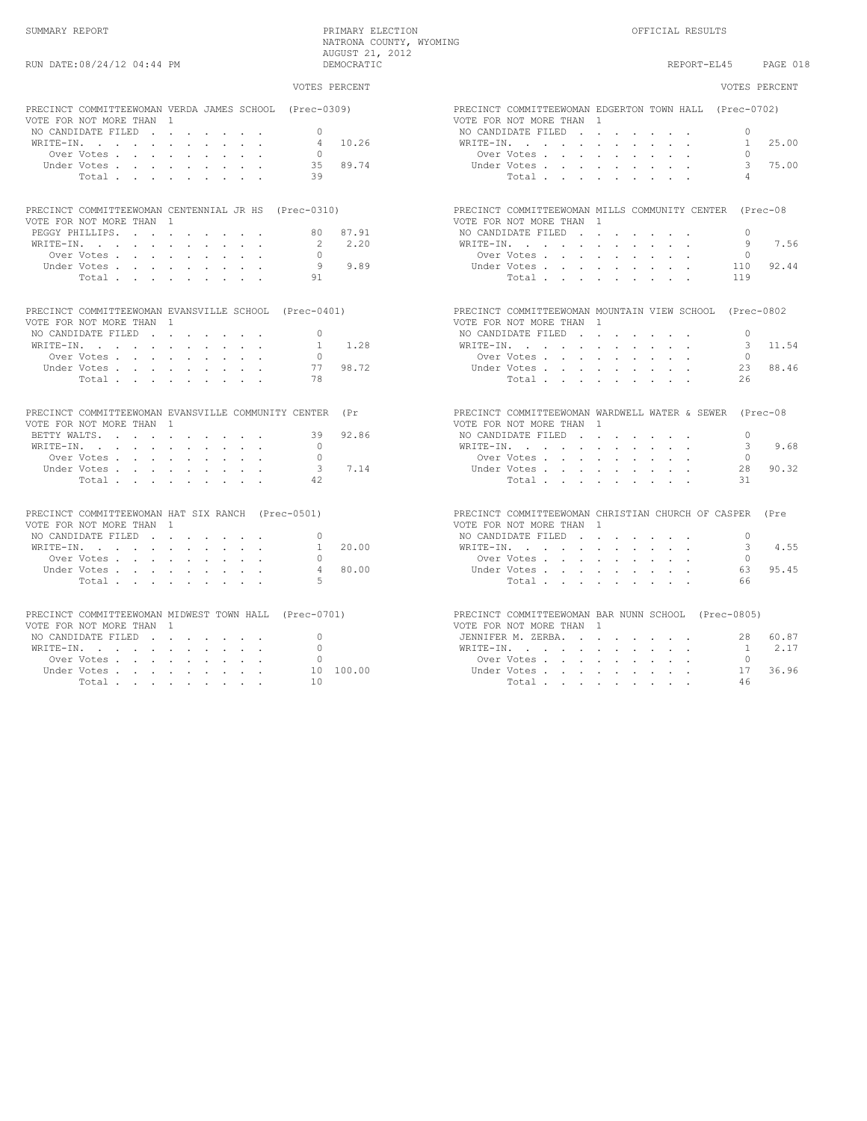| VOTES PERCENT                                                                                                         |          |                                                                                                                        | VOTES PERCENT             |
|-----------------------------------------------------------------------------------------------------------------------|----------|------------------------------------------------------------------------------------------------------------------------|---------------------------|
| PRECINCT COMMITTEEWOMAN VERDA JAMES SCHOOL (Prec-0309)<br>VOTE FOR NOT MORE THAN 1<br>NO CANDIDATE FILED<br>$\bigcap$ |          | PRECINCT COMMITTEEWOMAN EDGERTON TOWN HALL (Prec-0702)<br>VOTE FOR NOT MORE THAN 1<br>NO CANDIDATE FILED               | $\Omega$                  |
| WRITE-IN, , , , , , , , , ,<br>4                                                                                      | 10.26    | WRITE-IN.                                                                                                              | 25.00<br>$\mathbf{1}$     |
| Over Votes<br>$\cap$                                                                                                  |          | Over Votes, , , , , , , , ,                                                                                            | $\cap$                    |
| Under Votes<br>39<br>Total                                                                                            | 35 89.74 | Under Votes<br>Total                                                                                                   | 3 75.00<br>$\overline{4}$ |
| PRECINCT COMMITTEEWOMAN CENTENNIAL JR HS (Prec-0310)                                                                  |          | PRECINCT COMMITTEEWOMAN MILLS COMMUNITY CENTER (Prec-08                                                                |                           |
| VOTE FOR NOT MORE THAN 1                                                                                              | 87.91    | VOTE FOR NOT MORE THAN 1                                                                                               | $\cap$                    |
| 80<br>PEGGY PHILLIPS.<br>-2                                                                                           | 2.20     | NO CANDIDATE FILED                                                                                                     | 7.56<br>9                 |
| WRITE-IN.<br>Over Votes<br>$\bigcap$                                                                                  |          | WRITE-IN.<br>Over Votes, , , , , , , , ,                                                                               | $\Omega$                  |
| 9<br>Under Votes, , , , , , , , ,                                                                                     | 9.89     | Under Votes                                                                                                            | 92.44<br>110              |
| 91<br>Total                                                                                                           |          | Total                                                                                                                  | 119                       |
|                                                                                                                       |          |                                                                                                                        |                           |
| PRECINCT COMMITTEEWOMAN EVANSVILLE SCHOOL (Prec-0401)                                                                 |          | PRECINCT COMMITTEEWOMAN MOUNTAIN VIEW SCHOOL (Prec-0802                                                                |                           |
| VOTE FOR NOT MORE THAN 1<br>$\bigcap$                                                                                 |          | VOTE FOR NOT MORE THAN 1                                                                                               | $\cap$                    |
| NO CANDIDATE FILED<br>$\mathbf{1}$                                                                                    | 1.28     | NO CANDIDATE FILED                                                                                                     | 3 11.54                   |
| WRITE-IN, , , , , , , , , ,<br>$\Omega$<br>Over Votes                                                                 |          | WRITE-IN, , , , , , , , , ,<br>Over Votes, , , , , , , ,                                                               | $\Omega$                  |
| 77                                                                                                                    | 98.72    | Under Votes                                                                                                            | 88.46<br>23               |
| Under Votes<br>78                                                                                                     |          |                                                                                                                        | 26                        |
| Total                                                                                                                 |          | Total                                                                                                                  |                           |
| PRECINCT COMMITTEEWOMAN EVANSVILLE COMMUNITY CENTER<br>VOTE FOR NOT MORE THAN 1                                       | $(\Pr$   | PRECINCT COMMITTEEWOMAN WARDWELL WATER & SEWER (Prec-08<br>VOTE FOR NOT MORE THAN 1                                    |                           |
| BETTY WALTS.<br>39                                                                                                    | 92.86    | NO CANDIDATE FILED                                                                                                     | $\Omega$                  |
| $\bigcap$<br>WRITE-IN.                                                                                                |          | WRITE-IN.                                                                                                              | 9.68<br>3                 |
| Over Votes<br>$\bigcap$                                                                                               |          | Over Votes.                                                                                                            | $\Omega$                  |
| 3<br>Under Votes                                                                                                      | 7.14     | Under Votes, , , , , , , ,                                                                                             | 90.32<br>2.8              |
| 42<br>Total                                                                                                           |          | Total                                                                                                                  | 31                        |
| PRECINCT COMMITTEEWOMAN HAT SIX RANCH (Prec-0501)<br>VOTE FOR NOT MORE THAN 1                                         |          | PRECINCT COMMITTEEWOMAN CHRISTIAN CHURCH OF CASPER (Pre<br>VOTE FOR NOT MORE THAN 1                                    |                           |
| NO CANDIDATE FILED<br>$\Omega$                                                                                        |          | NO CANDIDATE FILED                                                                                                     | $\Omega$                  |
| WRITE-IN.<br>$\mathbf{1}$                                                                                             | 20.00    | WRITE-IN.                                                                                                              | 4.55<br>3                 |
| $\bigcap$<br>Over Votes                                                                                               |          | Over Votes                                                                                                             | $\bigcap$                 |
| $\Delta$<br>Under Votes                                                                                               | 80.00    | Under Votes                                                                                                            | 95.45<br>63               |
| $\overline{5}$<br>Total                                                                                               |          | Total                                                                                                                  | 66                        |
| PRECINCT COMMITTEEWOMAN MIDWEST TOWN HALL (Prec-0701)                                                                 |          | PRECINCT COMMITTEEWOMAN BAR NUNN SCHOOL (Prec-0805)                                                                    |                           |
| VOTE FOR NOT MORE THAN 1                                                                                              |          | VOTE FOR NOT MORE THAN 1                                                                                               |                           |
| $\Omega$<br>NO CANDIDATE FILED                                                                                        |          | JENNIFER M. ZERBA                                                                                                      | 28 60.87                  |
| $\cap$                                                                                                                |          | $\mathtt{WRTTE-IN.} \qquad \qquad \ldots \qquad \qquad \ldots \qquad \qquad \ldots \qquad \qquad \ldots \qquad \ldots$ | 2.17<br>$\sim$ 1          |

 Over Votes . . . . . . . . . 0 Over Votes . . . . . . . . . 0 Under Votes . . . . . . . . . 10 100.00 Under Votes . . . . . . . . . 17 36.96 Total . . . . . . . . . 10 Total . . . . . . . . 46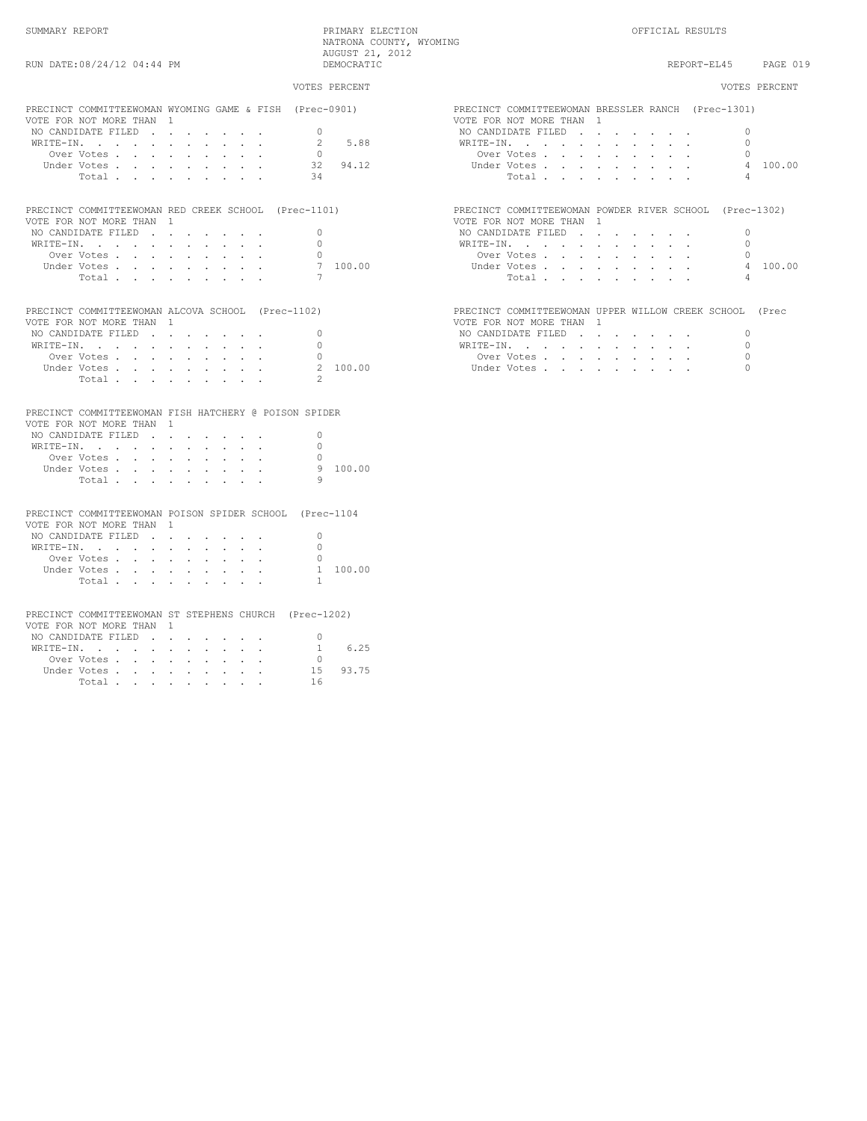|                                                                                                                                                                               | VOTES PERCENT                                                  | VOTES PERCENT                                                                                                                                                                                                                                     |
|-------------------------------------------------------------------------------------------------------------------------------------------------------------------------------|----------------------------------------------------------------|---------------------------------------------------------------------------------------------------------------------------------------------------------------------------------------------------------------------------------------------------|
| PRECINCT COMMITTEEWOMAN WYOMING GAME & FISH (Prec-0901)<br>VOTE FOR NOT MORE THAN 1<br>NO CANDIDATE FILED<br>WRITE-IN.<br>Over Votes<br>Under Votes<br>Total                  | $\bigcap$<br>5.88<br>2<br>0<br>94.12<br>32<br>34               | PRECINCT COMMITTEEWOMAN BRESSLER RANCH (Prec-1301)<br>VOTE FOR NOT MORE THAN 1<br>NO CANDIDATE FILED<br>$\bigcap$<br>$\bigcap$<br>WRITE-IN.<br>Over Votes<br>$\bigcap$<br>4 100.00<br>Under Votes, , , , , , , , ,<br>$\overline{a}$<br>Total     |
| PRECINCT COMMITTEEWOMAN RED CREEK SCHOOL (Prec-1101)<br>VOTE FOR NOT MORE THAN 1<br>NO CANDIDATE FILED<br>WRITE-IN.<br>Over Votes<br>Under Votes<br>Total.                    | $\Omega$<br>$\Omega$<br>7 100.00<br>$7\phantom{.0}$            | PRECINCT COMMITTEEWOMAN POWDER RIVER SCHOOL (Prec-1302)<br>VOTE FOR NOT MORE THAN 1<br>NO CANDIDATE FILED<br>$\Omega$<br>WRITE-IN.<br>$\bigcap$<br>Over Votes, , , , , , , , ,<br>$\Omega$<br>4 100.00<br>Under Votes<br>$\overline{4}$<br>Total. |
| PRECINCT COMMITTEEWOMAN ALCOVA SCHOOL (Prec-1102)<br>VOTE FOR NOT MORE THAN 1<br>NO CANDIDATE FILED<br>WRITE-IN.<br>Over Votes<br>Under Votes<br>Total                        | $\circ$<br>$\Omega$<br>$\circ$<br>2 100.00<br>$\mathcal{P}$    | PRECINCT COMMITTEEWOMAN UPPER WILLOW CREEK SCHOOL (Prec<br>VOTE FOR NOT MORE THAN 1<br>$\Omega$<br>NO CANDIDATE FILED<br>$\Omega$<br>WRITE-IN.<br>$\circ$<br>Over Votes<br>$\Omega$<br>Under Votes                                                |
| PRECINCT COMMITTEEWOMAN FISH HATCHERY @ POISON SPIDER<br>VOTE FOR NOT MORE THAN 1<br>NO CANDIDATE FILED<br>WRITE-IN.<br>Over Votes<br>Under Votes<br>Total                    | $\circ$<br>$\Omega$<br>9 100.00<br>9                           |                                                                                                                                                                                                                                                   |
| PRECINCT COMMITTEEWOMAN POISON SPIDER SCHOOL (Prec-1104<br>VOTE FOR NOT MORE THAN 1<br>NO CANDIDATE FILED<br>WRITE-IN.<br>Over Votes<br>Under Votes<br>Total,                 | $\Omega$<br>$\Omega$<br>1 100.00<br>$\mathbf{1}$               |                                                                                                                                                                                                                                                   |
| PRECINCT COMMITTEEWOMAN ST STEPHENS CHURCH (Prec-1202)<br>VOTE FOR NOT MORE THAN 1<br>NO CANDIDATE FILED<br>WRITE-IN, , , , , , , , , ,<br>Over Votes<br>Under Votes<br>Total | $\Omega$<br>6.25<br>$\overline{1}$<br>$\cap$<br>15 93.75<br>16 |                                                                                                                                                                                                                                                   |

| PRECINCT COMMITTEEWOMAN WYOMING GAME & FISH (Prec-0901) TRECINCT COMMITTEEWOMAN BRESSLER RANCH (Prec-1301)     |                                                         |
|----------------------------------------------------------------------------------------------------------------|---------------------------------------------------------|
| VOTE FOR NOT MORE THAN 1                                                                                       | VOTE FOR NOT MORE THAN 1                                |
| NO CANDIDATE FILED                                                                                             | NO CANDIDATE FILED                                      |
| 5.88<br>WRITE-IN.                                                                                              | WRITE-IN.                                               |
| Over Votes                                                                                                     | Over Votes                                              |
| 94.12<br>32<br>Under Votes                                                                                     | 4 100.00                                                |
| 34<br>Total                                                                                                    | Total                                                   |
| PRECINCT COMMITTEEWOMAN RED CREEK SCHOOL (Prec-1101)                                                           | PRECINCT COMMITTEEWOMAN POWDER RIVER SCHOOL (Prec-1302) |
| VOTE FOR NOT MORE THAN 1                                                                                       | VOTE FOR NOT MORE THAN 1                                |
| NO CANDIDATE FILED                                                                                             | NO CANDIDATE FILED                                      |
| WRITE-IN.                                                                                                      | WRITE-IN.                                               |
| Over Votes                                                                                                     | Over Votes, , , , , , , , ,                             |
| Under Votes                                                                                                    | 4 100.00                                                |
| Total                                                                                                          | Total                                                   |
| PRECINCT COMMITTEEWOMAN ALCOVA SCHOOL (Prec-1102)                                                              | PRECINCT COMMITTEEWOMAN UPPER WILLOW CREEK SCHOOL (Prec |
| VOTE FOR NOT MORE THAN 1                                                                                       | VOTE FOR NOT MORE THAN 1                                |
| NO CANDIDATE FILED                                                                                             | NO CANDIDATE FILED                                      |
| WRITE-IN.                                                                                                      | WRITE-IN.                                               |
| Over Votes                                                                                                     | Over Votes, , , , , , , , ,                             |
| 2, 100.00                                                                                                      | Under Votes, , , , , , , , ,                            |
|                                                                                                                |                                                         |
| Total experience and the service of the service of the service of the service of the service of the service of |                                                         |